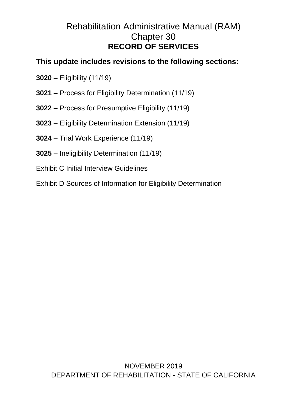# Rehabilitation Administrative Manual (RAM) Chapter 30 **RECORD OF SERVICES**

# **This update includes revisions to the following sections:**

- **3020** Eligibility (11/19)
- **3021** Process for Eligibility Determination (11/19)
- **3022** Process for Presumptive Eligibility (11/19)
- **3023** Eligibility Determination Extension (11/19)
- **3024** Trial Work Experience (11/19)
- **3025** Ineligibility Determination (11/19)
- Exhibit C Initial Interview Guidelines

Exhibit D Sources of Information for Eligibility Determination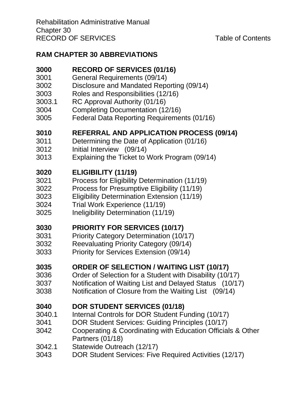# **[RAM CHAPTER 30 ABBREVIATIONS](#page-5-0)**

# **[RECORD OF SERVICES \(01/16\)](#page-7-0)**

- [General Requirements \(09/14\)](#page-9-0)
- [Disclosure and Mandated Reporting \(09/14\)](#page-10-0)
- [Roles and Responsibilities \(12/16\)](#page-11-0)
- [3003.1 RC Approval Authority \(01/16\)](#page-12-0)
- [Completing Documentation \(12/16\)](#page-13-0)
- [Federal Data Reporting Requirements \(01/16\)](#page-14-0)

# **[REFERRAL AND APPLICATION PROCESS \(09/14\)](#page-15-0)**

- [Determining the Date of Application \(01/16\)](#page-18-0)
- [Initial Interview \(09/14\)](#page-20-0)
- [Explaining the Ticket to Work Program \(09/14\)](#page-22-0)

# **[ELIGIBILITY \(11/19\)](#page-24-0)**

- [Process for Eligibility Determination \(11/19\)](#page-26-0)
- [Process for Presumptive Eligibility \(11/19\)](#page-31-0)
- [Eligibility Determination Extension \(11/19\)](#page-34-0)
- [Trial Work Experience \(11/19\)](#page-36-0)
- [Ineligibility Determination \(11/19\)](#page-40-0)

# **[PRIORITY FOR SERVICES \(10/17\)](#page-44-0)**

- [Priority Category Determination \(10/17\)](#page-45-0)
- [Reevaluating Priority Category \(09/14\)](#page-47-0)
- [Priority for Services Extension \(09/14\)](#page-48-0)

# **[ORDER OF SELECTION / WAITING LIST \(10/17\)](#page-49-0)**

- [3036 Order of Selection for a Student with Disability \(10/17\)](#page-50-0)
- [Notification of Waiting List and Delayed Status \(10/17\)](#page-51-0)
- [Notification of Closure from the Waiting List \(09/14\)](#page-52-0)

# **[DOR STUDENT SERVICES \(01/18\)](#page-54-0)**

- [3040.1 Internal Controls for DOR Student Funding \(10/17\)](#page-57-0)
- [DOR Student Services: Guiding Principles \(10/17\)](#page-58-0)
- [Cooperating & Coordinating with Education Officials & Other](#page-60-0)  [Partners \(01/18\)](#page-60-0)
- 3042.1 [Statewide Outreach \(12/17\)](#page-60-1)
- [DOR Student Services: Five Required Activities \(12/17\)](#page-61-0)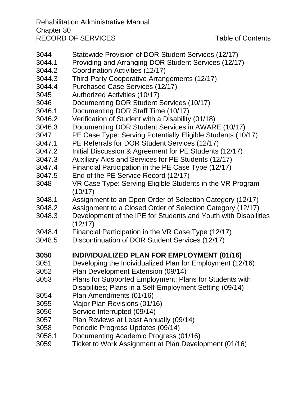Rehabilitation Administrative Manual Chapter 30 RECORD OF SERVICES Table of Contents

- 3044 [Statewide Provision of DOR Student Services \(12/17\)](#page-65-0)
- 3044.1 [Providing and Arranging DOR Student Services \(12/17\)](#page-66-0)
- 3044.2 [Coordination Activities \(12/17\)](#page-67-0)
- 3044.3 [Third-Party Cooperative Arrangements \(12/17\)](#page-69-0)
- 3044.4 [Purchased Case Services \(12/17\)](#page-71-0)
- 3045 [Authorized Activities \(10/17\)](#page-71-1)
- 3046 [Documenting DOR Student Services \(10/17\)](#page-73-0)
- 3046.1 [Documenting DOR Staff Time \(10/17\)](#page-73-1)
- 3046.2 [Verification of Student with a Disability \(01/18\)](#page-74-0)
- 3046.3 [Documenting DOR Student Services in AWARE \(10/17\)](#page-76-0)
- 3047 [PE Case Type: Serving Potentially Eligible Students \(10/17\)](#page-79-0)
- 3047.1 [PE Referrals for DOR Student Services \(12/17\)](#page-81-0)
- 3047.2 [Initial Discussion & Agreement for PE Students \(12/17\)](#page-82-0)
- 3047.3 [Auxiliary Aids and Services for PE Students \(12/17\)](#page-84-0)
- 3047.4 [Financial Participation in the PE Case Type \(12/17\)](#page-86-0)
- 3047.5 [End of the PE Service Record \(12/17\)](#page-87-0)
- 3048 [VR Case Type: Serving Eligible Students in the VR Program](#page-87-1)  [\(10/17\)](#page-87-1)
- 3048.1 [Assignment to an Open Order of](#page-88-0) Selection Category (12/17)
- 3048.2 [Assignment to a Closed Order of Selection Category \(12/17\)](#page-89-0)
- 3048.3 [Development of the IPE for Students and Youth with Disabilities](#page-89-1)  [\(12/17\)](#page-89-1)
- 3048.4 [Financial Participation in the VR Case Type \(12/17\)](#page-90-0)
- 3048.5 [Discontinuation of DOR Student Services \(12/17\)](#page-91-0)

# **3050 [INDIVIDUALIZED PLAN FOR EMPLOYMENT \(01/16\)](#page-92-0)**

- 3051 [Developing the Individualized Plan for Employment \(12/16\)](#page-94-0)
- 3052 [Plan Development Extension \(09/14\)](#page-99-0)
- 3053 [Plans for Supported Employment; Plans for Students with](#page-101-0)  [Disabilities; Plans in a Self-Employment Setting \(09/14\)](#page-101-0)
- 3054 [Plan Amendments \(01/16\)](#page-105-0)
- 3055 [Major Plan Revisions \(01/16\)](#page-105-1)
- 3056 [Service Interrupted \(09/14\)](#page-106-0)
- 3057 [Plan Reviews at Least Annually \(09/14\)](#page-107-0)
- 3058 [Periodic Progress Updates \(09/14\)](#page-109-0)
- [3058.1 Documenting Academic Progress \(01/16\)](#page-110-0)
- 3059 [Ticket to Work Assignment at Plan Development \(01/16\)](#page-110-1)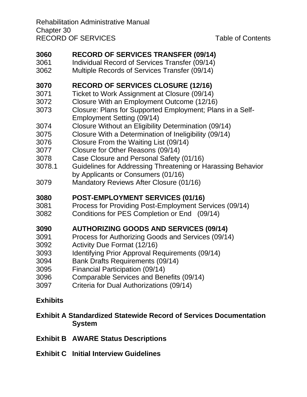Rehabilitation Administrative Manual Chapter 30 RECORD OF SERVICES Table of Contents

# **[RECORD OF SERVICES TRANSFER \(09/14\)](#page-113-0)**

- [Individual Record of Services Transfer \(09/14\)](#page-113-1)
- [Multiple Records of Services Transfer \(09/14\)](#page-115-0)

## **[RECORD OF SERVICES CLOSURE \(12/16\)](#page-116-0)**

- [Ticket to Work Assignment at Closure \(09/14\)](#page-119-0)
- [Closure With an Employment Outcome \(12/16\)](#page-119-1)
- [Closure: Plans for Supported Employment; Plans in a Self-](#page-121-0)[Employment Setting \(09/14\)](#page-121-0)
- [Closure Without an Eligibility Determination \(09/14\)](#page-122-0)
- [Closure With a Determination of Ineligibility \(09/14\)](#page-124-0)
- [Closure From the Waiting List \(09/14\)](#page-126-0)
- [Closure for Other Reasons \(09/14\)](#page-127-0)
- [Case Closure and Personal Safety \(01/16\)](#page-128-0)
- 3078.1 [Guidelines for Addressing Threatening or Harassing Behavior](#page-129-0)  [by Applicants or Consumers \(01/16\)](#page-129-0)
- [Mandatory Reviews After Closure \(01/16\)](#page-133-0)

#### **[POST-EMPLOYMENT SERVICES \(01/16\)](#page-137-0)**

- [Process for Providing Post-Employment Services \(09/14\)](#page-138-0)
- [Conditions for PES Completion or End \(09/14\)](#page-139-0)

## **[AUTHORIZING GOODS AND SERVICES \(09/14\)](#page-140-0)**

- [Process for Authorizing Goods and Services \(09/14\)](#page-141-0)
- Activity [Due Format \(12/16\)](#page-142-0)
- [Identifying Prior Approval Requirements \(09/14\)](#page-143-0)
- [Bank Drafts Requirements \(09/14\)](#page-144-0)
- [Financial Participation \(09/14\)](#page-145-0)
- [Comparable Services and Benefits \(09/14\)](#page-146-0)
- [Criteria for Dual Authorizations \(09/14\)](#page-147-0)

## **[Exhibits](#page-148-0)**

#### **[Exhibit A Standardized Statewide Record of Services Documentation](#page-148-1)  [System](#page-148-1)**

- **Exhibit B [AWARE Status Descriptions](#page-148-2)**
- **Exhibit C [Initial Interview Guidelines](#page-148-3)**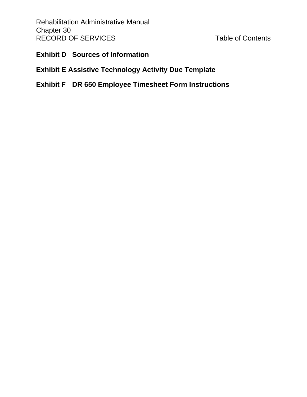Rehabilitation Administrative Manual Chapter 30 RECORD OF SERVICES Table of Contents

#### **Exhibit D [Sources of Information](#page-148-4)**

## **[Exhibit E Assistive Technology Activity Due Template](#page-148-5)**

# **Exhibit F [DR 650 Employee Timesheet Form Instructions](#page-148-6)**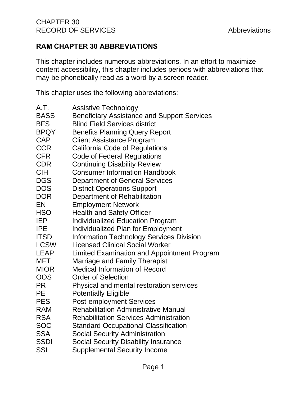## <span id="page-5-0"></span>**RAM CHAPTER 30 ABBREVIATIONS**

This chapter includes numerous abbreviations. In an effort to maximize content accessibility, this chapter includes periods with abbreviations that may be phonetically read as a word by a screen reader.

This chapter uses the following abbreviations:

| <b>Assistive Technology</b>                        |
|----------------------------------------------------|
| <b>Beneficiary Assistance and Support Services</b> |
| <b>Blind Field Services district</b>               |
| <b>Benefits Planning Query Report</b>              |
| <b>Client Assistance Program</b>                   |
| <b>California Code of Regulations</b>              |
| <b>Code of Federal Regulations</b>                 |
| <b>Continuing Disability Review</b>                |
| <b>Consumer Information Handbook</b>               |
| <b>Department of General Services</b>              |
| <b>District Operations Support</b>                 |
| Department of Rehabilitation                       |
| <b>Employment Network</b>                          |
| <b>Health and Safety Officer</b>                   |
| <b>Individualized Education Program</b>            |
| Individualized Plan for Employment                 |
| <b>Information Technology Services Division</b>    |
| <b>Licensed Clinical Social Worker</b>             |
| Limited Examination and Appointment Program        |
| Marriage and Family Therapist                      |
| <b>Medical Information of Record</b>               |
| <b>Order of Selection</b>                          |
| Physical and mental restoration services           |
| <b>Potentially Eligible</b>                        |
| <b>Post-employment Services</b>                    |
| <b>Rehabilitation Administrative Manual</b>        |
| <b>Rehabilitation Services Administration</b>      |
| <b>Standard Occupational Classification</b>        |
| <b>Social Security Administration</b>              |
| <b>Social Security Disability Insurance</b>        |
| <b>Supplemental Security Income</b>                |
|                                                    |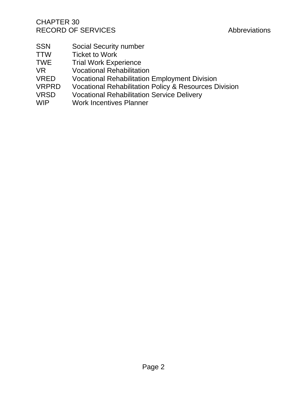- SSN Social Security number<br>TTW Ticket to Work
- Ticket to Work
- TWE Trial Work Experience
- VR Vocational Rehabilitation
- VRED Vocational Rehabilitation Employment Division<br>VRPRD Vocational Rehabilitation Policy & Resources D
- Vocational Rehabilitation Policy & Resources Division
- VRSD Vocational Rehabilitation Service Delivery
- WIP Work Incentives Planner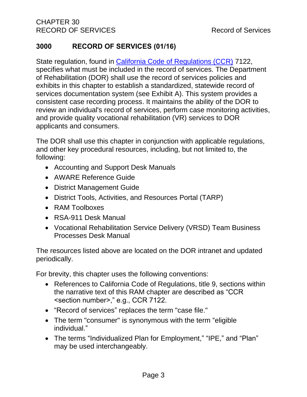## <span id="page-7-0"></span>**3000 RECORD OF SERVICES (01/16)**

State regulation, found in [California Code of Regulations \(CCR\)](file://///dorgroup/group/Public%20Folder/InDOR%20Documents/VRPRD/PPI/CCR%20DOR%20-%20Effective%201-16-18.docx) 7122, specifies what must be included in the record of services. The Department of Rehabilitation (DOR) shall use the record of services policies and exhibits in this chapter to establish a standardized, statewide record of services documentation system (see Exhibit A). This system provides a consistent case recording process. It maintains the ability of the DOR to review an individual's record of services, perform case monitoring activities, and provide quality vocational rehabilitation (VR) services to DOR applicants and consumers.

The DOR shall use this chapter in conjunction with applicable regulations, and other key procedural resources, including, but not limited to, the following:

- Accounting and Support Desk Manuals
- AWARE Reference Guide
- District Management Guide
- District Tools, Activities, and Resources Portal (TARP)
- RAM Toolboxes
- RSA-911 Desk Manual
- Vocational Rehabilitation Service Delivery (VRSD) Team Business Processes Desk Manual

The resources listed above are located on the DOR intranet and updated periodically.

For brevity, this chapter uses the following conventions:

- References to California Code of Regulations, title 9, sections within the narrative text of this RAM chapter are described as "CCR <section number>," e.g., CCR 7122.
- "Record of services" replaces the term "case file."
- The term "consumer" is synonymous with the term "eligible individual."
- The terms "Individualized Plan for Employment," "IPE," and "Plan" may be used interchangeably.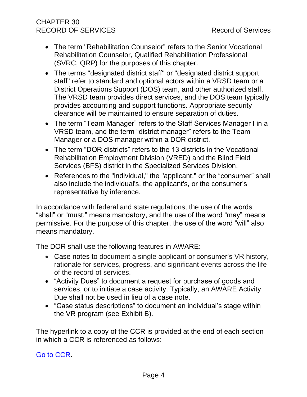## CHAPTER 30 RECORD OF SERVICES RECORD OF SERVICES

- The term "Rehabilitation Counselor" refers to the Senior Vocational Rehabilitation Counselor, Qualified Rehabilitation Professional (SVRC, QRP) for the purposes of this chapter.
- The terms "designated district staff" or "designated district support staff" refer to standard and optional actors within a VRSD team or a District Operations Support (DOS) team, and other authorized staff. The VRSD team provides direct services, and the DOS team typically provides accounting and support functions. Appropriate security clearance will be maintained to ensure separation of duties.
- The term "Team Manager" refers to the Staff Services Manager I in a VRSD team, and the term "district manager" refers to the Team Manager or a DOS manager within a DOR district.
- The term "DOR districts" refers to the 13 districts in the Vocational Rehabilitation Employment Division (VRED) and the Blind Field Services (BFS) district in the Specialized Services Division.
- References to the "individual," the "applicant," or the "consumer" shall also include the individual's, the applicant's, or the consumer's representative by inference.

In accordance with federal and state regulations, the use of the words "shall" or "must," means mandatory, and the use of the word "may" means permissive. For the purpose of this chapter, the use of the word "will" also means mandatory.

The DOR shall use the following features in AWARE:

- Case notes to document a single applicant or consumer's VR history, rationale for services, progress, and significant events across the life of the record of services.
- "Activity Dues" to document a request for purchase of goods and services, or to initiate a case activity. Typically, an AWARE Activity Due shall not be used in lieu of a case note.
- "Case status descriptions" to document an individual's stage within the VR program (see Exhibit B).

The hyperlink to a copy of the CCR is provided at the end of each section in which a CCR is referenced as follows:

## [Go to CCR.](file:///G:/Public%20Folder/InDOR%20Documents/VRPRD/PPI/CCR%20DOR%20-%20Effective%201-16-18.docx)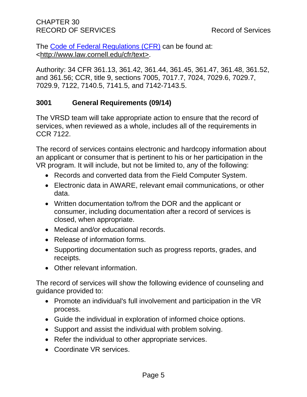The [Code of Federal Regulations \(CFR\)](http://www.law.cornell.edu/cfr/text) can be found at: [<http://www.law.cornell.edu/cfr/text>](http://www.law.cornell.edu/cfr/text).

Authority: 34 CFR 361.13, 361.42, 361.44, 361.45, 361.47, 361.48, 361.52, and 361.56; CCR, title 9, sections 7005, 7017.7, 7024, 7029.6, 7029.7, 7029.9, 7122, 7140.5, 7141.5, and 7142-7143.5.

#### <span id="page-9-0"></span>**3001 General Requirements (09/14)**

The VRSD team will take appropriate action to ensure that the record of services, when reviewed as a whole, includes all of the requirements in CCR 7122.

The record of services contains electronic and hardcopy information about an applicant or consumer that is pertinent to his or her participation in the VR program. It will include, but not be limited to, any of the following:

- Records and converted data from the Field Computer System.
- Electronic data in AWARE, relevant email communications, or other data.
- Written documentation to/from the DOR and the applicant or consumer, including documentation after a record of services is closed, when appropriate.
- Medical and/or educational records.
- Release of information forms.
- Supporting documentation such as progress reports, grades, and receipts.
- Other relevant information.

The record of services will show the following evidence of counseling and guidance provided to:

- Promote an individual's full involvement and participation in the VR process.
- Guide the individual in exploration of informed choice options.
- Support and assist the individual with problem solving.
- Refer the individual to other appropriate services.
- Coordinate VR services.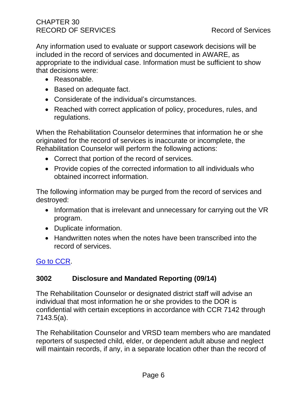Any information used to evaluate or support casework decisions will be included in the record of services and documented in AWARE, as appropriate to the individual case. Information must be sufficient to show that decisions were:

- Reasonable.
- Based on adequate fact.
- Considerate of the individual's circumstances.
- Reached with correct application of policy, procedures, rules, and regulations.

When the Rehabilitation Counselor determines that information he or she originated for the record of services is inaccurate or incomplete, the Rehabilitation Counselor will perform the following actions:

- Correct that portion of the record of services.
- Provide copies of the corrected information to all individuals who obtained incorrect information.

The following information may be purged from the record of services and destroyed:

- Information that is irrelevant and unnecessary for carrying out the VR program.
- Duplicate information.
- Handwritten notes when the notes have been transcribed into the record of services.

## <span id="page-10-0"></span>[Go to CCR.](file:///G:/Public%20Folder/InDOR%20Documents/VRPRD/PPI/CCR%20DOR%20-%20Effective%201-16-18.docx)

#### **3002 Disclosure and Mandated Reporting (09/14)**

The Rehabilitation Counselor or designated district staff will advise an individual that most information he or she provides to the DOR is confidential with certain exceptions in accordance with CCR 7142 through 7143.5(a).

The Rehabilitation Counselor and VRSD team members who are mandated reporters of suspected child, elder, or dependent adult abuse and neglect will maintain records, if any, in a separate location other than the record of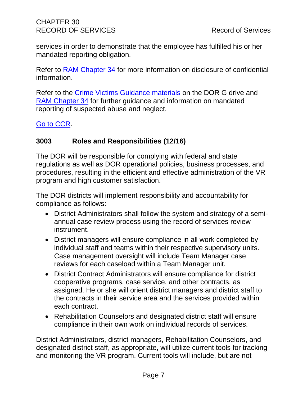services in order to demonstrate that the employee has fulfilled his or her mandated reporting obligation.

Refer to [RAM Chapter 34](http://drdomino/ram/index.html) for more information on disclosure of confidential information.

Refer to the [Crime Victims Guidance materials](file://///dorgrp01/group/User%20Resources/Crime%20Victims%20with%20Disabilities) on the DOR G drive and [RAM Chapter 34](http://drdomino/ram/index.html) for further guidance and information on mandated reporting of suspected abuse and neglect.

<span id="page-11-0"></span>[Go to CCR.](file:///G:/Public%20Folder/InDOR%20Documents/VRPRD/PPI/CCR%20DOR%20-%20Effective%201-16-18.docx)

#### **3003 Roles and Responsibilities (12/16)**

The DOR will be responsible for complying with federal and state regulations as well as DOR operational policies, business processes, and procedures, resulting in the efficient and effective administration of the VR program and high customer satisfaction.

The DOR districts will implement responsibility and accountability for compliance as follows:

- District Administrators shall follow the system and strategy of a semiannual case review process using the record of services review instrument.
- District managers will ensure compliance in all work completed by individual staff and teams within their respective supervisory units. Case management oversight will include Team Manager case reviews for each caseload within a Team Manager unit.
- District Contract Administrators will ensure compliance for district cooperative programs, case service, and other contracts, as assigned. He or she will orient district managers and district staff to the contracts in their service area and the services provided within each contract.
- Rehabilitation Counselors and designated district staff will ensure compliance in their own work on individual records of services.

District Administrators, district managers, Rehabilitation Counselors, and designated district staff, as appropriate, will utilize current tools for tracking and monitoring the VR program. Current tools will include, but are not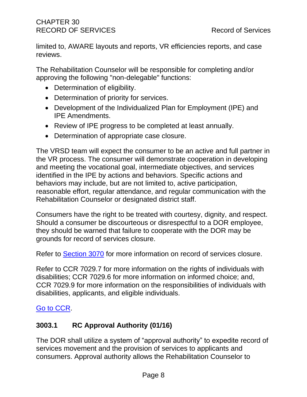limited to, AWARE layouts and reports, VR efficiencies reports, and case reviews.

The Rehabilitation Counselor will be responsible for completing and/or approving the following "non-delegable" functions:

- Determination of eligibility.
- Determination of priority for services.
- Development of the Individualized Plan for Employment (IPE) and IPE Amendments.
- Review of IPE progress to be completed at least annually.
- Determination of appropriate case closure.

The VRSD team will expect the consumer to be an active and full partner in the VR process. The consumer will demonstrate cooperation in developing and meeting the vocational goal, intermediate objectives, and services identified in the IPE by actions and behaviors. Specific actions and behaviors may include, but are not limited to, active participation, reasonable effort, regular attendance, and regular communication with the Rehabilitation Counselor or designated district staff.

Consumers have the right to be treated with courtesy, dignity, and respect. Should a consumer be discourteous or disrespectful to a DOR employee, they should be warned that failure to cooperate with the DOR may be grounds for record of services closure.

Refer to [Section 3070](#page-116-0) for more information on record of services closure.

Refer to CCR 7029.7 for more information on the rights of individuals with disabilities; CCR 7029.6 for more information on informed choice; and, CCR 7029.9 for more information on the responsibilities of individuals with disabilities, applicants, and eligible individuals.

#### <span id="page-12-0"></span>[Go to CCR.](file:///G:/Public%20Folder/InDOR%20Documents/VRPRD/PPI/CCR%20DOR%20-%20Effective%201-16-18.docx)

## **3003.1 RC Approval Authority (01/16)**

The DOR shall utilize a system of "approval authority" to expedite record of services movement and the provision of services to applicants and consumers. Approval authority allows the Rehabilitation Counselor to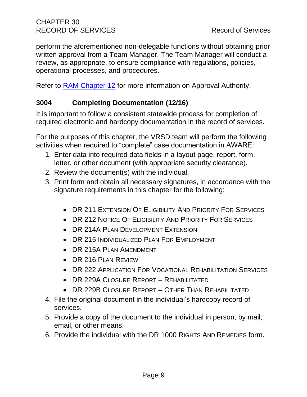perform the aforementioned non-delegable functions without obtaining prior written approval from a Team Manager. The Team Manager will conduct a review, as appropriate, to ensure compliance with regulations, policies, operational processes, and procedures.

<span id="page-13-0"></span>Refer to [RAM Chapter 12](http://drdomino/ram/index.html) for more information on Approval Authority.

## **3004 Completing Documentation (12/16)**

It is important to follow a consistent statewide process for completion of required electronic and hardcopy documentation in the record of services.

For the purposes of this chapter, the VRSD team will perform the following activities when required to "complete" case documentation in AWARE:

- 1. Enter data into required data fields in a layout page, report, form, letter, or other document (with appropriate security clearance).
- 2. Review the document(s) with the individual.
- 3. Print form and obtain all necessary signatures, in accordance with the signature requirements in this chapter for the following:
	- DR 211 EXTENSION OF ELIGIBILITY AND PRIORITY FOR SERVICES
	- DR 212 NOTICE OF ELIGIBILITY AND PRIORITY FOR SERVICES
	- DR 214A PLAN DEVELOPMENT EXTENSION
	- DR 215 INDIVIDUALIZED PLAN FOR EMPLOYMENT
	- DR 215A PLAN AMENDMENT
	- DR 216 PLAN REVIEW
	- DR 222 APPLICATION FOR VOCATIONAL REHABILITATION SERVICES
	- DR 229A CLOSURE REPORT REHABILITATED
	- DR 229B CLOSURE REPORT OTHER THAN REHABILITATED
- 4. File the original document in the individual's hardcopy record of services.
- 5. Provide a copy of the document to the individual in person, by mail, email, or other means.
- 6. Provide the individual with the DR 1000 RIGHTS AND REMEDIES form.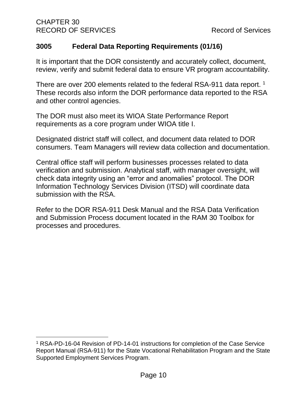#### <span id="page-14-0"></span>**3005 Federal Data Reporting Requirements (01/16)**

It is important that the DOR consistently and accurately collect, document, review, verify and submit federal data to ensure VR program accountability.

There are over 200 elements related to the federal RSA-911 data report. <sup>1</sup> These records also inform the DOR performance data reported to the RSA and other control agencies.

The DOR must also meet its WIOA State Performance Report requirements as a core program under WIOA title I.

Designated district staff will collect, and document data related to DOR consumers. Team Managers will review data collection and documentation.

Central office staff will perform businesses processes related to data verification and submission. Analytical staff, with manager oversight, will check data integrity using an "error and anomalies" protocol. The DOR Information Technology Services Division (ITSD) will coordinate data submission with the RSA.

Refer to the DOR RSA-911 Desk Manual and the RSA Data Verification and Submission Process document located in the RAM 30 Toolbox for processes and procedures.

<sup>&</sup>lt;sup>1</sup> RSA-PD-16-04 Revision of PD-14-01 instructions for completion of the Case Service Report Manual (RSA-911) for the State Vocational Rehabilitation Program and the State Supported Employment Services Program.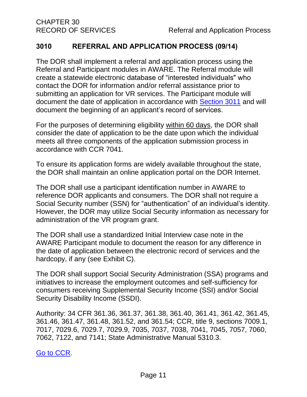#### <span id="page-15-0"></span>**3010 REFERRAL AND APPLICATION PROCESS (09/14)**

The DOR shall implement a referral and application process using the Referral and Participant modules in AWARE. The Referral module will create a statewide electronic database of "interested individuals" who contact the DOR for information and/or referral assistance prior to submitting an application for VR services. The Participant module will document the date of application in accordance with [Section 3011](#page-18-0) and will document the beginning of an applicant's record of services.

For the purposes of determining eligibility within 60 days, the DOR shall consider the date of application to be the date upon which the individual meets all three components of the application submission process in accordance with CCR 7041.

To ensure its application forms are widely available throughout the state, the DOR shall maintain an online application portal on the DOR Internet.

The DOR shall use a participant identification number in AWARE to reference DOR applicants and consumers. The DOR shall not require a Social Security number (SSN) for "authentication" of an individual's identity. However, the DOR may utilize Social Security information as necessary for administration of the VR program grant.

The DOR shall use a standardized Initial Interview case note in the AWARE Participant module to document the reason for any difference in the date of application between the electronic record of services and the hardcopy, if any (see Exhibit C).

The DOR shall support Social Security Administration (SSA) programs and initiatives to increase the employment outcomes and self-sufficiency for consumers receiving Supplemental Security Income (SSI) and/or Social Security Disability Income (SSDI).

Authority: 34 CFR 361.36, 361.37, 361.38, 361.40, 361.41, 361.42, 361.45, 361.46, 361.47, 361.48, 361.52, and 361.54; CCR, title 9, sections 7009.1, 7017, 7029.6, 7029.7, 7029.9, 7035, 7037, 7038, 7041, 7045, 7057, 7060, 7062, 7122, and 7141; State Administrative Manual 5310.3.

[Go to CCR.](file:///G:/Public%20Folder/InDOR%20Documents/VRPRD/PPI/CCR%20DOR%20-%20Effective%201-16-18.docx)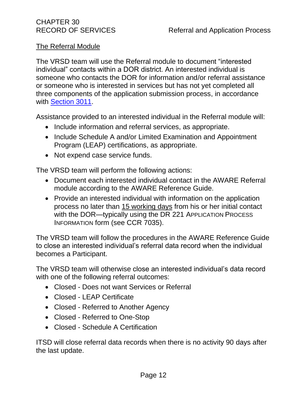#### The Referral Module

The VRSD team will use the Referral module to document "interested individual" contacts within a DOR district. An interested individual is someone who contacts the DOR for information and/or referral assistance or someone who is interested in services but has not yet completed all three components of the application submission process, in accordance with [Section 3011.](#page-18-0)

Assistance provided to an interested individual in the Referral module will:

- Include information and referral services, as appropriate.
- Include Schedule A and/or Limited Examination and Appointment Program (LEAP) certifications, as appropriate.
- Not expend case service funds.

The VRSD team will perform the following actions:

- Document each interested individual contact in the AWARE Referral module according to the AWARE Reference Guide.
- Provide an interested individual with information on the application process no later than 15 working days from his or her initial contact with the DOR—typically using the DR 221 APPLICATION PROCESS INFORMATION form (see CCR 7035).

The VRSD team will follow the procedures in the AWARE Reference Guide to close an interested individual's referral data record when the individual becomes a Participant.

The VRSD team will otherwise close an interested individual's data record with one of the following referral outcomes:

- Closed Does not want Services or Referral
- Closed LEAP Certificate
- Closed Referred to Another Agency
- Closed Referred to One-Stop
- Closed Schedule A Certification

ITSD will close referral data records when there is no activity 90 days after the last update.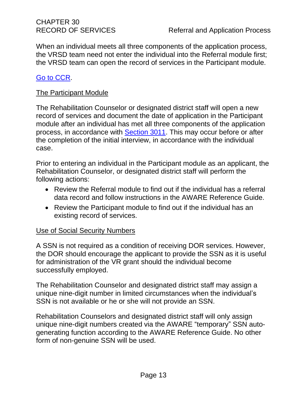When an individual meets all three components of the application process, the VRSD team need not enter the individual into the Referral module first; the VRSD team can open the record of services in the Participant module.

#### [Go to CCR.](file:///G:/Public%20Folder/InDOR%20Documents/VRPRD/PPI/CCR%20DOR%20-%20Effective%201-16-18.docx)

#### The Participant Module

The Rehabilitation Counselor or designated district staff will open a new record of services and document the date of application in the Participant module after an individual has met all three components of the application process, in accordance with [Section 3011.](#page-18-0) This may occur before or after the completion of the initial interview, in accordance with the individual case.

Prior to entering an individual in the Participant module as an applicant, the Rehabilitation Counselor, or designated district staff will perform the following actions:

- Review the Referral module to find out if the individual has a referral data record and follow instructions in the AWARE Reference Guide.
- Review the Participant module to find out if the individual has an existing record of services.

#### Use of Social Security Numbers

A SSN is not required as a condition of receiving DOR services. However, the DOR should encourage the applicant to provide the SSN as it is useful for administration of the VR grant should the individual become successfully employed.

The Rehabilitation Counselor and designated district staff may assign a unique nine-digit number in limited circumstances when the individual's SSN is not available or he or she will not provide an SSN.

Rehabilitation Counselors and designated district staff will only assign unique nine-digit numbers created via the AWARE "temporary" SSN autogenerating function according to the AWARE Reference Guide. No other form of non-genuine SSN will be used.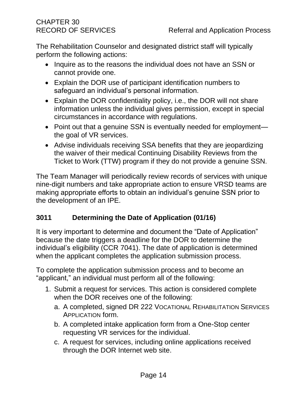The Rehabilitation Counselor and designated district staff will typically perform the following actions:

- Inquire as to the reasons the individual does not have an SSN or cannot provide one.
- Explain the DOR use of participant identification numbers to safeguard an individual's personal information.
- Explain the DOR confidentiality policy, i.e., the DOR will not share information unless the individual gives permission, except in special circumstances in accordance with regulations.
- Point out that a genuine SSN is eventually needed for employment the goal of VR services.
- Advise individuals receiving SSA benefits that they are jeopardizing the waiver of their medical Continuing Disability Reviews from the Ticket to Work (TTW) program if they do not provide a genuine SSN.

The Team Manager will periodically review records of services with unique nine-digit numbers and take appropriate action to ensure VRSD teams are making appropriate efforts to obtain an individual's genuine SSN prior to the development of an IPE.

## <span id="page-18-0"></span>**3011 Determining the Date of Application (01/16)**

It is very important to determine and document the "Date of Application" because the date triggers a deadline for the DOR to determine the individual's eligibility (CCR 7041). The date of application is determined when the applicant completes the application submission process.

To complete the application submission process and to become an "applicant," an individual must perform all of the following:

- 1. Submit a request for services. This action is considered complete when the DOR receives one of the following:
	- a. A completed, signed DR 222 VOCATIONAL REHABILITATION SERVICES APPLICATION form.
	- b. A completed intake application form from a One-Stop center requesting VR services for the individual.
	- c. A request for services, including online applications received through the DOR Internet web site.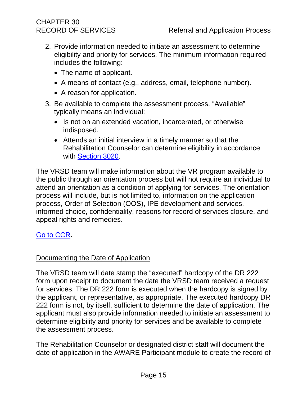- 2. Provide information needed to initiate an assessment to determine eligibility and priority for services. The minimum information required includes the following:
	- The name of applicant.
	- A means of contact (e.g., address, email, telephone number).
	- A reason for application.
- 3. Be available to complete the assessment process. "Available" typically means an individual:
	- Is not on an extended vacation, incarcerated, or otherwise indisposed.
	- Attends an initial interview in a timely manner so that the Rehabilitation Counselor can determine eligibility in accordance with [Section 3020.](#page-24-0)

The VRSD team will make information about the VR program available to the public through an orientation process but will not require an individual to attend an orientation as a condition of applying for services. The orientation process will include, but is not limited to, information on the application process, Order of Selection (OOS), IPE development and services, informed choice, confidentiality, reasons for record of services closure, and appeal rights and remedies.

#### [Go to CCR.](file:///G:/Public%20Folder/InDOR%20Documents/VRPRD/PPI/CCR%20DOR%20-%20Effective%201-16-18.docx)

#### Documenting the Date of Application

The VRSD team will date stamp the "executed" hardcopy of the DR 222 form upon receipt to document the date the VRSD team received a request for services. The DR 222 form is executed when the hardcopy is signed by the applicant, or representative, as appropriate. The executed hardcopy DR 222 form is not, by itself, sufficient to determine the date of application. The applicant must also provide information needed to initiate an assessment to determine eligibility and priority for services and be available to complete the assessment process.

The Rehabilitation Counselor or designated district staff will document the date of application in the AWARE Participant module to create the record of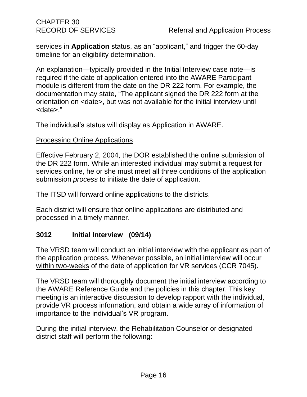services in **Application** status, as an "applicant," and trigger the 60-day timeline for an eligibility determination.

An explanation—typically provided in the Initial Interview case note—is required if the date of application entered into the AWARE Participant module is different from the date on the DR 222 form. For example, the documentation may state, "The applicant signed the DR 222 form at the orientation on <date>, but was not available for the initial interview until <date>."

The individual's status will display as Application in AWARE.

#### Processing Online Applications

Effective February 2, 2004, the DOR established the online submission of the DR 222 form. While an interested individual may submit a request for services online, he or she must meet all three conditions of the application submission *process* to initiate the date of application.

The ITSD will forward online applications to the districts.

Each district will ensure that online applications are distributed and processed in a timely manner.

#### <span id="page-20-0"></span>**3012 Initial Interview (09/14)**

The VRSD team will conduct an initial interview with the applicant as part of the application process. Whenever possible, an initial interview will occur within two-weeks of the date of application for VR services (CCR 7045).

The VRSD team will thoroughly document the initial interview according to the AWARE Reference Guide and the policies in this chapter. This key meeting is an interactive discussion to develop rapport with the individual, provide VR process information, and obtain a wide array of information of importance to the individual's VR program.

During the initial interview, the Rehabilitation Counselor or designated district staff will perform the following: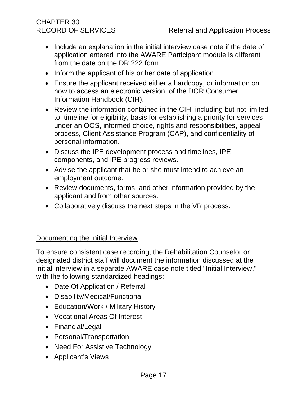- Include an explanation in the initial interview case note if the date of application entered into the AWARE Participant module is different from the date on the DR 222 form.
- Inform the applicant of his or her date of application.
- Ensure the applicant received either a hardcopy, or information on how to access an electronic version, of the DOR Consumer Information Handbook (CIH).
- Review the information contained in the CIH, including but not limited to, timeline for eligibility, basis for establishing a priority for services under an OOS, informed choice, rights and responsibilities, appeal process, Client Assistance Program (CAP), and confidentiality of personal information.
- Discuss the IPE development process and timelines, IPE components, and IPE progress reviews.
- Advise the applicant that he or she must intend to achieve an employment outcome.
- Review documents, forms, and other information provided by the applicant and from other sources.
- Collaboratively discuss the next steps in the VR process.

#### Documenting the Initial Interview

To ensure consistent case recording, the Rehabilitation Counselor or designated district staff will document the information discussed at the initial interview in a separate AWARE case note titled "Initial Interview," with the following standardized headings:

- Date Of Application / Referral
- Disability/Medical/Functional
- Education/Work / Military History
- Vocational Areas Of Interest
- Financial/Legal
- Personal/Transportation
- Need For Assistive Technology
- Applicant's Views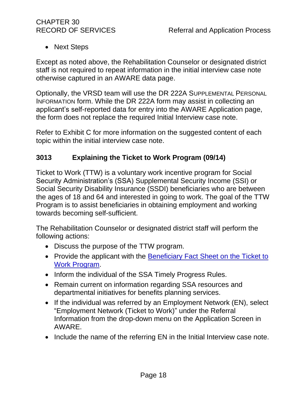• Next Steps

Except as noted above, the Rehabilitation Counselor or designated district staff is not required to repeat information in the initial interview case note otherwise captured in an AWARE data page.

Optionally, the VRSD team will use the DR 222A SUPPLEMENTAL PERSONAL INFORMATION form. While the DR 222A form may assist in collecting an applicant's self-reported data for entry into the AWARE Application page, the form does not replace the required Initial Interview case note.

Refer to Exhibit C for more information on the suggested content of each topic within the initial interview case note.

#### <span id="page-22-0"></span>**3013 Explaining the Ticket to Work Program (09/14)**

Ticket to Work (TTW) is a voluntary work incentive program for Social Security Administration's (SSA) Supplemental Security Income (SSI) or Social Security Disability Insurance (SSDI) beneficiaries who are between the ages of 18 and 64 and interested in going to work. The goal of the TTW Program is to assist beneficiaries in obtaining employment and working towards becoming self-sufficient.

The Rehabilitation Counselor or designated district staff will perform the following actions:

- Discuss the purpose of the TTW program.
- Provide the applicant with the [Beneficiary Fact Sheet on the Ticket to](http://www.dor.ca.gov/VRED/TTW-Docs/TTW-Beneficiary-Fact-Sheet-03-2013.rtf)  [Work Program.](http://www.dor.ca.gov/VRED/TTW-Docs/TTW-Beneficiary-Fact-Sheet-03-2013.rtf)
- Inform the individual of the SSA Timely Progress Rules.
- Remain current on information regarding SSA resources and departmental initiatives for benefits planning services.
- If the individual was referred by an Employment Network (EN), select "Employment Network (Ticket to Work)" under the Referral Information from the drop-down menu on the Application Screen in AWARE.
- Include the name of the referring EN in the Initial Interview case note.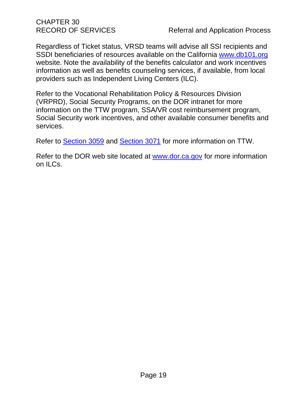Regardless of Ticket status, VRSD teams will advise all SSI recipients and SSDI beneficiaries of resources available on the California [www.db101.org](http://www.db101.org/) website. Note the availability of the benefits calculator and work incentives information as well as benefits counseling services, if available, from local providers such as Independent Living Centers (ILC).

Refer to the Vocational Rehabilitation Policy & Resources Division (VRPRD), Social Security Programs, on the DOR intranet for more information on the TTW program, SSA/VR cost reimbursement program, Social Security work incentives, and other available consumer benefits and services.

Refer to [Section 3059](#page-110-1) and [Section 3071](#page-116-1) for more information on TTW.

Refer to the DOR web site located at [www.dor.ca.gov](http://www.dor.ca.gov/) for more information on ILCs.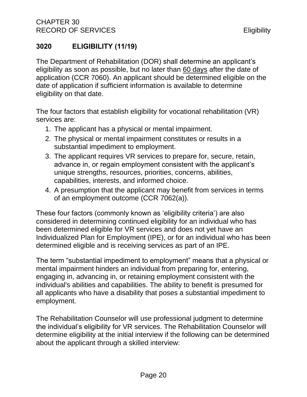# <span id="page-24-0"></span>**3020 ELIGIBILITY (11/19)**

The Department of Rehabilitation (DOR) shall determine an applicant's eligibility as soon as possible, but no later than 60 days after the date of application (CCR 7060). An applicant should be determined eligible on the date of application if sufficient information is available to determine eligibility on that date.

The four factors that establish eligibility for vocational rehabilitation (VR) services are:

- 1. The applicant has a physical or mental impairment.
- 2. The physical or mental impairment constitutes or results in a substantial impediment to employment.
- 3. The applicant requires VR services to prepare for, secure, retain, advance in, or regain employment consistent with the applicant's unique strengths, resources, priorities, concerns, abilities, capabilities, interests, and informed choice.
- 4. A presumption that the applicant may benefit from services in terms of an employment outcome (CCR 7062(a)).

These four factors (commonly known as 'eligibility criteria') are also considered in determining continued eligibility for an individual who has been determined eligible for VR services and does not yet have an Individualized Plan for Employment (IPE), or for an individual who has been determined eligible and is receiving services as part of an IPE.

The term "substantial impediment to employment" means that a physical or mental impairment hinders an individual from preparing for, entering, engaging in, advancing in, or retaining employment consistent with the individual's abilities and capabilities. The ability to benefit is presumed for all applicants who have a disability that poses a substantial impediment to employment.

The Rehabilitation Counselor will use professional judgment to determine the individual's eligibility for VR services. The Rehabilitation Counselor will determine eligibility at the initial interview if the following can be determined about the applicant through a skilled interview: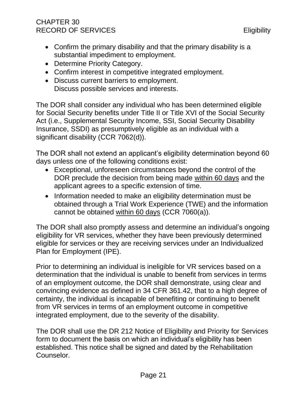#### CHAPTER 30 RECORD OF SERVICES **Eligibility**

- Confirm the primary disability and that the primary disability is a substantial impediment to employment.
- Determine Priority Category.
- Confirm interest in competitive integrated employment.
- Discuss current barriers to employment. Discuss possible services and interests.

The DOR shall consider any individual who has been determined eligible for Social Security benefits under Title II or Title XVI of the Social Security Act (i.e., Supplemental Security Income, SSI, Social Security Disability Insurance, SSDI) as presumptively eligible as an individual with a significant disability (CCR 7062(d)).

The DOR shall not extend an applicant's eligibility determination beyond 60 days unless one of the following conditions exist:

- Exceptional, unforeseen circumstances beyond the control of the DOR preclude the decision from being made within 60 days and the applicant agrees to a specific extension of time.
- Information needed to make an eligibility determination must be obtained through a Trial Work Experience (TWE) and the information cannot be obtained within 60 days (CCR 7060(a)).

The DOR shall also promptly assess and determine an individual's ongoing eligibility for VR services, whether they have been previously determined eligible for services or they are receiving services under an Individualized Plan for Employment (IPE).

Prior to determining an individual is ineligible for VR services based on a determination that the individual is unable to benefit from services in terms of an employment outcome, the DOR shall demonstrate, using clear and convincing evidence as defined in 34 CFR 361.42, that to a high degree of certainty, the individual is incapable of benefiting or continuing to benefit from VR services in terms of an employment outcome in competitive integrated employment, due to the severity of the disability.

The DOR shall use the DR 212 Notice of Eligibility and Priority for Services form to document the basis on which an individual's eligibility has been established. This notice shall be signed and dated by the Rehabilitation Counselor.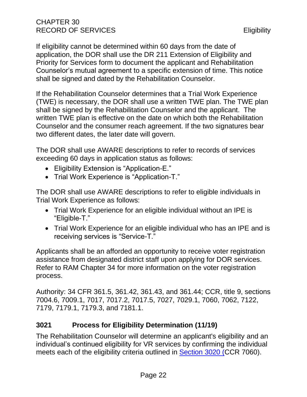If eligibility cannot be determined within 60 days from the date of application, the DOR shall use the DR 211 Extension of Eligibility and Priority for Services form to document the applicant and Rehabilitation Counselor's mutual agreement to a specific extension of time. This notice shall be signed and dated by the Rehabilitation Counselor.

If the Rehabilitation Counselor determines that a Trial Work Experience (TWE) is necessary, the DOR shall use a written TWE plan. The TWE plan shall be signed by the Rehabilitation Counselor and the applicant. The written TWE plan is effective on the date on which both the Rehabilitation Counselor and the consumer reach agreement. If the two signatures bear two different dates, the later date will govern.

The DOR shall use AWARE descriptions to refer to records of services exceeding 60 days in application status as follows:

- Eligibility Extension is "Application-E."
- Trial Work Experience is "Application-T."

The DOR shall use AWARE descriptions to refer to eligible individuals in Trial Work Experience as follows:

- Trial Work Experience for an eligible individual without an IPE is "Eligible-T."
- Trial Work Experience for an eligible individual who has an IPE and is receiving services is "Service-T."

Applicants shall be an afforded an opportunity to receive voter registration assistance from designated district staff upon applying for DOR services. Refer to RAM Chapter 34 for more information on the voter registration process.

Authority: 34 CFR 361.5, 361.42, 361.43, and 361.44; CCR, title 9, sections 7004.6, 7009.1, 7017, 7017.2, 7017.5, 7027, 7029.1, 7060, 7062, 7122, 7179, 7179.1, 7179.3, and 7181.1.

## <span id="page-26-0"></span>**3021 Process for Eligibility Determination (11/19)**

The Rehabilitation Counselor will determine an applicant's eligibility and an individual's continued eligibility for VR services by confirming the individual meets each of the eligibility criteria outlined in [Section](#page-24-0) 3020 (CCR 7060).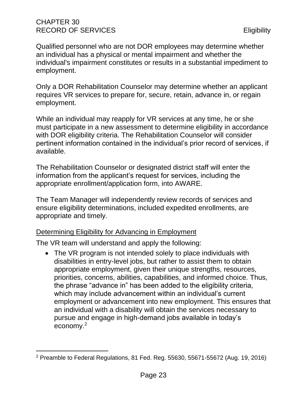Qualified personnel who are not DOR employees may determine whether an individual has a physical or mental impairment and whether the individual's impairment constitutes or results in a substantial impediment to employment.

Only a DOR Rehabilitation Counselor may determine whether an applicant requires VR services to prepare for, secure, retain, advance in, or regain employment.

While an individual may reapply for VR services at any time, he or she must participate in a new assessment to determine eligibility in accordance with DOR eligibility criteria. The Rehabilitation Counselor will consider pertinent information contained in the individual's prior record of services, if available.

The Rehabilitation Counselor or designated district staff will enter the information from the applicant's request for services, including the appropriate enrollment/application form, into AWARE.

The Team Manager will independently review records of services and ensure eligibility determinations, included expedited enrollments, are appropriate and timely.

#### Determining Eligibility for Advancing in Employment

The VR team will understand and apply the following:

• The VR program is not intended solely to place individuals with disabilities in entry-level jobs, but rather to assist them to obtain appropriate employment, given their unique strengths, resources, priorities, concerns, abilities, capabilities, and informed choice. Thus, the phrase "advance in" has been added to the eligibility criteria, which may include advancement within an individual's current employment or advancement into new employment. This ensures that an individual with a disability will obtain the services necessary to pursue and engage in high-demand jobs available in today's economy.<sup>2</sup>

<sup>2</sup> Preamble to Federal Regulations, 81 Fed. Reg. 55630, 55671-55672 (Aug. 19, 2016)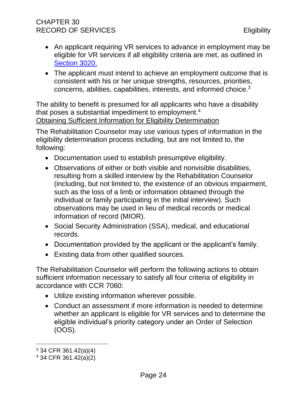### CHAPTER 30 RECORD OF SERVICES **Eligibility**

- An applicant requiring VR services to advance in employment may be eligible for VR services if all eligibility criteria are met, as outlined in [Section 3020.](#page-24-0)
- The applicant must intend to achieve an employment outcome that is consistent with his or her unique strengths, resources, priorities, concerns, abilities, capabilities, interests, and informed choice.<sup>3</sup>

The ability to benefit is presumed for all applicants who have a disability that poses a substantial impediment to employment.<sup>4</sup> Obtaining Sufficient Information for Eligibility Determination

The Rehabilitation Counselor may use various types of information in the eligibility determination process including, but are not limited to, the following:

- Documentation used to establish presumptive eligibility.
- Observations of either or both visible and nonvisible disabilities, resulting from a skilled interview by the Rehabilitation Counselor (including, but not limited to, the existence of an obvious impairment, such as the loss of a limb or information obtained through the individual or family participating in the initial interview). Such observations may be used in lieu of medical records or medical information of record (MIOR).
- Social Security Administration (SSA), medical, and educational records.
- Documentation provided by the applicant or the applicant's family.
- Existing data from other qualified sources.

The Rehabilitation Counselor will perform the following actions to obtain sufficient information necessary to satisfy all four criteria of eligibility in accordance with CCR 7060:

- Utilize existing information wherever possible.
- Conduct an assessment if more information is needed to determine whether an applicant is eligible for VR services and to determine the eligible individual's priority category under an Order of Selection (OOS).

<sup>3</sup> 34 CFR 361.42(a)(4)

<sup>4</sup> 34 CFR 361.42(a)(2)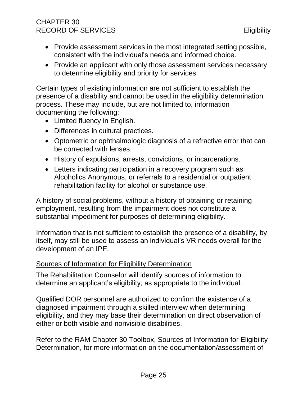#### CHAPTER 30 RECORD OF SERVICES Eligibility

- Provide assessment services in the most integrated setting possible, consistent with the individual's needs and informed choice.
- Provide an applicant with only those assessment services necessary to determine eligibility and priority for services.

Certain types of existing information are not sufficient to establish the presence of a disability and cannot be used in the eligibility determination process. These may include, but are not limited to, information documenting the following:

- Limited fluency in English.
- Differences in cultural practices.
- Optometric or ophthalmologic diagnosis of a refractive error that can be corrected with lenses.
- History of expulsions, arrests, convictions, or incarcerations.
- Letters indicating participation in a recovery program such as Alcoholics Anonymous, or referrals to a residential or outpatient rehabilitation facility for alcohol or substance use.

A history of social problems, without a history of obtaining or retaining employment, resulting from the impairment does not constitute a substantial impediment for purposes of determining eligibility.

Information that is not sufficient to establish the presence of a disability, by itself, may still be used to assess an individual's VR needs overall for the development of an IPE.

#### Sources of Information for Eligibility Determination

The Rehabilitation Counselor will identify sources of information to determine an applicant's eligibility, as appropriate to the individual.

Qualified DOR personnel are authorized to confirm the existence of a diagnosed impairment through a skilled interview when determining eligibility, and they may base their determination on direct observation of either or both visible and nonvisible disabilities.

Refer to the RAM Chapter 30 Toolbox, Sources of Information for Eligibility Determination, for more information on the documentation/assessment of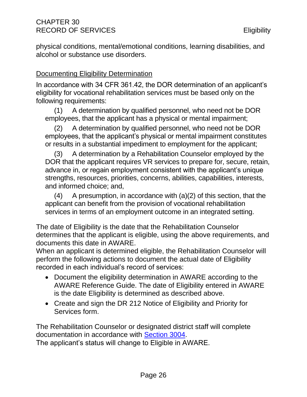physical conditions, mental/emotional conditions, learning disabilities, and alcohol or substance use disorders.

#### Documenting Eligibility Determination

In accordance with 34 CFR 361.42, the DOR determination of an applicant's eligibility for vocational rehabilitation services must be based only on the following requirements:

(1) A determination by qualified personnel, who need not be DOR employees, that the applicant has a physical or mental impairment;

(2) A determination by qualified personnel, who need not be DOR employees, that the applicant's physical or mental impairment constitutes or results in a substantial impediment to employment for the applicant;

(3) A determination by a Rehabilitation Counselor employed by the DOR that the applicant requires VR services to prepare for, secure, retain, advance in, or regain employment consistent with the applicant's unique strengths, resources, priorities, concerns, abilities, capabilities, interests, and informed choice; and,

 $(4)$  A presumption, in accordance with  $(a)(2)$  of this section, that the applicant can benefit from the provision of vocational rehabilitation services in terms of an employment outcome in an integrated setting.

The date of Eligibility is the date that the Rehabilitation Counselor determines that the applicant is eligible, using the above requirements, and documents this date in AWARE.

When an applicant is determined eligible, the Rehabilitation Counselor will perform the following actions to document the actual date of Eligibility recorded in each individual's record of services:

- Document the eligibility determination in AWARE according to the AWARE Reference Guide. The date of Eligibility entered in AWARE is the date Eligibility is determined as described above.
- Create and sign the DR 212 Notice of Eligibility and Priority for Services form.

The Rehabilitation Counselor or designated district staff will complete documentation in accordance with [Section 3004.](#page-13-0)

The applicant's status will change to Eligible in AWARE.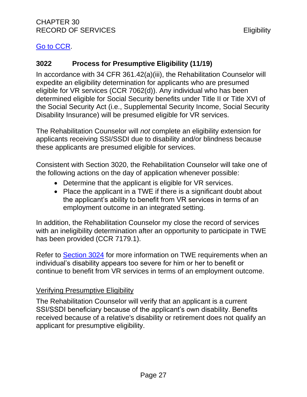#### [Go to CCR.](file:///G:/Public%20Folder/InDOR%20Documents/VRPRD/PPI/CCR%20DOR%20-%20Effective%201-16-18.docx)

#### <span id="page-31-0"></span>**3022 Process for Presumptive Eligibility (11/19)**

In accordance with 34 CFR 361.42(a)(iii), the Rehabilitation Counselor will expedite an eligibility determination for applicants who are presumed eligible for VR services (CCR 7062(d)). Any individual who has been determined eligible for Social Security benefits under Title II or Title XVI of the Social Security Act (i.e., Supplemental Security Income, Social Security Disability Insurance) will be presumed eligible for VR services.

The Rehabilitation Counselor will *not* complete an eligibility extension for applicants receiving SSI/SSDI due to disability and/or blindness because these applicants are presumed eligible for services.

Consistent with Section 3020, the Rehabilitation Counselor will take one of the following actions on the day of application whenever possible:

- Determine that the applicant is eligible for VR services.
- Place the applicant in a TWE if there is a significant doubt about the applicant's ability to benefit from VR services in terms of an employment outcome in an integrated setting.

In addition, the Rehabilitation Counselor my close the record of services with an ineligibility determination after an opportunity to participate in TWE has been provided (CCR 7179.1).

Refer to [Section 3024](#page-36-0) for more information on TWE requirements when an individual's disability appears too severe for him or her to benefit or continue to benefit from VR services in terms of an employment outcome.

#### Verifying Presumptive Eligibility

The Rehabilitation Counselor will verify that an applicant is a current SSI/SSDI beneficiary because of the applicant's own disability. Benefits received because of a relative's disability or retirement does not qualify an applicant for presumptive eligibility.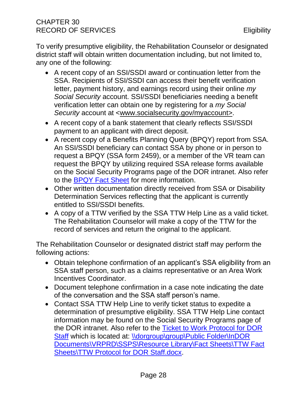To verify presumptive eligibility, the Rehabilitation Counselor or designated district staff will obtain written documentation including, but not limited to, any one of the following:

- A recent copy of an SSI/SSDI award or continuation letter from the SSA. Recipients of SSI/SSDI can access their benefit verification letter, payment history, and earnings record using their online *my Social Security* account. SSI/SSDI beneficiaries needing a benefit verification letter can obtain one by registering for a *my Social Security* account at [<www.socialsecurity.gov/myaccount>](http://www.socialsecurity.gov/myaccount).
- A recent copy of a bank statement that clearly reflects SSI/SSDI payment to an applicant with direct deposit.
- A recent copy of a Benefits Planning Query (BPQY) report from SSA. An SSI/SSDI beneficiary can contact SSA by phone or in person to request a BPQY (SSA form 2459), or a member of the VR team can request the BPQY by utilizing required SSA release forms available on the Social Security Programs page of the DOR intranet. Also refer to the [BPQY Fact Sheet](file://///dorgroup/group/Public%20Folder/InDOR%20Documents/VRPRD/SSPS/Resource%20Library/Fact%20Sheets/BPQY%20Fact%20Sheet.docx) for more information.
- Other written documentation directly received from SSA or Disability Determination Services reflecting that the applicant is currently entitled to SSI/SSDI benefits.
- A copy of a TTW verified by the SSA TTW Help Line as a valid ticket. The Rehabilitation Counselor will make a copy of the TTW for the record of services and return the original to the applicant.

The Rehabilitation Counselor or designated district staff may perform the following actions:

- Obtain telephone confirmation of an applicant's SSA eligibility from an SSA staff person, such as a claims representative or an Area Work Incentives Coordinator.
- Document telephone confirmation in a case note indicating the date of the conversation and the SSA staff person's name.
- Contact SSA TTW Help Line to verify ticket status to expedite a determination of presumptive eligibility. SSA TTW Help Line contact information may be found on the Social Security Programs page of the DOR intranet. Also refer to the [Ticket to Work Protocol for DOR](file://///dorgroup/group/Public%20Folder/InDOR%20Documents/VRPRD/SSPS/Resource%20Library/Fact%20Sheets/TTW%20Fact%20Sheets/TTW%20Protocol%20for%20DOR%20Staff.docx)  [Staff](file://///dorgroup/group/Public%20Folder/InDOR%20Documents/VRPRD/SSPS/Resource%20Library/Fact%20Sheets/TTW%20Fact%20Sheets/TTW%20Protocol%20for%20DOR%20Staff.docx) which is located at: \\dorgroup\group\Public Folder\InDOR [Documents\VRPRD\SSPS\Resource Library\Fact Sheets\TTW Fact](file://///dorgroup/group/Public%20Folder/InDOR%20Documents/VRPRD/SSPS/Resource%20Library/Fact%20Sheets/TTW%20Fact%20Sheets/TTW%20Protocol%20for%20DOR%20Staff.docx)  [Sheets\TTW Protocol for DOR Staff.docx.](file://///dorgroup/group/Public%20Folder/InDOR%20Documents/VRPRD/SSPS/Resource%20Library/Fact%20Sheets/TTW%20Fact%20Sheets/TTW%20Protocol%20for%20DOR%20Staff.docx)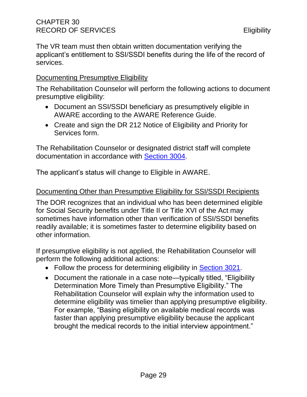The VR team must then obtain written documentation verifying the applicant's entitlement to SSI/SSDI benefits during the life of the record of services.

#### Documenting Presumptive Eligibility

The Rehabilitation Counselor will perform the following actions to document presumptive eligibility:

- Document an SSI/SSDI beneficiary as presumptively eligible in AWARE according to the AWARE Reference Guide.
- Create and sign the DR 212 Notice of Eligibility and Priority for Services form.

The Rehabilitation Counselor or designated district staff will complete documentation in accordance with [Section 3004.](#page-13-0)

The applicant's status will change to Eligible in AWARE.

#### Documenting Other than Presumptive Eligibility for SSI/SSDI Recipients

The DOR recognizes that an individual who has been determined eligible for Social Security benefits under Title II or Title XVI of the Act may sometimes have information other than verification of SSI/SSDI benefits readily available; it is sometimes faster to determine eligibility based on other information.

If presumptive eligibility is not applied, the Rehabilitation Counselor will perform the following additional actions:

- Follow the process for determining eligibility in [Section 3021.](#page-26-0)
- Document the rationale in a case note—typically titled, "Eligibility Determination More Timely than Presumptive Eligibility." The Rehabilitation Counselor will explain why the information used to determine eligibility was timelier than applying presumptive eligibility. For example, "Basing eligibility on available medical records was faster than applying presumptive eligibility because the applicant brought the medical records to the initial interview appointment."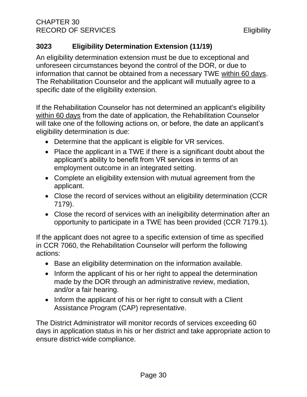## <span id="page-34-0"></span>**3023 Eligibility Determination Extension (11/19)**

An eligibility determination extension must be due to exceptional and unforeseen circumstances beyond the control of the DOR, or due to information that cannot be obtained from a necessary TWE within 60 days. The Rehabilitation Counselor and the applicant will mutually agree to a specific date of the eligibility extension.

If the Rehabilitation Counselor has not determined an applicant's eligibility within 60 days from the date of application, the Rehabilitation Counselor will take one of the following actions on, or before, the date an applicant's eligibility determination is due:

- Determine that the applicant is eligible for VR services.
- Place the applicant in a TWE if there is a significant doubt about the applicant's ability to benefit from VR services in terms of an employment outcome in an integrated setting.
- Complete an eligibility extension with mutual agreement from the applicant.
- Close the record of services without an eligibility determination (CCR 7179).
- Close the record of services with an ineligibility determination after an opportunity to participate in a TWE has been provided (CCR 7179.1).

If the applicant does not agree to a specific extension of time as specified in CCR 7060, the Rehabilitation Counselor will perform the following actions:

- Base an eligibility determination on the information available.
- Inform the applicant of his or her right to appeal the determination made by the DOR through an administrative review, mediation, and/or a fair hearing.
- Inform the applicant of his or her right to consult with a Client Assistance Program (CAP) representative.

The District Administrator will monitor records of services exceeding 60 days in application status in his or her district and take appropriate action to ensure district-wide compliance.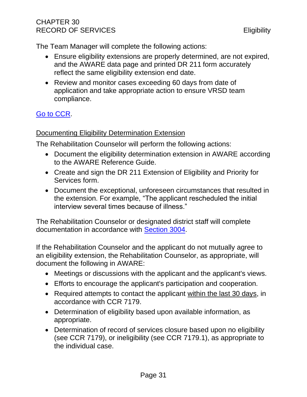The Team Manager will complete the following actions:

- Ensure eligibility extensions are properly determined, are not expired, and the AWARE data page and printed DR 211 form accurately reflect the same eligibility extension end date.
- Review and monitor cases exceeding 60 days from date of application and take appropriate action to ensure VRSD team compliance.

# [Go to CCR.](file:///G:/Public%20Folder/InDOR%20Documents/VRPRD/PPI/CCR%20DOR%20-%20Effective%201-16-18.docx)

#### Documenting Eligibility Determination Extension

The Rehabilitation Counselor will perform the following actions:

- Document the eligibility determination extension in AWARE according to the AWARE Reference Guide.
- Create and sign the DR 211 Extension of Eligibility and Priority for Services form.
- Document the exceptional, unforeseen circumstances that resulted in the extension. For example, "The applicant rescheduled the initial interview several times because of illness."

The Rehabilitation Counselor or designated district staff will complete documentation in accordance with [Section 3004.](#page-13-0)

If the Rehabilitation Counselor and the applicant do not mutually agree to an eligibility extension, the Rehabilitation Counselor, as appropriate, will document the following in AWARE:

- Meetings or discussions with the applicant and the applicant's views.
- Efforts to encourage the applicant's participation and cooperation.
- Required attempts to contact the applicant within the last 30 days, in accordance with CCR 7179.
- Determination of eligibility based upon available information, as appropriate.
- Determination of record of services closure based upon no eligibility (see CCR 7179), or ineligibility (see CCR 7179.1), as appropriate to the individual case.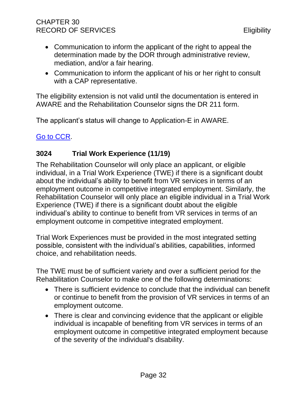- Communication to inform the applicant of the right to appeal the determination made by the DOR through administrative review, mediation, and/or a fair hearing.
- Communication to inform the applicant of his or her right to consult with a CAP representative.

The eligibility extension is not valid until the documentation is entered in AWARE and the Rehabilitation Counselor signs the DR 211 form.

The applicant's status will change to Application-E in AWARE.

<span id="page-36-0"></span>[Go to CCR.](file:///G:/Public%20Folder/InDOR%20Documents/VRPRD/PPI/CCR%20DOR%20-%20Effective%201-16-18.docx)

# **3024 Trial Work Experience (11/19)**

The Rehabilitation Counselor will only place an applicant, or eligible individual, in a Trial Work Experience (TWE) if there is a significant doubt about the individual's ability to benefit from VR services in terms of an employment outcome in competitive integrated employment. Similarly, the Rehabilitation Counselor will only place an eligible individual in a Trial Work Experience (TWE) if there is a significant doubt about the eligible individual's ability to continue to benefit from VR services in terms of an employment outcome in competitive integrated employment.

Trial Work Experiences must be provided in the most integrated setting possible, consistent with the individual's abilities, capabilities, informed choice, and rehabilitation needs.

The TWE must be of sufficient variety and over a sufficient period for the Rehabilitation Counselor to make one of the following determinations:

- There is sufficient evidence to conclude that the individual can benefit or continue to benefit from the provision of VR services in terms of an employment outcome.
- There is clear and convincing evidence that the applicant or eligible individual is incapable of benefiting from VR services in terms of an employment outcome in competitive integrated employment because of the severity of the individual's disability.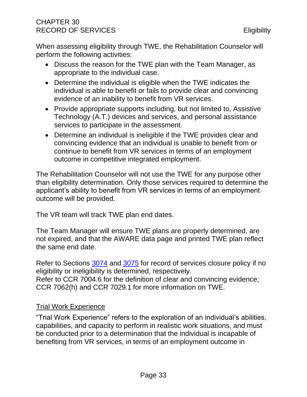When assessing eligibility through TWE, the Rehabilitation Counselor will perform the following activities:

- Discuss the reason for the TWE plan with the Team Manager, as appropriate to the individual case.
- Determine the individual is eligible when the TWE indicates the individual is able to benefit or fails to provide clear and convincing evidence of an inability to benefit from VR services.
- Provide appropriate supports including, but not limited to, Assistive Technology (A.T.) devices and services, and personal assistance services to participate in the assessment.
- Determine an individual is ineligible if the TWE provides clear and convincing evidence that an individual is unable to benefit from or continue to benefit from VR services in terms of an employment outcome in competitive integrated employment.

The Rehabilitation Counselor will not use the TWE for any purpose other than eligibility determination. Only those services required to determine the applicant's ability to benefit from VR services in terms of an employment outcome will be provided.

The VR team will track TWE plan end dates.

The Team Manager will ensure TWE plans are properly determined, are not expired, and that the AWARE data page and printed TWE plan reflect the same end date.

Refer to Sections [3074](#page-122-0) and [3075](#page-124-0) for record of services closure policy if no eligibility or ineligibility is determined, respectively. Refer to CCR 7004.6 for the definition of clear and convincing evidence; CCR 7062(h) and CCR 7029.1 for more information on TWE.

## Trial Work Experience

"Trial Work Experience" refers to the exploration of an individual's abilities, capabilities, and capacity to perform in realistic work situations, and must be conducted prior to a determination that the individual is incapable of benefiting from VR services, in terms of an employment outcome in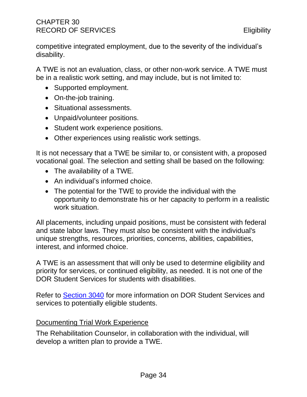competitive integrated employment, due to the severity of the individual's disability.

A TWE is not an evaluation, class, or other non-work service. A TWE must be in a realistic work setting, and may include, but is not limited to:

- Supported employment.
- On-the-job training.
- Situational assessments.
- Unpaid/volunteer positions.
- Student work experience positions.
- Other experiences using realistic work settings.

It is not necessary that a TWE be similar to, or consistent with, a proposed vocational goal. The selection and setting shall be based on the following:

- The availability of a TWE.
- An individual's informed choice.
- The potential for the TWE to provide the individual with the opportunity to demonstrate his or her capacity to perform in a realistic work situation.

All placements, including unpaid positions, must be consistent with federal and state labor laws. They must also be consistent with the individual's unique strengths, resources, priorities, concerns, abilities, capabilities, interest, and informed choice.

A TWE is an assessment that will only be used to determine eligibility and priority for services, or continued eligibility, as needed. It is not one of the DOR Student Services for students with disabilities.

Refer to **Section 3040** for more information on DOR Student Services and services to potentially eligible students.

## Documenting Trial Work Experience

The Rehabilitation Counselor, in collaboration with the individual, will develop a written plan to provide a TWE.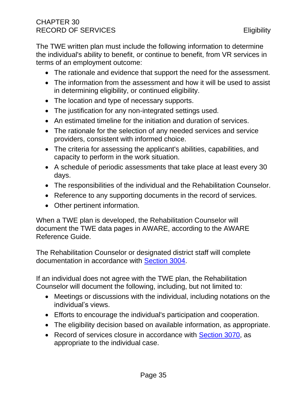The TWE written plan must include the following information to determine the individual's ability to benefit, or continue to benefit, from VR services in terms of an employment outcome:

- The rationale and evidence that support the need for the assessment.
- The information from the assessment and how it will be used to assist in determining eligibility, or continued eligibility.
- The location and type of necessary supports.
- The justification for any non-integrated settings used.
- An estimated timeline for the initiation and duration of services.
- The rationale for the selection of any needed services and service providers, consistent with informed choice.
- The criteria for assessing the applicant's abilities, capabilities, and capacity to perform in the work situation.
- A schedule of periodic assessments that take place at least every 30 days.
- The responsibilities of the individual and the Rehabilitation Counselor.
- Reference to any supporting documents in the record of services.
- Other pertinent information.

When a TWE plan is developed, the Rehabilitation Counselor will document the TWE data pages in AWARE, according to the AWARE Reference Guide.

The Rehabilitation Counselor or designated district staff will complete documentation in accordance with [Section 3004.](#page-13-0)

If an individual does not agree with the TWE plan, the Rehabilitation Counselor will document the following, including, but not limited to:

- Meetings or discussions with the individual, including notations on the individual's views.
- Efforts to encourage the individual's participation and cooperation.
- The eligibility decision based on available information, as appropriate.
- Record of services closure in accordance with [Section 3070,](#page-116-0) as appropriate to the individual case.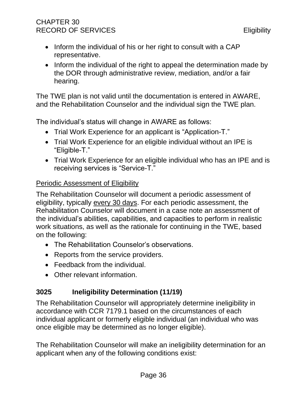# CHAPTER 30 RECORD OF SERVICES **Eligibility**

- Inform the individual of his or her right to consult with a CAP representative.
- Inform the individual of the right to appeal the determination made by the DOR through administrative review, mediation, and/or a fair hearing.

The TWE plan is not valid until the documentation is entered in AWARE, and the Rehabilitation Counselor and the individual sign the TWE plan.

The individual's status will change in AWARE as follows:

- Trial Work Experience for an applicant is "Application-T."
- Trial Work Experience for an eligible individual without an IPE is "Eligible-T."
- Trial Work Experience for an eligible individual who has an IPE and is receiving services is "Service-T."

## Periodic Assessment of Eligibility

The Rehabilitation Counselor will document a periodic assessment of eligibility, typically every 30 days. For each periodic assessment, the Rehabilitation Counselor will document in a case note an assessment of the individual's abilities, capabilities, and capacities to perform in realistic work situations, as well as the rationale for continuing in the TWE, based on the following:

- The Rehabilitation Counselor's observations.
- Reports from the service providers.
- Feedback from the individual.
- Other relevant information.

# **3025 Ineligibility Determination (11/19)**

The Rehabilitation Counselor will appropriately determine ineligibility in accordance with CCR 7179.1 based on the circumstances of each individual applicant or formerly eligible individual (an individual who was once eligible may be determined as no longer eligible).

The Rehabilitation Counselor will make an ineligibility determination for an applicant when any of the following conditions exist: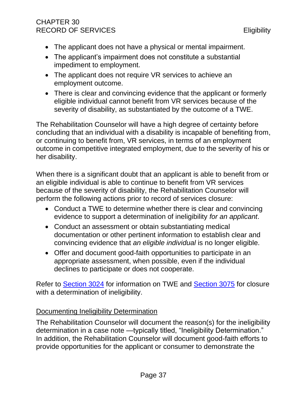# CHAPTER 30 RECORD OF SERVICES **Eligibility**

- The applicant does not have a physical or mental impairment.
- The applicant's impairment does not constitute a substantial impediment to employment.
- The applicant does not require VR services to achieve an employment outcome.
- There is clear and convincing evidence that the applicant or formerly eligible individual cannot benefit from VR services because of the severity of disability, as substantiated by the outcome of a TWE.

The Rehabilitation Counselor will have a high degree of certainty before concluding that an individual with a disability is incapable of benefiting from, or continuing to benefit from, VR services, in terms of an employment outcome in competitive integrated employment, due to the severity of his or her disability.

When there is a significant doubt that an applicant is able to benefit from or an eligible individual is able to continue to benefit from VR services because of the severity of disability, the Rehabilitation Counselor will perform the following actions prior to record of services closure:

- Conduct a TWE to determine whether there is clear and convincing evidence to support a determination of ineligibility *for an applicant*.
- Conduct an assessment or obtain substantiating medical documentation or other pertinent information to establish clear and convincing evidence that *an eligible individual* is no longer eligible.
- Offer and document good-faith opportunities to participate in an appropriate assessment, when possible, even if the individual declines to participate or does not cooperate.

Refer to **Section 3024** for information on TWE and **Section 3075** for closure with a determination of ineligibility.

# Documenting Ineligibility Determination

The Rehabilitation Counselor will document the reason(s) for the ineligibility determination in a case note —typically titled, "Ineligibility Determination." In addition, the Rehabilitation Counselor will document good-faith efforts to provide opportunities for the applicant or consumer to demonstrate the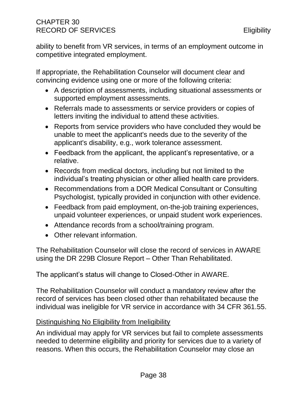ability to benefit from VR services, in terms of an employment outcome in competitive integrated employment.

If appropriate, the Rehabilitation Counselor will document clear and convincing evidence using one or more of the following criteria:

- A description of assessments, including situational assessments or supported employment assessments.
- Referrals made to assessments or service providers or copies of letters inviting the individual to attend these activities.
- Reports from service providers who have concluded they would be unable to meet the applicant's needs due to the severity of the applicant's disability, e.g., work tolerance assessment.
- Feedback from the applicant, the applicant's representative, or a relative.
- Records from medical doctors, including but not limited to the individual's treating physician or other allied health care providers.
- Recommendations from a DOR Medical Consultant or Consulting Psychologist, typically provided in conjunction with other evidence.
- Feedback from paid employment, on-the-job training experiences, unpaid volunteer experiences, or unpaid student work experiences.
- Attendance records from a school/training program.
- Other relevant information.

The Rehabilitation Counselor will close the record of services in AWARE using the DR 229B Closure Report – Other Than Rehabilitated.

The applicant's status will change to Closed-Other in AWARE.

The Rehabilitation Counselor will conduct a mandatory review after the record of services has been closed other than rehabilitated because the individual was ineligible for VR service in accordance with 34 CFR 361.55.

## Distinguishing No Eligibility from Ineligibility

An individual may apply for VR services but fail to complete assessments needed to determine eligibility and priority for services due to a variety of reasons. When this occurs, the Rehabilitation Counselor may close an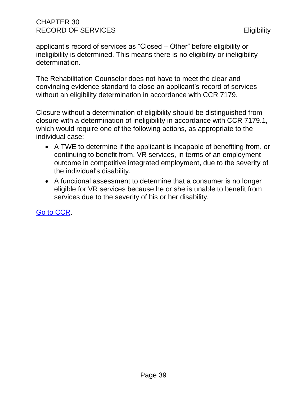# CHAPTER 30 RECORD OF SERVICES **Eligibility**

applicant's record of services as "Closed – Other" before eligibility or ineligibility is determined. This means there is no eligibility or ineligibility determination.

The Rehabilitation Counselor does not have to meet the clear and convincing evidence standard to close an applicant's record of services without an eligibility determination in accordance with CCR 7179.

Closure without a determination of eligibility should be distinguished from closure with a determination of ineligibility in accordance with CCR 7179.1, which would require one of the following actions, as appropriate to the individual case:

- A TWE to determine if the applicant is incapable of benefiting from, or continuing to benefit from, VR services, in terms of an employment outcome in competitive integrated employment, due to the severity of the individual's disability.
- A functional assessment to determine that a consumer is no longer eligible for VR services because he or she is unable to benefit from services due to the severity of his or her disability.

[Go to CCR.](file:///G:/Public%20Folder/InDOR%20Documents/VRPRD/PPI/CCR%20DOR%20-%20Effective%201-16-18.docx)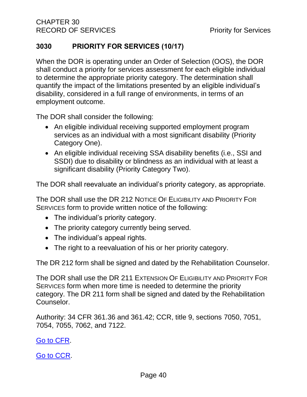# <span id="page-44-0"></span>**3030 PRIORITY FOR SERVICES (10/17)**

When the DOR is operating under an Order of Selection (OOS), the DOR shall conduct a priority for services assessment for each eligible individual to determine the appropriate priority category. The determination shall quantify the impact of the limitations presented by an eligible individual's disability, considered in a full range of environments, in terms of an employment outcome.

The DOR shall consider the following:

- An eligible individual receiving supported employment program services as an individual with a most significant disability (Priority Category One).
- An eligible individual receiving SSA disability benefits (i.e., SSI and SSDI) due to disability or blindness as an individual with at least a significant disability (Priority Category Two).

The DOR shall reevaluate an individual's priority category, as appropriate.

The DOR shall use the DR 212 NOTICE OF ELIGIBILITY AND PRIORITY FOR SERVICES form to provide written notice of the following:

- The individual's priority category.
- The priority category currently being served.
- The individual's appeal rights.
- The right to a reevaluation of his or her priority category.

The DR 212 form shall be signed and dated by the Rehabilitation Counselor.

The DOR shall use the DR 211 EXTENSION OF ELIGIBILITY AND PRIORITY FOR SERVICES form when more time is needed to determine the priority category. The DR 211 form shall be signed and dated by the Rehabilitation Counselor.

Authority: 34 CFR 361.36 and 361.42; CCR, title 9, sections 7050, 7051, 7054, 7055, 7062, and 7122.

[Go to CFR.](http://www.ecfr.gov/cgi-bin/text-idx?SID=3ddab82d125c3f9dfd00229383f8bca0&mc=true&node=pt34.2.361&rgn=div5#_top)

[Go to CCR.](file:///G:/Public%20Folder/InDOR%20Documents/VRPRD/PPI/CCR%20DOR%20-%20Effective%201-16-18.docx)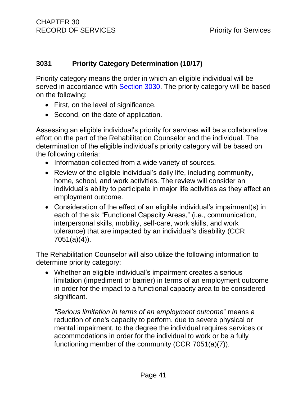## <span id="page-45-0"></span>**3031 Priority Category Determination (10/17)**

Priority category means the order in which an eligible individual will be served in accordance with [Section 3030.](#page-44-0) The priority category will be based on the following:

- First, on the level of significance.
- Second, on the date of application.

Assessing an eligible individual's priority for services will be a collaborative effort on the part of the Rehabilitation Counselor and the individual. The determination of the eligible individual's priority category will be based on the following criteria:

- Information collected from a wide variety of sources.
- Review of the eligible individual's daily life, including community, home, school, and work activities. The review will consider an individual's ability to participate in major life activities as they affect an employment outcome.
- Consideration of the effect of an eligible individual's impairment(s) in each of the six "Functional Capacity Areas," (i.e., communication, interpersonal skills, mobility, self-care, work skills, and work tolerance) that are impacted by an individual's disability (CCR 7051(a)(4)).

The Rehabilitation Counselor will also utilize the following information to determine priority category:

• Whether an eligible individual's impairment creates a serious limitation (impediment or barrier) in terms of an employment outcome in order for the impact to a functional capacity area to be considered significant.

*"Serious limitation in terms of an employment outcome*" means a reduction of one's capacity to perform, due to severe physical or mental impairment, to the degree the individual requires services or accommodations in order for the individual to work or be a fully functioning member of the community (CCR 7051(a)(7)).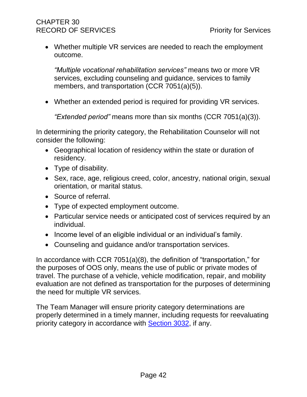# CHAPTER 30 RECORD OF SERVICES **Priority for Services**

• Whether multiple VR services are needed to reach the employment outcome.

*"Multiple vocational rehabilitation services"* means two or more VR services, excluding counseling and guidance, services to family members, and transportation (CCR 7051(a)(5)).

• Whether an extended period is required for providing VR services.

*"Extended period"* means more than six months (CCR 7051(a)(3)).

In determining the priority category, the Rehabilitation Counselor will not consider the following:

- Geographical location of residency within the state or duration of residency.
- Type of disability.
- Sex, race, age, religious creed, color, ancestry, national origin, sexual orientation, or marital status.
- Source of referral.
- Type of expected employment outcome.
- Particular service needs or anticipated cost of services required by an individual.
- Income level of an eligible individual or an individual's family.
- Counseling and guidance and/or transportation services.

In accordance with CCR 7051(a)(8), the definition of "transportation," for the purposes of OOS only, means the use of public or private modes of travel. The purchase of a vehicle, vehicle modification, repair, and mobility evaluation are not defined as transportation for the purposes of determining the need for multiple VR services.

The Team Manager will ensure priority category determinations are properly determined in a timely manner, including requests for reevaluating priority category in accordance with [Section 3032,](#page-47-0) if any.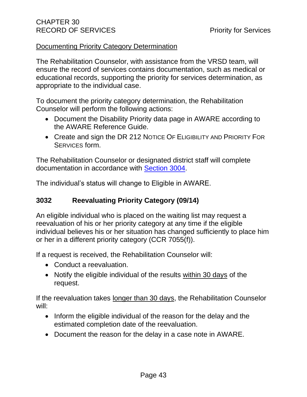#### Documenting Priority Category Determination

The Rehabilitation Counselor, with assistance from the VRSD team, will ensure the record of services contains documentation, such as medical or educational records, supporting the priority for services determination, as appropriate to the individual case.

To document the priority category determination, the Rehabilitation Counselor will perform the following actions:

- Document the Disability Priority data page in AWARE according to the AWARE Reference Guide.
- Create and sign the DR 212 NOTICE OF ELIGIBILITY AND PRIORITY FOR SERVICES form.

The Rehabilitation Counselor or designated district staff will complete documentation in accordance with [Section 3004.](#page-13-0)

The individual's status will change to Eligible in AWARE.

## <span id="page-47-0"></span>**3032 Reevaluating Priority Category (09/14)**

An eligible individual who is placed on the waiting list may request a reevaluation of his or her priority category at any time if the eligible individual believes his or her situation has changed sufficiently to place him or her in a different priority category (CCR 7055(f)).

If a request is received, the Rehabilitation Counselor will:

- Conduct a reevaluation.
- Notify the eligible individual of the results within 30 days of the request.

If the reevaluation takes longer than 30 days, the Rehabilitation Counselor will:

- Inform the eligible individual of the reason for the delay and the estimated completion date of the reevaluation.
- Document the reason for the delay in a case note in AWARE.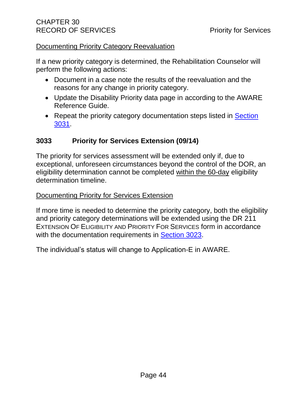#### Documenting Priority Category Reevaluation

If a new priority category is determined, the Rehabilitation Counselor will perform the following actions:

- Document in a case note the results of the reevaluation and the reasons for any change in priority category.
- Update the Disability Priority data page in according to the AWARE Reference Guide.
- Repeat the priority category documentation steps listed in Section [3031.](#page-45-0)

## **3033 Priority for Services Extension (09/14)**

The priority for services assessment will be extended only if, due to exceptional, unforeseen circumstances beyond the control of the DOR, an eligibility determination cannot be completed within the 60-day eligibility determination timeline.

#### Documenting Priority for Services Extension

If more time is needed to determine the priority category, both the eligibility and priority category determinations will be extended using the DR 211 EXTENSION OF ELIGIBILITY AND PRIORITY FOR SERVICES form in accordance with the documentation requirements in [Section 3023.](#page-31-0)

The individual's status will change to Application-E in AWARE.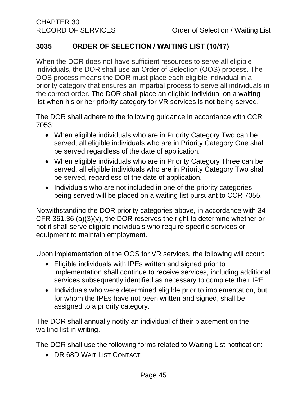# **3035 ORDER OF SELECTION / WAITING LIST (10/17)**

When the DOR does not have sufficient resources to serve all eligible individuals, the DOR shall use an Order of Selection (OOS) process. The OOS process means the DOR must place each eligible individual in a priority category that ensures an impartial process to serve all individuals in the correct order. The DOR shall place an eligible individual on a waiting list when his or her priority category for VR services is not being served.

The DOR shall adhere to the following guidance in accordance with CCR 7053:

- When eligible individuals who are in Priority Category Two can be served, all eligible individuals who are in Priority Category One shall be served regardless of the date of application.
- When eligible individuals who are in Priority Category Three can be served, all eligible individuals who are in Priority Category Two shall be served, regardless of the date of application.
- Individuals who are not included in one of the priority categories being served will be placed on a waiting list pursuant to CCR 7055.

Notwithstanding the DOR priority categories above, in accordance with 34 CFR 361.36 (a)(3)(v), the DOR reserves the right to determine whether or not it shall serve eligible individuals who require specific services or equipment to maintain employment.

Upon implementation of the OOS for VR services, the following will occur:

- Eligible individuals with IPEs written and signed prior to implementation shall continue to receive services, including additional services subsequently identified as necessary to complete their IPE.
- Individuals who were determined eligible prior to implementation, but for whom the IPEs have not been written and signed, shall be assigned to a priority category.

The DOR shall annually notify an individual of their placement on the waiting list in writing.

The DOR shall use the following forms related to Waiting List notification:

• DR 68D WAIT LIST CONTACT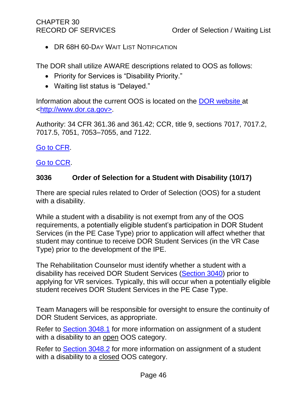# CHAPTER 30

• DR 68H 60-DAY WAIT LIST NOTIFICATION

The DOR shall utilize AWARE descriptions related to OOS as follows:

- Priority for Services is "Disability Priority."
- Waiting list status is "Delayed."

Information about the current OOS is located on the [DOR website](http://www.dor.ca.gov/) at [<http://www.dor.ca.gov>](http://www.dor.ca.gov/).

Authority: 34 CFR 361.36 and 361.42; CCR, title 9, sections 7017, 7017.2, 7017.5, 7051, 7053–7055, and 7122.

## [Go to CFR.](http://www.ecfr.gov/cgi-bin/text-idx?SID=3ddab82d125c3f9dfd00229383f8bca0&mc=true&node=pt34.2.361&rgn=div5#_top)

## [Go to CCR.](file:///G:/Public%20Folder/InDOR%20Documents/VRPRD/PPI/CCR%20DOR%20-%20Effective%201-16-18.docx)

## **3036 Order of Selection for a Student with Disability (10/17)**

There are special rules related to Order of Selection (OOS) for a student with a disability.

While a student with a disability is not exempt from any of the OOS requirements, a potentially eligible student's participation in DOR Student Services (in the PE Case Type) prior to application will affect whether that student may continue to receive DOR Student Services (in the VR Case Type) prior to the development of the IPE.

The Rehabilitation Counselor must identify whether a student with a disability has received DOR Student Services [\(Section 3040\)](#page-54-0) prior to applying for VR services. Typically, this will occur when a potentially eligible student receives DOR Student Services in the PE Case Type.

Team Managers will be responsible for oversight to ensure the continuity of DOR Student Services, as appropriate.

Refer to [Section 3048.1](#page-88-0) for more information on assignment of a student with a disability to an open OOS category.

Refer to [Section 3048.2](#page-89-0) for more information on assignment of a student with a disability to a closed OOS category.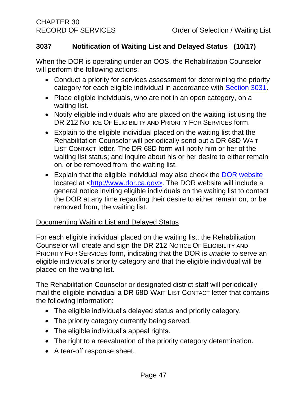## **3037 Notification of Waiting List and Delayed Status (10/17)**

When the DOR is operating under an OOS, the Rehabilitation Counselor will perform the following actions:

- Conduct a priority for services assessment for determining the priority category for each eligible individual in accordance with **Section 3031**.
- Place eligible individuals, who are not in an open category, on a waiting list.
- Notify eligible individuals who are placed on the waiting list using the DR 212 NOTICE OF ELIGIBILITY AND PRIORITY FOR SERVICES form.
- Explain to the eligible individual placed on the waiting list that the Rehabilitation Counselor will periodically send out a DR 68D WAIT LIST CONTACT letter. The DR 68D form will notify him or her of the waiting list status; and inquire about his or her desire to either remain on, or be removed from, the waiting list.
- Explain that the eligible individual may also check the [DOR website](http://www.dor.ca.gov/) located at [<http://www.dor.ca.gov>](http://www.dor.ca.gov/). The DOR website will include a general notice inviting eligible individuals on the waiting list to contact the DOR at any time regarding their desire to either remain on, or be removed from, the waiting list.

## Documenting Waiting List and Delayed Status

For each eligible individual placed on the waiting list, the Rehabilitation Counselor will create and sign the DR 212 NOTICE OF ELIGIBILITY AND PRIORITY FOR SERVICES form, indicating that the DOR is *unable* to serve an eligible individual's priority category and that the eligible individual will be placed on the waiting list.

The Rehabilitation Counselor or designated district staff will periodically mail the eligible individual a DR 68D WAIT LIST CONTACT letter that contains the following information:

- The eligible individual's delayed status and priority category.
- The priority category currently being served.
- The eligible individual's appeal rights.
- The right to a reevaluation of the priority category determination.
- A tear-off response sheet.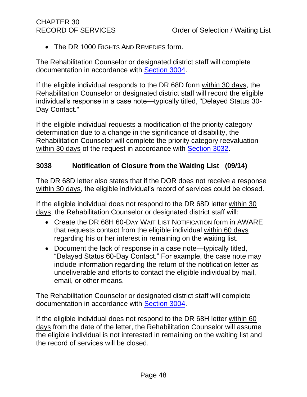• The DR 1000 RIGHTS AND REMEDIES form.

The Rehabilitation Counselor or designated district staff will complete documentation in accordance with [Section 3004.](#page-13-0)

If the eligible individual responds to the DR 68D form within 30 days, the Rehabilitation Counselor or designated district staff will record the eligible individual's response in a case note—typically titled, "Delayed Status 30- Day Contact."

If the eligible individual requests a modification of the priority category determination due to a change in the significance of disability, the Rehabilitation Counselor will complete the priority category reevaluation within 30 days of the request in accordance with [Section 3032.](#page-47-0)

## **3038 Notification of Closure from the Waiting List (09/14)**

The DR 68D letter also states that if the DOR does not receive a response within 30 days, the eligible individual's record of services could be closed.

If the eligible individual does not respond to the DR 68D letter within 30 days, the Rehabilitation Counselor or designated district staff will:

- Create the DR 68H 60-DAY WAIT LIST NOTIFICATION form in AWARE that requests contact from the eligible individual within 60 days regarding his or her interest in remaining on the waiting list.
- Document the lack of response in a case note—typically titled, "Delayed Status 60-Day Contact." For example, the case note may include information regarding the return of the notification letter as undeliverable and efforts to contact the eligible individual by mail, email, or other means.

The Rehabilitation Counselor or designated district staff will complete documentation in accordance with [Section 3004.](#page-13-0)

If the eligible individual does not respond to the DR 68H letter within 60 days from the date of the letter, the Rehabilitation Counselor will assume the eligible individual is not interested in remaining on the waiting list and the record of services will be closed.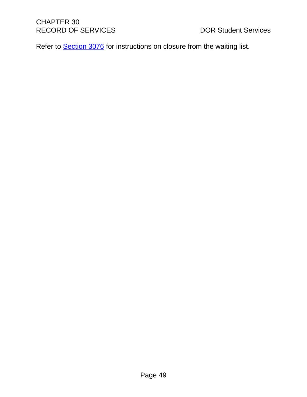Refer to **Section 3076** for instructions on closure from the waiting list.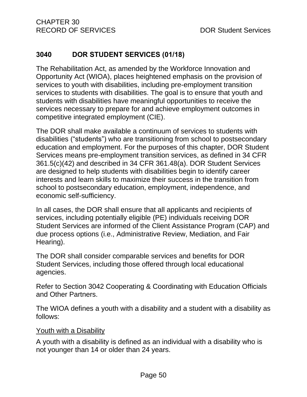# <span id="page-54-0"></span>**3040 DOR STUDENT SERVICES (01/18)**

The Rehabilitation Act, as amended by the Workforce Innovation and Opportunity Act (WIOA), places heightened emphasis on the provision of services to youth with disabilities, including pre-employment transition services to students with disabilities. The goal is to ensure that youth and students with disabilities have meaningful opportunities to receive the services necessary to prepare for and achieve employment outcomes in competitive integrated employment (CIE).

The DOR shall make available a continuum of services to students with disabilities ("students") who are transitioning from school to postsecondary education and employment. For the purposes of this chapter, DOR Student Services means pre-employment transition services, as defined in 34 CFR 361.5(c)(42) and described in 34 CFR 361.48(a). DOR Student Services are designed to help students with disabilities begin to identify career interests and learn skills to maximize their success in the transition from school to postsecondary education, employment, independence, and economic self-sufficiency.

In all cases, the DOR shall ensure that all applicants and recipients of services, including potentially eligible (PE) individuals receiving DOR Student Services are informed of the Client Assistance Program (CAP) and due process options (i.e., Administrative Review, Mediation, and Fair Hearing).

The DOR shall consider comparable services and benefits for DOR Student Services, including those offered through local educational agencies.

Refer to Section 3042 Cooperating & Coordinating with Education Officials and Other Partners.

The WIOA defines a youth with a disability and a student with a disability as follows:

#### Youth with a Disability

A youth with a disability is defined as an individual with a disability who is not younger than 14 or older than 24 years.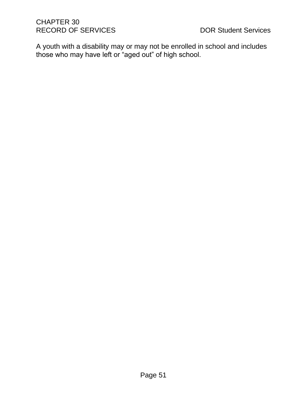A youth with a disability may or may not be enrolled in school and includes those who may have left or "aged out" of high school.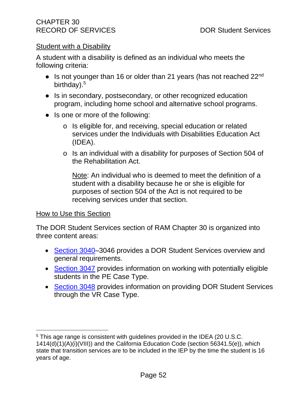#### Student with a Disability

A student with a disability is defined as an individual who meets the following criteria:

- $\bullet$  Is not younger than 16 or older than 21 years (has not reached 22<sup>nd</sup> birthday).<sup>5</sup>
- Is in secondary, postsecondary, or other recognized education program, including home school and alternative school programs.
- Is one or more of the following:
	- o Is eligible for, and receiving, special education or related services under the Individuals with Disabilities Education Act (IDEA).
	- o Is an individual with a disability for purposes of Section 504 of the Rehabilitation Act.

Note: An individual who is deemed to meet the definition of a student with a disability because he or she is eligible for purposes of section 504 of the Act is not required to be receiving services under that section.

#### How to Use this Section

The DOR Student Services section of RAM Chapter 30 is organized into three content areas:

- [Section 3040–](#page-54-0)3046 provides a DOR Student Services overview and general requirements.
- [Section 3047](#page-79-0) provides information on working with potentially eligible students in the PE Case Type.
- [Section 3048](#page-87-0) provides information on providing DOR Student Services through the VR Case Type.

<sup>5</sup> This age range is consistent with guidelines provided in the IDEA (20 U.S.C. 1414(d)(1)(A)(i)(VIII)) and the California Education Code (section 56341.5(e)), which state that transition services are to be included in the IEP by the time the student is 16 years of age.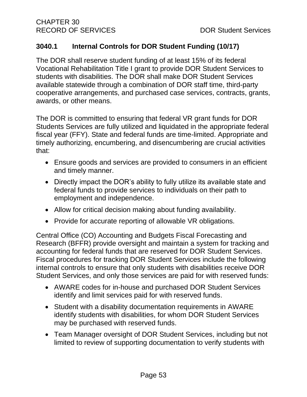# <span id="page-57-0"></span>**3040.1 Internal Controls for DOR Student Funding (10/17)**

The DOR shall reserve student funding of at least 15% of its federal Vocational Rehabilitation Title I grant to provide DOR Student Services to students with disabilities. The DOR shall make DOR Student Services available statewide through a combination of DOR staff time, third-party cooperative arrangements, and purchased case services, contracts, grants, awards, or other means.

The DOR is committed to ensuring that federal VR grant funds for DOR Students Services are fully utilized and liquidated in the appropriate federal fiscal year (FFY). State and federal funds are time-limited. Appropriate and timely authorizing, encumbering, and disencumbering are crucial activities that:

- Ensure goods and services are provided to consumers in an efficient and timely manner.
- Directly impact the DOR's ability to fully utilize its available state and federal funds to provide services to individuals on their path to employment and independence.
- Allow for critical decision making about funding availability.
- Provide for accurate reporting of allowable VR obligations.

Central Office (CO) Accounting and Budgets Fiscal Forecasting and Research (BFFR) provide oversight and maintain a system for tracking and accounting for federal funds that are reserved for DOR Student Services. Fiscal procedures for tracking DOR Student Services include the following internal controls to ensure that only students with disabilities receive DOR Student Services, and only those services are paid for with reserved funds:

- AWARE codes for in-house and purchased DOR Student Services identify and limit services paid for with reserved funds.
- Student with a disability documentation requirements in AWARE identify students with disabilities, for whom DOR Student Services may be purchased with reserved funds.
- Team Manager oversight of DOR Student Services, including but not limited to review of supporting documentation to verify students with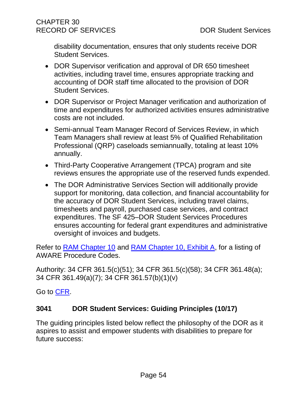disability documentation, ensures that only students receive DOR Student Services.

- DOR Supervisor verification and approval of DR 650 timesheet activities, including travel time, ensures appropriate tracking and accounting of DOR staff time allocated to the provision of DOR Student Services.
- DOR Supervisor or Project Manager verification and authorization of time and expenditures for authorized activities ensures administrative costs are not included.
- Semi-annual Team Manager Record of Services Review, in which Team Managers shall review at least 5% of Qualified Rehabilitation Professional (QRP) caseloads semiannually, totaling at least 10% annually.
- Third-Party Cooperative Arrangement (TPCA) program and site reviews ensures the appropriate use of the reserved funds expended.
- The DOR Administrative Services Section will additionally provide support for monitoring, data collection, and financial accountability for the accuracy of DOR Student Services, including travel claims, timesheets and payroll, purchased case services, and contract expenditures. The SF 425–DOR Student Services Procedures ensures accounting for federal grant expenditures and administrative oversight of invoices and budgets.

Refer to [RAM Chapter 10](http://indor/ram/ram10/ram-10-accounting-fund-sources-codes-and-records) and [RAM Chapter 10, Exhibit A,](file://///dorgroup/group/Public%20Folder/InDOR%20Documents/RAM/RAM10_Exhibit%20A%20Service%20Categories%20Procedure%20Categories%20and%20Procedure%20Codes.pdf) for a listing of AWARE Procedure Codes.

Authority: 34 CFR 361.5(c)(51); 34 CFR 361.5(c)(58); 34 CFR 361.48(a); 34 CFR 361.49(a)(7); 34 CFR 361.57(b)(1)(v)

Go to [CFR.](https://www.ecfr.gov/cgi-bin/text-idx?SID=3ddab82d125c3f9dfd00229383f8bca0&mc=true&node=pt34.2.361&rgn=div5%20-%20_top)

# **3041 DOR Student Services: Guiding Principles (10/17)**

The guiding principles listed below reflect the philosophy of the DOR as it aspires to assist and empower students with disabilities to prepare for future success: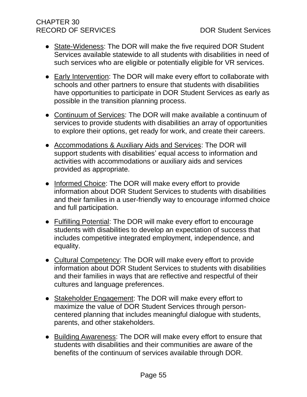# CHAPTER 30 RECORD OF SERVICES DOR Student Services

- State-Wideness: The DOR will make the five required DOR Student Services available statewide to all students with disabilities in need of such services who are eligible or potentially eligible for VR services.
- Early Intervention: The DOR will make every effort to collaborate with schools and other partners to ensure that students with disabilities have opportunities to participate in DOR Student Services as early as possible in the transition planning process.
- Continuum of Services: The DOR will make available a continuum of services to provide students with disabilities an array of opportunities to explore their options, get ready for work, and create their careers.
- Accommodations & Auxiliary Aids and Services: The DOR will support students with disabilities' equal access to information and activities with accommodations or auxiliary aids and services provided as appropriate.
- Informed Choice: The DOR will make every effort to provide information about DOR Student Services to students with disabilities and their families in a user-friendly way to encourage informed choice and full participation.
- Fulfilling Potential: The DOR will make every effort to encourage students with disabilities to develop an expectation of success that includes competitive integrated employment, independence, and equality.
- Cultural Competency: The DOR will make every effort to provide information about DOR Student Services to students with disabilities and their families in ways that are reflective and respectful of their cultures and language preferences.
- Stakeholder Engagement: The DOR will make every effort to maximize the value of DOR Student Services through personcentered planning that includes meaningful dialogue with students, parents, and other stakeholders.
- Building Awareness: The DOR will make every effort to ensure that students with disabilities and their communities are aware of the benefits of the continuum of services available through DOR.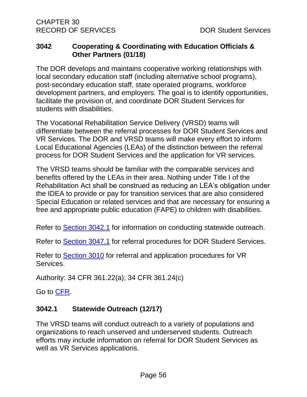## **3042 Cooperating & Coordinating with Education Officials & Other Partners (01/18)**

The DOR develops and maintains cooperative working relationships with local secondary education staff (including alternative school programs), post-secondary education staff, state operated programs, workforce development partners, and employers. The goal is to identify opportunities, facilitate the provision of, and coordinate DOR Student Services for students with disabilities.

The Vocational Rehabilitation Service Delivery (VRSD) teams will differentiate between the referral processes for DOR Student Services and VR Services. The DOR and VRSD teams will make every effort to inform Local Educational Agencies (LEAs) of the distinction between the referral process for DOR Student Services and the application for VR services.

The VRSD teams should be familiar with the comparable services and benefits offered by the LEAs in their area. Nothing under Title I of the Rehabilitation Act shall be construed as reducing an LEA's obligation under the IDEA to provide or pay for transition services that are also considered Special Education or related services and that are necessary for ensuring a free and appropriate public education (FAPE) to children with disabilities.

Refer to [Section 3042.1](#page-60-0) for information on conducting statewide outreach.

Refer to [Section 3047.1](#page-81-0) for referral procedures for DOR Student Services.

Refer to [Section 3010](#page-15-0) for referral and application procedures for VR Services.

Authority: 34 CFR 361.22(a); 34 CFR 361.24(c)

Go to [CFR.](https://www.ecfr.gov/cgi-bin/text-idx?SID=3ddab82d125c3f9dfd00229383f8bca0&mc=true&node=pt34.2.361&rgn=div5%20-%20_top)

# <span id="page-60-0"></span>**3042.1 Statewide Outreach (12/17)**

The VRSD teams will conduct outreach to a variety of populations and organizations to reach unserved and underserved students. Outreach efforts may include information on referral for DOR Student Services as well as VR Services applications.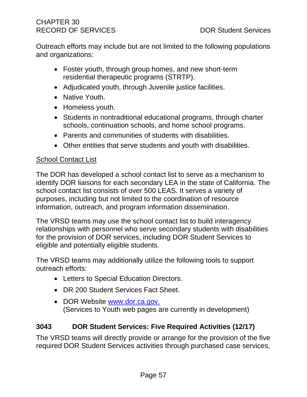# CHAPTER 30 RECORD OF SERVICES DOR Student Services

Outreach efforts may include but are not limited to the following populations and organizations:

- Foster youth, through group homes, and new short-term residential therapeutic programs (STRTP).
- Adjudicated youth, through Juvenile justice facilities.
- Native Youth.
- Homeless youth.
- Students in nontraditional educational programs, through charter schools, continuation schools, and home school programs.
- Parents and communities of students with disabilities.
- Other entities that serve students and youth with disabilities.

## School Contact List

The DOR has developed a school contact list to serve as a mechanism to identify DOR liaisons for each secondary LEA in the state of California. The school contact list consists of over 500 LEAS. It serves a variety of purposes, including but not limited to the coordination of resource information, outreach, and program information dissemination.

The VRSD teams may use the school contact list to build interagency relationships with personnel who serve secondary students with disabilities for the provision of DOR services, including DOR Student Services to eligible and potentially eligible students.

The VRSD teams may additionally utilize the following tools to support outreach efforts:

- Letters to Special Education Directors.
- DR 200 Student Services Fact Sheet.
- DOR Website [www.dor.ca.gov.](http://www.dor.ca.gov/) (Services to Youth web pages are currently in development)

# <span id="page-61-0"></span>**3043 DOR Student Services: Five Required Activities (12/17)**

The VRSD teams will directly provide or arrange for the provision of the five required DOR Student Services activities through purchased case services,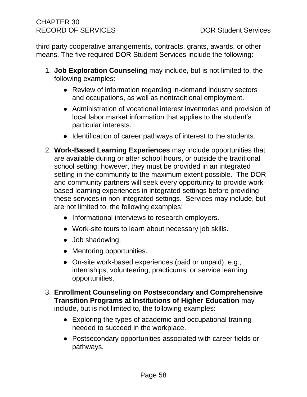third party cooperative arrangements, contracts, grants, awards, or other means. The five required DOR Student Services include the following:

- 1. **Job Exploration Counseling** may include, but is not limited to, the following examples:
	- Review of information regarding in-demand industry sectors and occupations, as well as nontraditional employment.
	- Administration of vocational interest inventories and provision of local labor market information that applies to the student's particular interests.
	- Identification of career pathways of interest to the students.
- 2. **Work-Based Learning Experiences** may include opportunities that are available during or after school hours, or outside the traditional school setting; however, they must be provided in an integrated setting in the community to the maximum extent possible. The DOR and community partners will seek every opportunity to provide workbased learning experiences in integrated settings before providing these services in non-integrated settings. Services may include, but are not limited to, the following examples:
	- Informational interviews to research employers.
	- Work-site tours to learn about necessary job skills.
	- Job shadowing.
	- Mentoring opportunities.
	- On-site work-based experiences (paid or unpaid), e.g., internships, volunteering, practicums, or service learning opportunities.
- 3. **Enrollment Counseling on Postsecondary and Comprehensive Transition Programs at Institutions of Higher Education** may include, but is not limited to, the following examples:
	- Exploring the types of academic and occupational training needed to succeed in the workplace.
	- Postsecondary opportunities associated with career fields or pathways.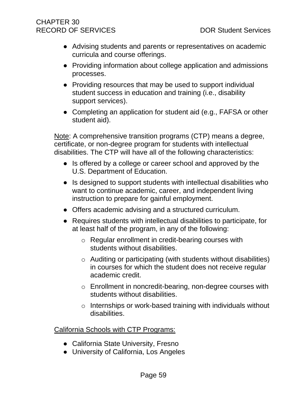# CHAPTER 30 RECORD OF SERVICES DOR Student Services

- Advising students and parents or representatives on academic curricula and course offerings.
- Providing information about college application and admissions processes.
- Providing resources that may be used to support individual student success in education and training (i.e., disability support services).
- Completing an application for student aid (e.g., FAFSA or other student aid).

Note: A comprehensive transition programs (CTP) means a degree, certificate, or non-degree program for students with intellectual disabilities. The CTP will have all of the following characteristics:

- Is offered by a college or career school and approved by the U.S. Department of Education.
- Is designed to support students with intellectual disabilities who want to continue academic, career, and independent living instruction to prepare for gainful employment.
- Offers academic advising and a structured curriculum.
- Requires students with intellectual disabilities to participate, for at least half of the program, in any of the following:
	- o Regular enrollment in credit-bearing courses with students without disabilities.
	- o Auditing or participating (with students without disabilities) in courses for which the student does not receive regular academic credit.
	- o Enrollment in noncredit-bearing, non-degree courses with students without disabilities.
	- o Internships or work-based training with individuals without disabilities.

California Schools with CTP Programs:

- California State University, Fresno
- University of California, Los Angeles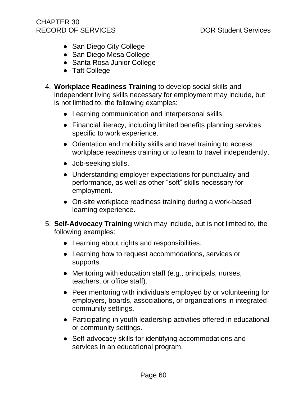- San Diego City College
- San Diego Mesa College
- Santa Rosa Junior College
- Taft College
- 4. **Workplace Readiness Training** to develop social skills and independent living skills necessary for employment may include, but is not limited to, the following examples:
	- Learning communication and interpersonal skills.
	- Financial literacy, including limited benefits planning services specific to work experience.
	- Orientation and mobility skills and travel training to access workplace readiness training or to learn to travel independently.
	- Job-seeking skills.
	- Understanding employer expectations for punctuality and performance, as well as other "soft" skills necessary for employment.
	- On-site workplace readiness training during a work-based learning experience.
- 5. **Self-Advocacy Training** which may include, but is not limited to, the following examples:
	- Learning about rights and responsibilities.
	- Learning how to request accommodations, services or supports.
	- Mentoring with education staff (e.g., principals, nurses, teachers, or office staff).
	- Peer mentoring with individuals employed by or volunteering for employers, boards, associations, or organizations in integrated community settings.
	- Participating in youth leadership activities offered in educational or community settings.
	- Self-advocacy skills for identifying accommodations and services in an educational program.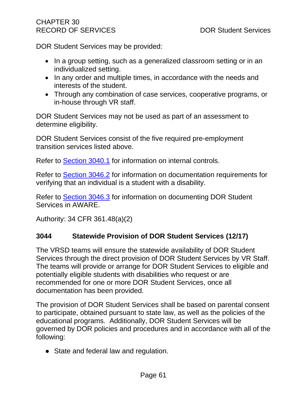DOR Student Services may be provided:

- In a group setting, such as a generalized classroom setting or in an individualized setting.
- In any order and multiple times, in accordance with the needs and interests of the student.
- Through any combination of case services, cooperative programs, or in-house through VR staff.

DOR Student Services may not be used as part of an assessment to determine eligibility.

DOR Student Services consist of the five required pre-employment transition services listed above.

Refer to [Section 3040.1](#page-57-0) for information on internal controls.

Refer to [Section 3046.2](#page-74-0) for information on documentation requirements for verifying that an individual is a student with a disability.

Refer to [Section 3046.3](#page-76-0) for information on documenting DOR Student Services in AWARE.

Authority: 34 CFR 361.48(a)(2)

# **3044 Statewide Provision of DOR Student Services (12/17)**

The VRSD teams will ensure the statewide availability of DOR Student Services through the direct provision of DOR Student Services by VR Staff. The teams will provide or arrange for DOR Student Services to eligible and potentially eligible students with disabilities who request or are recommended for one or more DOR Student Services, once all documentation has been provided.

The provision of DOR Student Services shall be based on parental consent to participate, obtained pursuant to state law, as well as the policies of the educational programs. Additionally, DOR Student Services will be governed by DOR policies and procedures and in accordance with all of the following:

• State and federal law and regulation.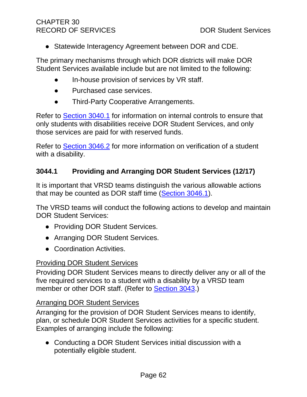● Statewide Interagency Agreement between DOR and CDE.

The primary mechanisms through which DOR districts will make DOR Student Services available include but are not limited to the following:

- In-house provision of services by VR staff.
- Purchased case services.
- Third-Party Cooperative Arrangements.

Refer to [Section 3040.1](#page-57-0) for information on internal controls to ensure that only students with disabilities receive DOR Student Services, and only those services are paid for with reserved funds.

Refer to [Section 3046.2](#page-74-0) for more information on verification of a student with a disability.

# **3044.1 Providing and Arranging DOR Student Services (12/17)**

It is important that VRSD teams distinguish the various allowable actions that may be counted as DOR staff time [\(Section 3046.1\)](#page-73-0).

The VRSD teams will conduct the following actions to develop and maintain DOR Student Services:

- Providing DOR Student Services.
- Arranging DOR Student Services.
- Coordination Activities.

## Providing DOR Student Services

Providing DOR Student Services means to directly deliver any or all of the five required services to a student with a disability by a VRSD team member or other DOR staff. (Refer to **Section 3043.)** 

## Arranging DOR Student Services

Arranging for the provision of DOR Student Services means to identify, plan, or schedule DOR Student Services activities for a specific student. Examples of arranging include the following:

● Conducting a DOR Student Services initial discussion with a potentially eligible student.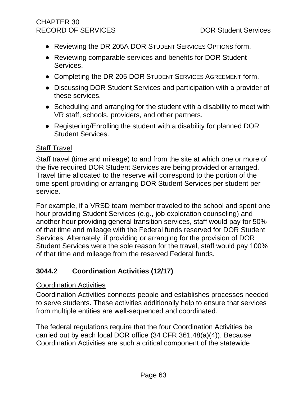# CHAPTER 30 RECORD OF SERVICES DOR Student Services

- Reviewing the DR 205A DOR STUDENT SERVICES OPTIONS form.
- Reviewing comparable services and benefits for DOR Student Services.
- Completing the DR 205 DOR STUDENT SERVICES AGREEMENT form.
- Discussing DOR Student Services and participation with a provider of these services.
- Scheduling and arranging for the student with a disability to meet with VR staff, schools, providers, and other partners.
- Registering/Enrolling the student with a disability for planned DOR Student Services.

## Staff Travel

Staff travel (time and mileage) to and from the site at which one or more of the five required DOR Student Services are being provided or arranged. Travel time allocated to the reserve will correspond to the portion of the time spent providing or arranging DOR Student Services per student per service.

For example, if a VRSD team member traveled to the school and spent one hour providing Student Services (e.g., job exploration counseling) and another hour providing general transition services, staff would pay for 50% of that time and mileage with the Federal funds reserved for DOR Student Services. Alternately, if providing or arranging for the provision of DOR Student Services were the sole reason for the travel, staff would pay 100% of that time and mileage from the reserved Federal funds.

# **3044.2 Coordination Activities (12/17)**

## Coordination Activities

Coordination Activities connects people and establishes processes needed to serve students. These activities additionally help to ensure that services from multiple entities are well-sequenced and coordinated.

The federal regulations require that the four Coordination Activities be carried out by each local DOR office (34 CFR 361.48(a)(4)). Because Coordination Activities are such a critical component of the statewide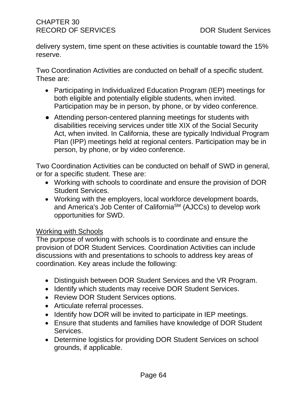delivery system, time spent on these activities is countable toward the 15% reserve.

Two Coordination Activities are conducted on behalf of a specific student. These are:

- Participating in Individualized Education Program (IEP) meetings for both eligible and potentially eligible students, when invited. Participation may be in person, by phone, or by video conference.
- Attending person-centered planning meetings for students with disabilities receiving services under title XIX of the Social Security Act, when invited. In California, these are typically Individual Program Plan (IPP) meetings held at regional centers. Participation may be in person, by phone, or by video conference.

Two Coordination Activities can be conducted on behalf of SWD in general, or for a specific student. These are:

- Working with schools to coordinate and ensure the provision of DOR Student Services.
- Working with the employers, local workforce development boards, and America's Job Center of California<sup>SM</sup> (AJCCs) to develop work opportunities for SWD.

## Working with Schools

The purpose of working with schools is to coordinate and ensure the provision of DOR Student Services. Coordination Activities can include discussions with and presentations to schools to address key areas of coordination. Key areas include the following:

- Distinguish between DOR Student Services and the VR Program.
- Identify which students may receive DOR Student Services.
- Review DOR Student Services options.
- Articulate referral processes.
- Identify how DOR will be invited to participate in IEP meetings.
- Ensure that students and families have knowledge of DOR Student Services.
- Determine logistics for providing DOR Student Services on school grounds, if applicable.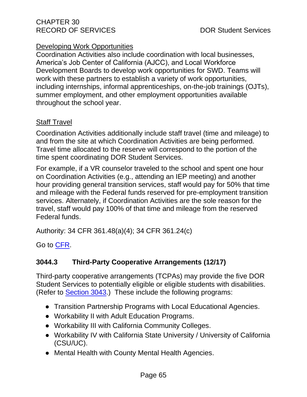# Developing Work Opportunities

Coordination Activities also include coordination with local businesses, America's Job Center of California (AJCC), and Local Workforce Development Boards to develop work opportunities for SWD. Teams will work with these partners to establish a variety of work opportunities, including internships, informal apprenticeships, on-the-job trainings (OJTs), summer employment, and other employment opportunities available throughout the school year.

# Staff Travel

Coordination Activities additionally include staff travel (time and mileage) to and from the site at which Coordination Activities are being performed. Travel time allocated to the reserve will correspond to the portion of the time spent coordinating DOR Student Services.

For example, if a VR counselor traveled to the school and spent one hour on Coordination Activities (e.g., attending an IEP meeting) and another hour providing general transition services, staff would pay for 50% that time and mileage with the Federal funds reserved for pre-employment transition services. Alternately, if Coordination Activities are the sole reason for the travel, staff would pay 100% of that time and mileage from the reserved Federal funds.

Authority: 34 CFR 361.48(a)(4); 34 CFR 361.24(c)

Go to [CFR.](https://www.ecfr.gov/cgi-bin/text-idx?SID=3ddab82d125c3f9dfd00229383f8bca0&mc=true&node=pt34.2.361&rgn=div5%20-%20_top)

# **3044.3 Third-Party Cooperative Arrangements (12/17)**

Third-party cooperative arrangements (TCPAs) may provide the five DOR Student Services to potentially eligible or eligible students with disabilities. (Refer to [Section 3043.](#page-61-0)) These include the following programs:

- Transition Partnership Programs with Local Educational Agencies.
- Workability II with Adult Education Programs.
- Workability III with California Community Colleges.
- Workability IV with California State University / University of California (CSU/UC).
- Mental Health with County Mental Health Agencies.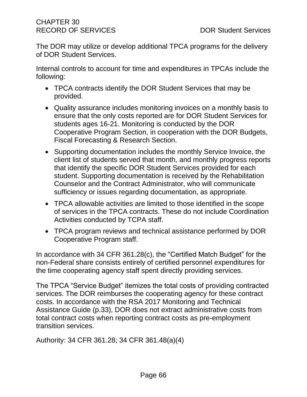The DOR may utilize or develop additional TPCA programs for the delivery of DOR Student Services.

Internal controls to account for time and expenditures in TPCAs include the following:

- TPCA contracts identify the DOR Student Services that may be provided.
- Quality assurance includes monitoring invoices on a monthly basis to ensure that the only costs reported are for DOR Student Services for students ages 16-21. Monitoring is conducted by the DOR Cooperative Program Section, in cooperation with the DOR Budgets, Fiscal Forecasting & Research Section.
- Supporting documentation includes the monthly Service Invoice, the client list of students served that month, and monthly progress reports that identify the specific DOR Student Services provided for each student. Supporting documentation is received by the Rehabilitation Counselor and the Contract Administrator, who will communicate sufficiency or issues regarding documentation, as appropriate.
- TPCA allowable activities are limited to those identified in the scope of services in the TPCA contracts. These do not include Coordination Activities conducted by TCPA staff.
- TPCA program reviews and technical assistance performed by DOR Cooperative Program staff.

In accordance with 34 CFR 361.28(c), the "Certified Match Budget" for the non-Federal share consists entirely of certified personnel expenditures for the time cooperating agency staff spent directly providing services.

The TPCA "Service Budget" itemizes the total costs of providing contracted services. The DOR reimburses the cooperating agency for these contract costs. In accordance with the RSA 2017 Monitoring and Technical Assistance Guide (p.33), DOR does not extract administrative costs from total contract costs when reporting contract costs as pre-employment transition services.

Authority: 34 CFR 361.28; 34 CFR 361.48(a)(4)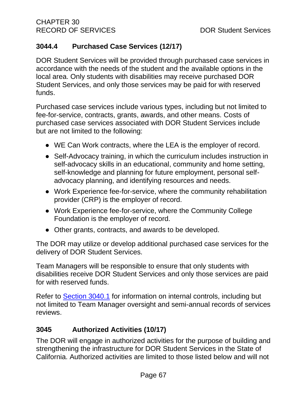# **3044.4 Purchased Case Services (12/17)**

DOR Student Services will be provided through purchased case services in accordance with the needs of the student and the available options in the local area. Only students with disabilities may receive purchased DOR Student Services, and only those services may be paid for with reserved funds.

Purchased case services include various types, including but not limited to fee-for-service, contracts, grants, awards, and other means. Costs of purchased case services associated with DOR Student Services include but are not limited to the following:

- WE Can Work contracts, where the LEA is the employer of record.
- Self-Advocacy training, in which the curriculum includes instruction in self-advocacy skills in an educational, community and home setting, self-knowledge and planning for future employment, personal selfadvocacy planning, and identifying resources and needs.
- Work Experience fee-for-service, where the community rehabilitation provider (CRP) is the employer of record.
- Work Experience fee-for-service, where the Community College Foundation is the employer of record.
- Other grants, contracts, and awards to be developed.

The DOR may utilize or develop additional purchased case services for the delivery of DOR Student Services.

Team Managers will be responsible to ensure that only students with disabilities receive DOR Student Services and only those services are paid for with reserved funds.

Refer to [Section 3040.1](#page-57-0) for information on internal controls, including but not limited to Team Manager oversight and semi-annual records of services reviews.

# **3045 Authorized Activities (10/17)**

The DOR will engage in authorized activities for the purpose of building and strengthening the infrastructure for DOR Student Services in the State of California. Authorized activities are limited to those listed below and will not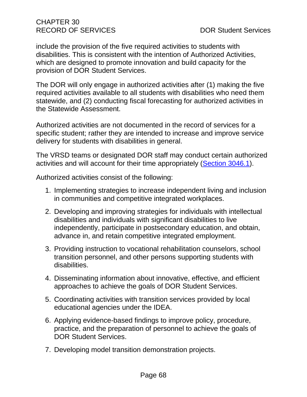include the provision of the five required activities to students with disabilities. This is consistent with the intention of Authorized Activities, which are designed to promote innovation and build capacity for the provision of DOR Student Services.

The DOR will only engage in authorized activities after (1) making the five required activities available to all students with disabilities who need them statewide, and (2) conducting fiscal forecasting for authorized activities in the Statewide Assessment.

Authorized activities are not documented in the record of services for a specific student; rather they are intended to increase and improve service delivery for students with disabilities in general.

The VRSD teams or designated DOR staff may conduct certain authorized activities and will account for their time appropriately [\(Section 3046.1\)](#page-73-0).

Authorized activities consist of the following:

- 1. Implementing strategies to increase independent living and inclusion in communities and competitive integrated workplaces.
- 2. Developing and improving strategies for individuals with intellectual disabilities and individuals with significant disabilities to live independently, participate in postsecondary education, and obtain, advance in, and retain competitive integrated employment.
- 3. Providing instruction to vocational rehabilitation counselors, school transition personnel, and other persons supporting students with disabilities.
- 4. Disseminating information about innovative, effective, and efficient approaches to achieve the goals of DOR Student Services.
- 5. Coordinating activities with transition services provided by local educational agencies under the IDEA.
- 6. Applying evidence-based findings to improve policy, procedure, practice, and the preparation of personnel to achieve the goals of DOR Student Services.
- 7. Developing model transition demonstration projects.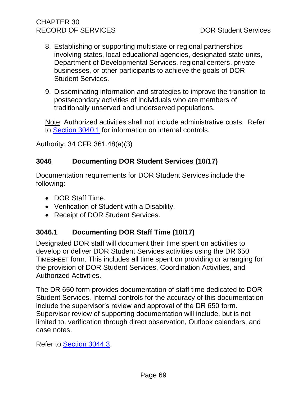- 8. Establishing or supporting multistate or regional partnerships involving states, local educational agencies, designated state units, Department of Developmental Services, regional centers, private businesses, or other participants to achieve the goals of DOR Student Services.
- 9. Disseminating information and strategies to improve the transition to postsecondary activities of individuals who are members of traditionally unserved and underserved populations.

Note: Authorized activities shall not include administrative costs. Refer to [Section 3040.1](#page-57-0) for information on internal controls.

Authority: 34 CFR 361.48(a)(3)

# <span id="page-73-1"></span>**3046 Documenting DOR Student Services (10/17)**

Documentation requirements for DOR Student Services include the following:

- DOR Staff Time.
- Verification of Student with a Disability.
- Receipt of DOR Student Services.

# <span id="page-73-0"></span>**3046.1 Documenting DOR Staff Time (10/17)**

Designated DOR staff will document their time spent on activities to develop or deliver DOR Student Services activities using the DR 650 TIMESHEET form. This includes all time spent on providing or arranging for the provision of DOR Student Services, Coordination Activities, and Authorized Activities.

The DR 650 form provides documentation of staff time dedicated to DOR Student Services. Internal controls for the accuracy of this documentation include the supervisor's review and approval of the DR 650 form. Supervisor review of supporting documentation will include, but is not limited to, verification through direct observation, Outlook calendars, and case notes.

Refer to [Section 3044.3.](#page-71-0)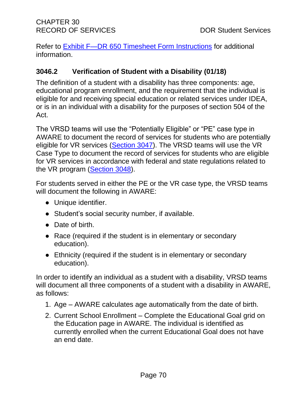Refer to [Exhibit F—DR 650 Timesheet Form Instructions](#page-148-0) for additional information.

# <span id="page-74-0"></span>**3046.2 Verification of Student with a Disability (01/18)**

The definition of a student with a disability has three components: age, educational program enrollment, and the requirement that the individual is eligible for and receiving special education or related services under IDEA, or is in an individual with a disability for the purposes of section 504 of the Act.

The VRSD teams will use the "Potentially Eligible" or "PE" case type in AWARE to document the record of services for students who are potentially eligible for VR services [\(Section 3047\)](#page-79-0). The VRSD teams will use the VR Case Type to document the record of services for students who are eligible for VR services in accordance with federal and state regulations related to the VR program [\(Section 3048\)](#page-87-0).

For students served in either the PE or the VR case type, the VRSD teams will document the following in AWARE:

- Unique identifier.
- Student's social security number, if available.
- Date of birth.
- Race (required if the student is in elementary or secondary education).
- Ethnicity (required if the student is in elementary or secondary education).

In order to identify an individual as a student with a disability, VRSD teams will document all three components of a student with a disability in AWARE, as follows:

- 1. Age AWARE calculates age automatically from the date of birth.
- 2. Current School Enrollment Complete the Educational Goal grid on the Education page in AWARE. The individual is identified as currently enrolled when the current Educational Goal does not have an end date.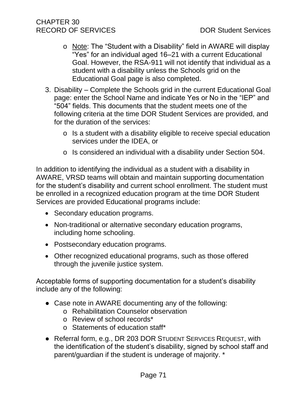- o Note: The "Student with a Disability" field in AWARE will display "Yes" for an individual aged 16–21 with a current Educational Goal. However, the RSA-911 will not identify that individual as a student with a disability unless the Schools grid on the Educational Goal page is also completed.
- 3. Disability Complete the Schools grid in the current Educational Goal page: enter the School Name and indicate Yes or No in the "IEP" and "504" fields. This documents that the student meets one of the following criteria at the time DOR Student Services are provided, and for the duration of the services:
	- o Is a student with a disability eligible to receive special education services under the IDEA, or
	- o Is considered an individual with a disability under Section 504.

In addition to identifying the individual as a student with a disability in AWARE, VRSD teams will obtain and maintain supporting documentation for the student's disability and current school enrollment. The student must be enrolled in a recognized education program at the time DOR Student Services are provided Educational programs include:

- Secondary education programs.
- Non-traditional or alternative secondary education programs, including home schooling.
- Postsecondary education programs.
- Other recognized educational programs, such as those offered through the juvenile justice system.

Acceptable forms of supporting documentation for a student's disability include any of the following:

- Case note in AWARE documenting any of the following:
	- o Rehabilitation Counselor observation
	- o Review of school records\*
	- o Statements of education staff\*
- Referral form, e.g., DR 203 DOR STUDENT SERVICES REQUEST, with the identification of the student's disability, signed by school staff and parent/guardian if the student is underage of majority. \*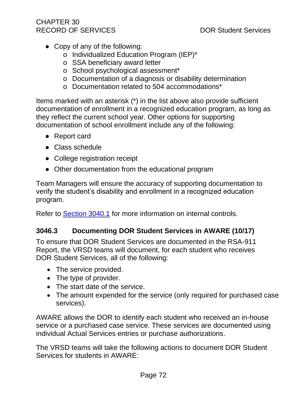- Copy of any of the following:
	- o Individualized Education Program (IEP)\*
	- o SSA beneficiary award letter
	- o School psychological assessment\*
	- o Documentation of a diagnosis or disability determination
	- o Documentation related to 504 accommodations\*

Items marked with an asterisk (\*) in the list above also provide sufficient documentation of enrollment in a recognized education program, as long as they reflect the current school year. Other options for supporting documentation of school enrollment include any of the following:

- Report card
- Class schedule
- College registration receipt
- Other documentation from the educational program

Team Managers will ensure the accuracy of supporting documentation to verify the student's disability and enrollment in a recognized education program.

<span id="page-76-0"></span>Refer to [Section 3040.1](#page-57-0) for more information on internal controls.

# **3046.3 Documenting DOR Student Services in AWARE (10/17)**

To ensure that DOR Student Services are documented in the RSA-911 Report, the VRSD teams will document, for each student who receives DOR Student Services, all of the following:

- The service provided.
- The type of provider.
- The start date of the service.
- The amount expended for the service (only required for purchased case services).

AWARE allows the DOR to identify each student who received an in-house service or a purchased case service. These services are documented using individual Actual Services entries or purchase authorizations.

The VRSD teams will take the following actions to document DOR Student Services for students in AWARE: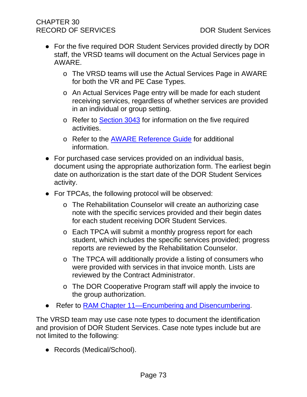- For the five required DOR Student Services provided directly by DOR staff, the VRSD teams will document on the Actual Services page in AWARE.
	- o The VRSD teams will use the Actual Services Page in AWARE for both the VR and PE Case Types.
	- o An Actual Services Page entry will be made for each student receiving services, regardless of whether services are provided in an individual or group setting.
	- o Refer to [Section 3043](#page-61-0) for information on the five required activities.
	- o Refer to the **AWARE Reference Guide** for additional information.
- For purchased case services provided on an individual basis, document using the appropriate authorization form. The earliest begin date on authorization is the start date of the DOR Student Services activity.
- For TPCAs, the following protocol will be observed:
	- o The Rehabilitation Counselor will create an authorizing case note with the specific services provided and their begin dates for each student receiving DOR Student Services.
	- o Each TPCA will submit a monthly progress report for each student, which includes the specific services provided; progress reports are reviewed by the Rehabilitation Counselor.
	- o The TPCA will additionally provide a listing of consumers who were provided with services in that invoice month. Lists are reviewed by the Contract Administrator.
	- o The DOR Cooperative Program staff will apply the invoice to the group authorization.
- Refer to [RAM Chapter 11—Encumbering and Disencumbering.](http://indor/ram/ram11/ram-11-authorizing-encumbering-and-disencumbering)

The VRSD team may use case note types to document the identification and provision of DOR Student Services. Case note types include but are not limited to the following:

• Records (Medical/School).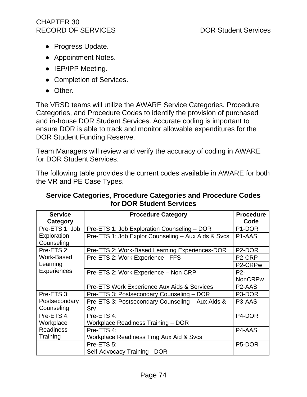- Progress Update.
- Appointment Notes.
- IEP/IPP Meeting.
- Completion of Services.
- Other.

The VRSD teams will utilize the AWARE Service Categories, Procedure Categories, and Procedure Codes to identify the provision of purchased and in-house DOR Student Services. Accurate coding is important to ensure DOR is able to track and monitor allowable expenditures for the DOR Student Funding Reserve.

Team Managers will review and verify the accuracy of coding in AWARE for DOR Student Services.

The following table provides the current codes available in AWARE for both the VR and PE Case Types.

#### **Service Categories, Procedure Categories and Procedure Codes for DOR Student Services**

| <b>Service</b><br>Category | <b>Procedure Category</b>                              | <b>Procedure</b><br>Code         |
|----------------------------|--------------------------------------------------------|----------------------------------|
| Pre-ETS 1: Job             | Pre-ETS 1: Job Exploration Counseling - DOR            | P <sub>1</sub> -DOR              |
| Exploration<br>Counseling  | Pre-ETS 1: Job Explor Counseling - Aux Aids & Svcs     | P <sub>1</sub> -AAS              |
| Pre-ETS 2:                 | Pre-ETS 2: Work-Based Learning Experiences-DOR         | P <sub>2</sub> -DOR              |
| Work-Based                 | Pre-ETS 2: Work Experience - FFS                       | P <sub>2</sub> -CRP              |
| Learning                   |                                                        | P <sub>2</sub> -CRP <sub>w</sub> |
| <b>Experiences</b>         | Pre-ETS 2: Work Experience - Non CRP                   | $P2-$                            |
|                            |                                                        | <b>NonCRPw</b>                   |
|                            | <b>Pre-ETS Work Experience Aux Aids &amp; Services</b> | P <sub>2</sub> -AAS              |
| Pre-ETS 3:                 | Pre-ETS 3: Postsecondary Counseling - DOR              | P3-DOR                           |
| Postsecondary              | Pre-ETS 3: Postsecondary Counseling - Aux Aids &       | P <sub>3</sub> -AAS              |
| Counseling                 | Srv                                                    |                                  |
| Pre-ETS 4:                 | Pre-ETS 4:                                             | P <sub>4</sub> -DOR              |
| Workplace                  | Workplace Readiness Training - DOR                     |                                  |
| <b>Readiness</b>           | Pre-ETS 4:                                             | P <sub>4</sub> -AAS              |
| Training                   | Workplace Readiness Trng Aux Aid & Svcs                |                                  |
|                            | Pre-ETS 5:                                             | P <sub>5</sub> -DOR              |
|                            | Self-Advocacy Training - DOR                           |                                  |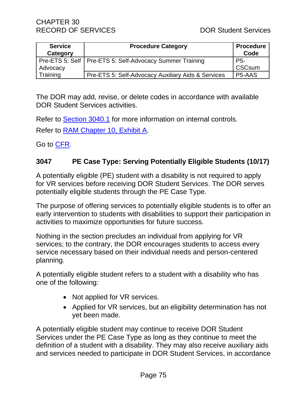| <b>Service</b><br>Category | <b>Procedure Category</b>                                  | <b>Procedure</b><br>Code |
|----------------------------|------------------------------------------------------------|--------------------------|
|                            | Pre-ETS 5: Self   Pre-ETS 5: Self-Advocacy Summer Training | P5-                      |
| Advocacy                   |                                                            | <b>CSCsum</b>            |
| Training                   | Pre-ETS 5: Self-Advocacy Auxiliary Aids & Services         | P5-AAS                   |

The DOR may add, revise, or delete codes in accordance with available DOR Student Services activities.

Refer to [Section 3040.1](#page-57-0) for more information on internal controls.

Refer to [RAM Chapter 10, Exhibit A.](file://///dorgroup/group/Public%20Folder/InDOR%20Documents/RAM/RAM10_Exhibit%20A%20Service%20Categories%20Procedure%20Categories%20and%20Procedure%20Codes.pdf)

Go to [CFR.](https://www.ecfr.gov/cgi-bin/text-idx?SID=3ddab82d125c3f9dfd00229383f8bca0&mc=true&node=pt34.2.361&rgn=div5%20-%20_top)

## <span id="page-79-0"></span>**3047 PE Case Type: Serving Potentially Eligible Students (10/17)**

A potentially eligible (PE) student with a disability is not required to apply for VR services before receiving DOR Student Services. The DOR serves potentially eligible students through the PE Case Type.

The purpose of offering services to potentially eligible students is to offer an early intervention to students with disabilities to support their participation in activities to maximize opportunities for future success.

Nothing in the section precludes an individual from applying for VR services; to the contrary, the DOR encourages students to access every service necessary based on their individual needs and person-centered planning.

A potentially eligible student refers to a student with a disability who has one of the following:

- Not applied for VR services.
- Applied for VR services, but an eligibility determination has not yet been made.

A potentially eligible student may continue to receive DOR Student Services under the PE Case Type as long as they continue to meet the definition of a student with a disability. They may also receive auxiliary aids and services needed to participate in DOR Student Services, in accordance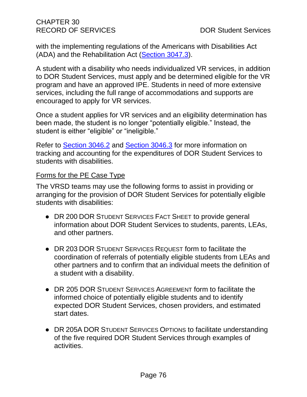with the implementing regulations of the Americans with Disabilities Act (ADA) and the Rehabilitation Act [\(Section 3047.3\)](#page-84-0).

A student with a disability who needs individualized VR services, in addition to DOR Student Services, must apply and be determined eligible for the VR program and have an approved IPE. Students in need of more extensive services, including the full range of accommodations and supports are encouraged to apply for VR services.

Once a student applies for VR services and an eligibility determination has been made, the student is no longer "potentially eligible." Instead, the student is either "eligible" or "ineligible."

Refer to [Section 3046.2](#page-74-0) and [Section 3046.3](#page-76-0) for more information on tracking and accounting for the expenditures of DOR Student Services to students with disabilities.

#### Forms for the PE Case Type

The VRSD teams may use the following forms to assist in providing or arranging for the provision of DOR Student Services for potentially eligible students with disabilities:

- DR 200 DOR STUDENT SERVICES FACT SHEET to provide general information about DOR Student Services to students, parents, LEAs, and other partners.
- DR 203 DOR STUDENT SERVICES REQUEST form to facilitate the coordination of referrals of potentially eligible students from LEAs and other partners and to confirm that an individual meets the definition of a student with a disability.
- DR 205 DOR STUDENT SERVICES AGREEMENT form to facilitate the informed choice of potentially eligible students and to identify expected DOR Student Services, chosen providers, and estimated start dates.
- DR 205A DOR STUDENT SERVICES OPTIONS to facilitate understanding of the five required DOR Student Services through examples of activities.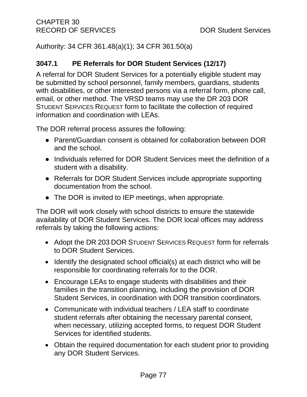Authority: 34 CFR 361.48(a)(1); 34 CFR 361.50(a)

# **3047.1 PE Referrals for DOR Student Services (12/17)**

A referral for DOR Student Services for a potentially eligible student may be submitted by school personnel, family members, guardians, students with disabilities, or other interested persons via a referral form, phone call, email, or other method. The VRSD teams may use the DR 203 DOR STUDENT SERVICES REQUEST form to facilitate the collection of required information and coordination with LEAs.

The DOR referral process assures the following:

- Parent/Guardian consent is obtained for collaboration between DOR and the school.
- Individuals referred for DOR Student Services meet the definition of a student with a disability.
- Referrals for DOR Student Services include appropriate supporting documentation from the school.
- The DOR is invited to IEP meetings, when appropriate.

The DOR will work closely with school districts to ensure the statewide availability of DOR Student Services. The DOR local offices may address referrals by taking the following actions:

- Adopt the DR 203 DOR STUDENT SERVICES REQUEST form for referrals to DOR Student Services.
- Identify the designated school official(s) at each district who will be responsible for coordinating referrals for to the DOR.
- Encourage LEAs to engage students with disabilities and their families in the transition planning, including the provision of DOR Student Services, in coordination with DOR transition coordinators.
- Communicate with individual teachers / LEA staff to coordinate student referrals after obtaining the necessary parental consent, when necessary, utilizing accepted forms, to request DOR Student Services for identified students.
- Obtain the required documentation for each student prior to providing any DOR Student Services.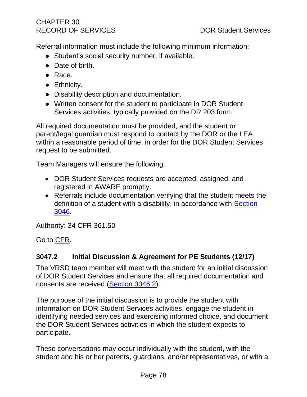Referral information must include the following minimum information:

- Student's social security number, if available.
- Date of birth.
- Race.
- Ethnicity.
- Disability description and documentation.
- Written consent for the student to participate in DOR Student Services activities, typically provided on the DR 203 form.

All required documentation must be provided, and the student or parent/legal guardian must respond to contact by the DOR or the LEA within a reasonable period of time, in order for the DOR Student Services request to be submitted.

Team Managers will ensure the following:

- DOR Student Services requests are accepted, assigned, and registered in AWARE promptly.
- Referrals include documentation verifying that the student meets the definition of a student with a disability, in accordance with Section [3046.](#page-73-1)

Authority: 34 CFR 361.50

Go to [CFR.](https://www.ecfr.gov/cgi-bin/text-idx?SID=3ddab82d125c3f9dfd00229383f8bca0&mc=true&node=pt34.2.361&rgn=div5%20-%20_top)

# **3047.2 Initial Discussion & Agreement for PE Students (12/17)**

The VRSD team member will meet with the student for an initial discussion of DOR Student Services and ensure that all required documentation and consents are received [\(Section 3046.2\)](#page-74-0).

The purpose of the initial discussion is to provide the student with information on DOR Student Services activities, engage the student in identifying needed services and exercising informed choice, and document the DOR Student Services activities in which the student expects to participate.

These conversations may occur individually with the student, with the student and his or her parents, guardians, and/or representatives, or with a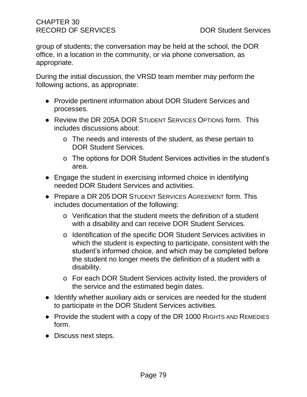group of students; the conversation may be held at the school, the DOR office, in a location in the community, or via phone conversation, as appropriate.

During the initial discussion, the VRSD team member may perform the following actions, as appropriate:

- Provide pertinent information about DOR Student Services and processes.
- Review the DR 205A DOR STUDENT SERVICES OPTIONS form. This includes discussions about:
	- o The needs and interests of the student, as these pertain to DOR Student Services.
	- o The options for DOR Student Services activities in the student's area.
- Engage the student in exercising informed choice in identifying needed DOR Student Services and activities.
- Prepare a DR 205 DOR STUDENT SERVICES AGREEMENT form. This includes documentation of the following:
	- o Verification that the student meets the definition of a student with a disability and can receive DOR Student Services.
	- o Identification of the specific DOR Student Services activities in which the student is expecting to participate, consistent with the student's informed choice, and which may be completed before the student no longer meets the definition of a student with a disability.
	- o For each DOR Student Services activity listed, the providers of the service and the estimated begin dates.
- Identify whether auxiliary aids or services are needed for the student to participate in the DOR Student Services activities.
- Provide the student with a copy of the DR 1000 RIGHTS AND REMEDIES form.
- Discuss next steps.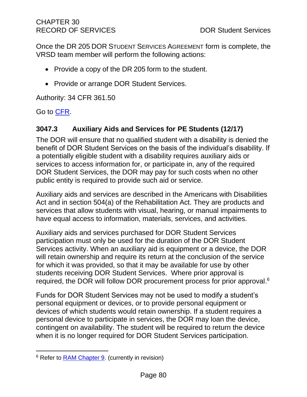Once the DR 205 DOR STUDENT SERVICES AGREEMENT form is complete, the VRSD team member will perform the following actions:

- Provide a copy of the DR 205 form to the student.
- Provide or arrange DOR Student Services.

Authority: 34 CFR 361.50

Go to [CFR.](https://www.ecfr.gov/cgi-bin/text-idx?SID=3ddab82d125c3f9dfd00229383f8bca0&mc=true&node=pt34.2.361&rgn=div5%20-%20_top)

# <span id="page-84-0"></span>**3047.3 Auxiliary Aids and Services for PE Students (12/17)**

The DOR will ensure that no qualified student with a disability is denied the benefit of DOR Student Services on the basis of the individual's disability. If a potentially eligible student with a disability requires auxiliary aids or services to access information for, or participate in, any of the required DOR Student Services, the DOR may pay for such costs when no other public entity is required to provide such aid or service.

Auxiliary aids and services are described in the Americans with Disabilities Act and in section 504(a) of the Rehabilitation Act. They are products and services that allow students with visual, hearing, or manual impairments to have equal access to information, materials, services, and activities.

Auxiliary aids and services purchased for DOR Student Services participation must only be used for the duration of the DOR Student Services activity. When an auxiliary aid is equipment or a device, the DOR will retain ownership and require its return at the conclusion of the service for which it was provided, so that it may be available for use by other students receiving DOR Student Services. Where prior approval is required, the DOR will follow DOR procurement process for prior approval. 6

Funds for DOR Student Services may not be used to modify a student's personal equipment or devices, or to provide personal equipment or devices of which students would retain ownership. If a student requires a personal device to participate in services, the DOR may loan the device, contingent on availability. The student will be required to return the device when it is no longer required for DOR Student Services participation.

<sup>6</sup> Refer to [RAM Chapter 9.](http://indor/ram/ram09/ram-9-procurement) (currently in revision)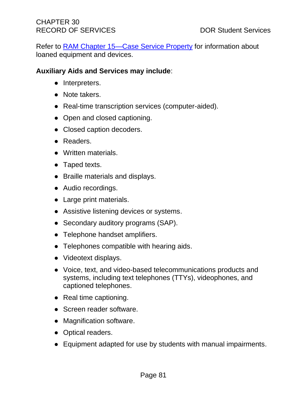Refer to RAM [Chapter 15—Case Service Property](http://indor/ram/ram15/ram-15-case-service-property) for information about loaned equipment and devices.

# **Auxiliary Aids and Services may include**:

- Interpreters.
- Note takers.
- Real-time transcription services (computer-aided).
- Open and closed captioning.
- Closed caption decoders.
- Readers.
- Written materials.
- Taped texts.
- Braille materials and displays.
- Audio recordings.
- Large print materials.
- Assistive listening devices or systems.
- Secondary auditory programs (SAP).
- Telephone handset amplifiers.
- Telephones compatible with hearing aids.
- Videotext displays.
- Voice, text, and video-based telecommunications products and systems, including text telephones (TTYs), videophones, and captioned telephones.
- Real time captioning.
- Screen reader software.
- Magnification software.
- Optical readers.
- Equipment adapted for use by students with manual impairments.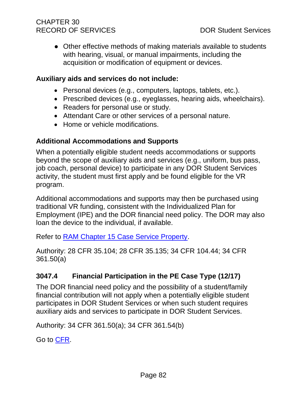● Other effective methods of making materials available to students with hearing, visual, or manual impairments, including the acquisition or modification of equipment or devices.

## **Auxiliary aids and services do not include:**

- Personal devices (e.g., computers, laptops, tablets, etc.).
- Prescribed devices (e.g., eyeglasses, hearing aids, wheelchairs).
- Readers for personal use or study.
- Attendant Care or other services of a personal nature.
- Home or vehicle modifications.

# **Additional Accommodations and Supports**

When a potentially eligible student needs accommodations or supports beyond the scope of auxiliary aids and services (e.g., uniform, bus pass, job coach, personal device) to participate in any DOR Student Services activity, the student must first apply and be found eligible for the VR program.

Additional accommodations and supports may then be purchased using traditional VR funding, consistent with the Individualized Plan for Employment (IPE) and the DOR financial need policy. The DOR may also loan the device to the individual, if available.

Refer to [RAM Chapter 15 Case Service Property.](http://indor/ram/ram15/ram-15-case-service-property)

Authority: 28 CFR 35.104; 28 CFR 35.135; 34 CFR 104.44; 34 CFR 361.50(a)

# **3047.4 Financial Participation in the PE Case Type (12/17)**

The DOR financial need policy and the possibility of a student/family financial contribution will not apply when a potentially eligible student participates in DOR Student Services or when such student requires auxiliary aids and services to participate in DOR Student Services.

Authority: 34 CFR 361.50(a); 34 CFR 361.54(b)

Go to [CFR.](https://www.ecfr.gov/cgi-bin/text-idx?SID=3ddab82d125c3f9dfd00229383f8bca0&mc=true&node=pt34.2.361&rgn=div5%20-%20_top)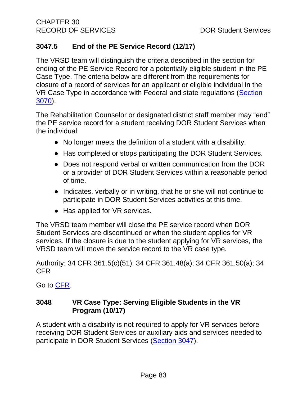# **3047.5 End of the PE Service Record (12/17)**

The VRSD team will distinguish the criteria described in the section for ending of the PE Service Record for a potentially eligible student in the PE Case Type. The criteria below are different from the requirements for closure of a record of services for an applicant or eligible individual in the VR Case Type in accordance with Federal and state regulations [\(Section](#page-116-0)  [3070\)](#page-116-0).

The Rehabilitation Counselor or designated district staff member may "end" the PE service record for a student receiving DOR Student Services when the individual:

- No longer meets the definition of a student with a disability.
- Has completed or stops participating the DOR Student Services.
- Does not respond verbal or written communication from the DOR or a provider of DOR Student Services within a reasonable period of time.
- Indicates, verbally or in writing, that he or she will not continue to participate in DOR Student Services activities at this time.
- Has applied for VR services.

The VRSD team member will close the PE service record when DOR Student Services are discontinued or when the student applies for VR services. If the closure is due to the student applying for VR services, the VRSD team will move the service record to the VR case type.

Authority: 34 CFR 361.5(c)(51); 34 CFR 361.48(a); 34 CFR 361.50(a); 34 CFR

Go to [CFR.](https://www.ecfr.gov/cgi-bin/text-idx?SID=3ddab82d125c3f9dfd00229383f8bca0&mc=true&node=pt34.2.361&rgn=div5%20-%20_top)

# <span id="page-87-0"></span>**3048 VR Case Type: Serving Eligible Students in the VR Program (10/17)**

A student with a disability is not required to apply for VR services before receiving DOR Student Services or auxiliary aids and services needed to participate in DOR Student Services [\(Section 3047\)](#page-79-0).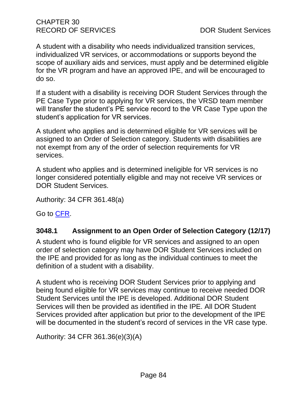A student with a disability who needs individualized transition services, individualized VR services, or accommodations or supports beyond the scope of auxiliary aids and services, must apply and be determined eligible for the VR program and have an approved IPE, and will be encouraged to do so.

If a student with a disability is receiving DOR Student Services through the PE Case Type prior to applying for VR services, the VRSD team member will transfer the student's PE service record to the VR Case Type upon the student's application for VR services.

A student who applies and is determined eligible for VR services will be assigned to an Order of Selection category. Students with disabilities are not exempt from any of the order of selection requirements for VR services.

A student who applies and is determined ineligible for VR services is no longer considered potentially eligible and may not receive VR services or DOR Student Services.

Authority: 34 CFR 361.48(a)

Go to [CFR.](https://www.ecfr.gov/cgi-bin/text-idx?SID=3ddab82d125c3f9dfd00229383f8bca0&mc=true&node=pt34.2.361&rgn=div5%20-%20_top)

# **3048.1 Assignment to an Open Order of Selection Category (12/17)**

A student who is found eligible for VR services and assigned to an open order of selection category may have DOR Student Services included on the IPE and provided for as long as the individual continues to meet the definition of a student with a disability.

A student who is receiving DOR Student Services prior to applying and being found eligible for VR services may continue to receive needed DOR Student Services until the IPE is developed. Additional DOR Student Services will then be provided as identified in the IPE. All DOR Student Services provided after application but prior to the development of the IPE will be documented in the student's record of services in the VR case type.

Authority: 34 CFR 361.36(e)(3)(A)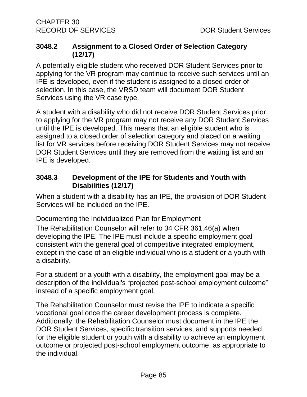## **3048.2 Assignment to a Closed Order of Selection Category (12/17)**

A potentially eligible student who received DOR Student Services prior to applying for the VR program may continue to receive such services until an IPE is developed, even if the student is assigned to a closed order of selection. In this case, the VRSD team will document DOR Student Services using the VR case type.

A student with a disability who did not receive DOR Student Services prior to applying for the VR program may not receive any DOR Student Services until the IPE is developed. This means that an eligible student who is assigned to a closed order of selection category and placed on a waiting list for VR services before receiving DOR Student Services may not receive DOR Student Services until they are removed from the waiting list and an IPE is developed.

# **3048.3 Development of the IPE for Students and Youth with Disabilities (12/17)**

When a student with a disability has an IPE, the provision of DOR Student Services will be included on the IPE.

## Documenting the Individualized Plan for Employment

The Rehabilitation Counselor will refer to 34 CFR 361.46(a) when developing the IPE. The IPE must include a specific employment goal consistent with the general goal of competitive integrated employment, except in the case of an eligible individual who is a student or a youth with a disability.

For a student or a youth with a disability, the employment goal may be a description of the individual's "projected post-school employment outcome" instead of a specific employment goal.

The Rehabilitation Counselor must revise the IPE to indicate a specific vocational goal once the career development process is complete. Additionally, the Rehabilitation Counselor must document in the IPE the DOR Student Services, specific transition services, and supports needed for the eligible student or youth with a disability to achieve an employment outcome or projected post-school employment outcome, as appropriate to the individual.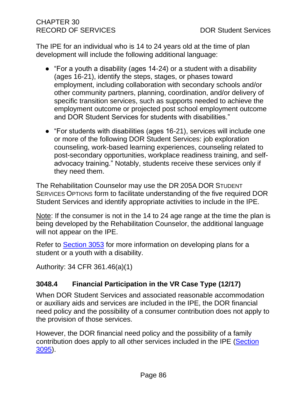The IPE for an individual who is 14 to 24 years old at the time of plan development will include the following additional language:

- "For a youth a disability (ages 14-24) or a student with a disability (ages 16-21), identify the steps, stages, or phases toward employment, including collaboration with secondary schools and/or other community partners, planning, coordination, and/or delivery of specific transition services, such as supports needed to achieve the employment outcome or projected post school employment outcome and DOR Student Services for students with disabilities."
- "For students with disabilities (ages 16-21), services will include one or more of the following DOR Student Services: job exploration counseling, work-based learning experiences, counseling related to post-secondary opportunities, workplace readiness training, and selfadvocacy training." Notably, students receive these services only if they need them.

The Rehabilitation Counselor may use the DR 205A DOR STUDENT SERVICES OPTIONS form to facilitate understanding of the five required DOR Student Services and identify appropriate activities to include in the IPE.

Note: If the consumer is not in the 14 to 24 age range at the time the plan is being developed by the Rehabilitation Counselor, the additional language will not appear on the IPE.

Refer to [Section 3053](#page-101-0) for more information on developing plans for a student or a youth with a disability.

Authority: 34 CFR 361.46(a)(1)

# **3048.4 Financial Participation in the VR Case Type (12/17)**

When DOR Student Services and associated reasonable accommodation or auxiliary aids and services are included in the IPE, the DOR financial need policy and the possibility of a consumer contribution does not apply to the provision of those services.

However, the DOR financial need policy and the possibility of a family contribution does apply to all other services included in the IPE [\(Section](#page-145-0)  [3095\)](#page-145-0).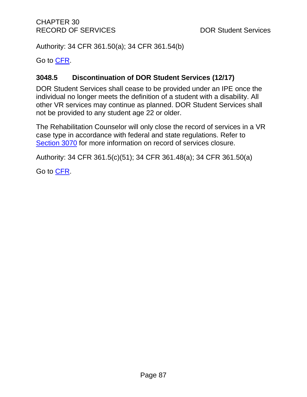Authority: 34 CFR 361.50(a); 34 CFR 361.54(b)

Go to [CFR.](https://www.ecfr.gov/cgi-bin/text-idx?SID=3ddab82d125c3f9dfd00229383f8bca0&mc=true&node=pt34.2.361&rgn=div5%20-%20_top)

# **3048.5 Discontinuation of DOR Student Services (12/17)**

DOR Student Services shall cease to be provided under an IPE once the individual no longer meets the definition of a student with a disability. All other VR services may continue as planned. DOR Student Services shall not be provided to any student age 22 or older.

The Rehabilitation Counselor will only close the record of services in a VR case type in accordance with federal and state regulations. Refer to [Section 3070](#page-116-0) for more information on record of services closure.

Authority: 34 CFR 361.5(c)(51); 34 CFR 361.48(a); 34 CFR 361.50(a)

Go to [CFR.](https://www.ecfr.gov/cgi-bin/text-idx?SID=3ddab82d125c3f9dfd00229383f8bca0&mc=true&node=pt34.2.361&rgn=div5%20-%20_top)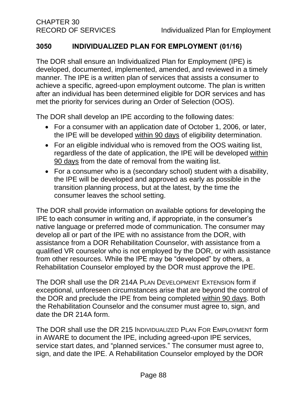# **3050 INDIVIDUALIZED PLAN FOR EMPLOYMENT (01/16)**

The DOR shall ensure an Individualized Plan for Employment (IPE) is developed, documented, implemented, amended, and reviewed in a timely manner. The IPE is a written plan of services that assists a consumer to achieve a specific, agreed-upon employment outcome. The plan is written after an individual has been determined eligible for DOR services and has met the priority for services during an Order of Selection (OOS).

The DOR shall develop an IPE according to the following dates:

- For a consumer with an application date of October 1, 2006, or later, the IPE will be developed within 90 days of eligibility determination.
- For an eligible individual who is removed from the OOS waiting list, regardless of the date of application, the IPE will be developed within 90 days from the date of removal from the waiting list.
- For a consumer who is a (secondary school) student with a disability, the IPE will be developed and approved as early as possible in the transition planning process, but at the latest, by the time the consumer leaves the school setting.

The DOR shall provide information on available options for developing the IPE to each consumer in writing and, if appropriate, in the consumer's native language or preferred mode of communication. The consumer may develop all or part of the IPE with no assistance from the DOR, with assistance from a DOR Rehabilitation Counselor, with assistance from a qualified VR counselor who is not employed by the DOR, or with assistance from other resources. While the IPE may be "developed" by others, a Rehabilitation Counselor employed by the DOR must approve the IPE.

The DOR shall use the DR 214A PLAN DEVELOPMENT EXTENSION form if exceptional, unforeseen circumstances arise that are beyond the control of the DOR and preclude the IPE from being completed within 90 days. Both the Rehabilitation Counselor and the consumer must agree to, sign, and date the DR 214A form.

The DOR shall use the DR 215 INDIVIDUALIZED PLAN FOR EMPLOYMENT form in AWARE to document the IPE, including agreed-upon IPE services, service start dates, and "planned services." The consumer must agree to, sign, and date the IPE. A Rehabilitation Counselor employed by the DOR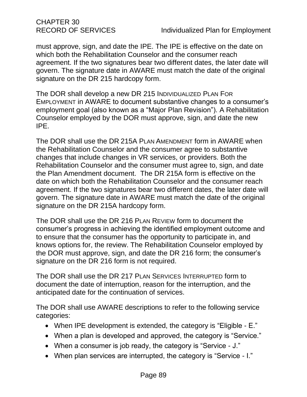CHAPTER 30

must approve, sign, and date the IPE. The IPE is effective on the date on which both the Rehabilitation Counselor and the consumer reach agreement. If the two signatures bear two different dates, the later date will govern. The signature date in AWARE must match the date of the original signature on the DR 215 hardcopy form.

The DOR shall develop a new DR 215 INDIVIDUALIZED PLAN FOR EMPLOYMENT in AWARE to document substantive changes to a consumer's employment goal (also known as a "Major Plan Revision"). A Rehabilitation Counselor employed by the DOR must approve, sign, and date the new IPE.

The DOR shall use the DR 215A PLAN AMENDMENT form in AWARE when the Rehabilitation Counselor and the consumer agree to substantive changes that include changes in VR services, or providers. Both the Rehabilitation Counselor and the consumer must agree to, sign, and date the Plan Amendment document. The DR 215A form is effective on the date on which both the Rehabilitation Counselor and the consumer reach agreement. If the two signatures bear two different dates, the later date will govern. The signature date in AWARE must match the date of the original signature on the DR 215A hardcopy form.

The DOR shall use the DR 216 PLAN REVIEW form to document the consumer's progress in achieving the identified employment outcome and to ensure that the consumer has the opportunity to participate in, and knows options for, the review. The Rehabilitation Counselor employed by the DOR must approve, sign, and date the DR 216 form; the consumer's signature on the DR 216 form is not required.

The DOR shall use the DR 217 PLAN SERVICES INTERRUPTED form to document the date of interruption, reason for the interruption, and the anticipated date for the continuation of services.

The DOR shall use AWARE descriptions to refer to the following service categories:

- When IPE development is extended, the category is "Eligible E."
- When a plan is developed and approved, the category is "Service."
- When a consumer is job ready, the category is "Service J."
- When plan services are interrupted, the category is "Service I."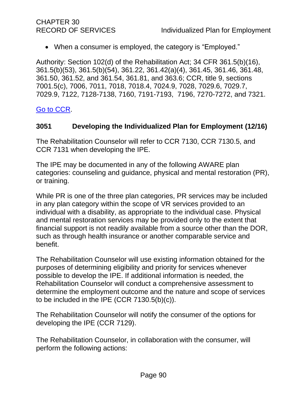• When a consumer is employed, the category is "Employed."

Authority: Section 102(d) of the Rehabilitation Act; 34 CFR 361.5(b)(16), 361.5(b)(53), 361.5(b)(54), 361.22, 361.42(a)(4), 361.45, 361.46, 361.48, 361.50, 361.52, and 361.54, 361.81, and 363.6; CCR, title 9, sections 7001.5(c), 7006, 7011, 7018, 7018.4, 7024.9, 7028, 7029.6, 7029.7, 7029.9, 7122, 7128-7138, 7160, 7191-7193, 7196, 7270-7272, and 7321.

# [Go to CCR.](file:///G:/Public%20Folder/InDOR%20Documents/VRPRD/PPI/CCR%20DOR%20-%20Effective%201-16-18.docx)

# <span id="page-94-0"></span>**3051 Developing the Individualized Plan for Employment (12/16)**

The Rehabilitation Counselor will refer to CCR 7130, CCR 7130.5, and CCR 7131 when developing the IPE.

The IPE may be documented in any of the following AWARE plan categories: counseling and guidance, physical and mental restoration (PR), or training.

While PR is one of the three plan categories, PR services may be included in any plan category within the scope of VR services provided to an individual with a disability, as appropriate to the individual case. Physical and mental restoration services may be provided only to the extent that financial support is not readily available from a source other than the DOR, such as through health insurance or another comparable service and benefit.

The Rehabilitation Counselor will use existing information obtained for the purposes of determining eligibility and priority for services whenever possible to develop the IPE. If additional information is needed, the Rehabilitation Counselor will conduct a comprehensive assessment to determine the employment outcome and the nature and scope of services to be included in the IPE (CCR 7130.5(b)(c)).

The Rehabilitation Counselor will notify the consumer of the options for developing the IPE (CCR 7129).

The Rehabilitation Counselor, in collaboration with the consumer, will perform the following actions: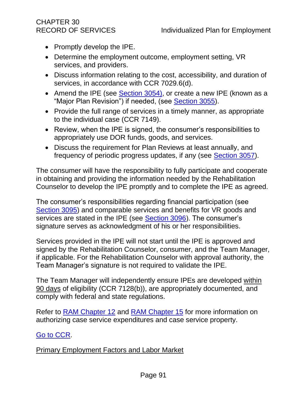# CHAPTER 30

- Promptly develop the IPE.
- Determine the employment outcome, employment setting, VR services, and providers.
- Discuss information relating to the cost, accessibility, and duration of services, in accordance with CCR 7029.6(d).
- Amend the IPE (see [Section 3054\)](#page-105-0), or create a new IPE (known as a "Major Plan Revision") if needed, (see [Section 3055\)](#page-105-1).
- Provide the full range of services in a timely manner, as appropriate to the individual case (CCR 7149).
- Review, when the IPE is signed, the consumer's responsibilities to appropriately use DOR funds, goods, and services.
- Discuss the requirement for Plan Reviews at least annually, and frequency of periodic progress updates, if any (see [Section 3057\)](#page-107-0).

The consumer will have the responsibility to fully participate and cooperate in obtaining and providing the information needed by the Rehabilitation Counselor to develop the IPE promptly and to complete the IPE as agreed.

The consumer's responsibilities regarding financial participation (see [Section 3095\)](#page-145-0) and comparable services and benefits for VR goods and services are stated in the IPE (see [Section 3096\)](#page-146-0). The consumer's signature serves as acknowledgment of his or her responsibilities.

Services provided in the IPE will not start until the IPE is approved and signed by the Rehabilitation Counselor, consumer, and the Team Manager, if applicable. For the Rehabilitation Counselor with approval authority, the Team Manager's signature is not required to validate the IPE.

The Team Manager will independently ensure IPEs are developed within 90 days of eligibility (CCR 7128(b)), are appropriately documented, and comply with federal and state regulations.

Refer to [RAM Chapter 12](http://drdomino/ram/index.html) and [RAM Chapter 15](http://drdomino/ram/index.html) for more information on authorizing case service expenditures and case service property.

# [Go to CCR.](file:///G:/Public%20Folder/InDOR%20Documents/VRPRD/PPI/CCR%20DOR%20-%20Effective%201-16-18.docx)

## Primary Employment Factors and Labor Market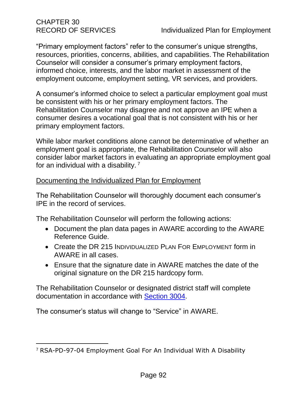"Primary employment factors" refer to the consumer's unique strengths, resources, priorities, concerns, abilities, and capabilities. The Rehabilitation Counselor will consider a consumer's primary employment factors, informed choice, interests, and the labor market in assessment of the employment outcome, employment setting, VR services, and providers.

A consumer's informed choice to select a particular employment goal must be consistent with his or her primary employment factors. The Rehabilitation Counselor may disagree and not approve an IPE when a consumer desires a vocational goal that is not consistent with his or her primary employment factors.

While labor market conditions alone cannot be determinative of whether an employment goal is appropriate, the Rehabilitation Counselor will also consider labor market factors in evaluating an appropriate employment goal for an individual with a disability. <sup>7</sup>

# Documenting the Individualized Plan for Employment

The Rehabilitation Counselor will thoroughly document each consumer's IPE in the record of services.

The Rehabilitation Counselor will perform the following actions:

- Document the plan data pages in AWARE according to the AWARE Reference Guide.
- Create the DR 215 INDIVIDUALIZED PLAN FOR EMPLOYMENT form in AWARE in all cases.
- Ensure that the signature date in AWARE matches the date of the original signature on the DR 215 hardcopy form.

The Rehabilitation Counselor or designated district staff will complete documentation in accordance with [Section 3004.](#page-13-0)

The consumer's status will change to "Service" in AWARE.

<sup>7</sup> RSA-PD-97-04 Employment Goal For An Individual With A Disability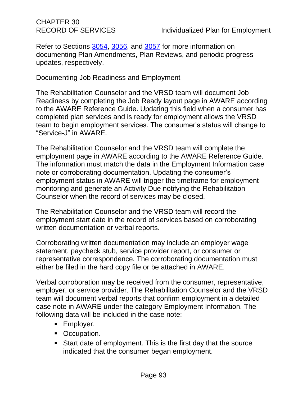Refer to Sections [3054,](#page-105-0) [3056,](#page-107-0) and [3057](#page-109-0) for more information on documenting Plan Amendments, Plan Reviews, and periodic progress updates, respectively.

#### Documenting Job Readiness and Employment

The Rehabilitation Counselor and the VRSD team will document Job Readiness by completing the Job Ready layout page in AWARE according to the AWARE Reference Guide. Updating this field when a consumer has completed plan services and is ready for employment allows the VRSD team to begin employment services. The consumer's status will change to "Service-J" in AWARE.

The Rehabilitation Counselor and the VRSD team will complete the employment page in AWARE according to the AWARE Reference Guide. The information must match the data in the Employment Information case note or corroborating documentation. Updating the consumer's employment status in AWARE will trigger the timeframe for employment monitoring and generate an Activity Due notifying the Rehabilitation Counselor when the record of services may be closed.

The Rehabilitation Counselor and the VRSD team will record the employment start date in the record of services based on corroborating written documentation or verbal reports.

Corroborating written documentation may include an employer wage statement, paycheck stub, service provider report, or consumer or representative correspondence. The corroborating documentation must either be filed in the hard copy file or be attached in AWARE.

Verbal corroboration may be received from the consumer, representative, employer, or service provider. The Rehabilitation Counselor and the VRSD team will document verbal reports that confirm employment in a detailed case note in AWARE under the category Employment Information. The following data will be included in the case note:

- **Employer.**
- Occupation.
- Start date of employment. This is the first day that the source indicated that the consumer began employment.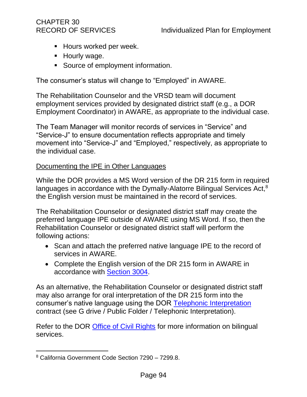# CHAPTER 30

- **E** Hours worked per week.
- **E** Hourly wage.
- Source of employment information.

The consumer's status will change to "Employed" in AWARE.

The Rehabilitation Counselor and the VRSD team will document employment services provided by designated district staff (e.g., a DOR Employment Coordinator) in AWARE, as appropriate to the individual case.

The Team Manager will monitor records of services in "Service" and "Service-J" to ensure documentation reflects appropriate and timely movement into "Service-J" and "Employed," respectively, as appropriate to the individual case.

#### Documenting the IPE in Other Languages

While the DOR provides a MS Word version of the DR 215 form in required languages in accordance with the Dymally-Alatorre Bilingual Services Act,<sup>8</sup> the English version must be maintained in the record of services.

The Rehabilitation Counselor or designated district staff may create the preferred language IPE outside of AWARE using MS Word. If so, then the Rehabilitation Counselor or designated district staff will perform the following actions:

- Scan and attach the preferred native language IPE to the record of services in AWARE.
- Complete the English version of the DR 215 form in AWARE in accordance with [Section 3004.](#page-13-0)

As an alternative, the Rehabilitation Counselor or designated district staff may also arrange for oral interpretation of the DR 215 form into the consumer's native language using the DOR [Telephonic Interpretation](file://///dorgroup/group/Public%20Folder/Telephonic%20Interpretation) contract (see G drive / Public Folder / Telephonic Interpretation).

Refer to the DOR **Office of Civil Rights** for more information on bilingual services.

<sup>8</sup> California [Government Code Section 7290 –](http://www.leginfo.ca.gov/cgi-bin/displaycode?section=gov&group=07001-08000&file=7290-7299.8) 7299.8.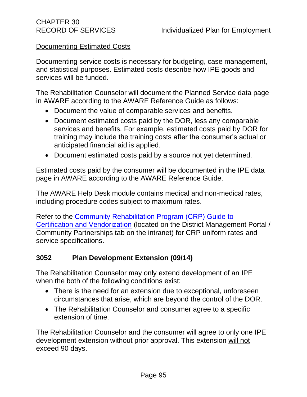# Documenting Estimated Costs

Documenting service costs is necessary for budgeting, case management, and statistical purposes. Estimated costs describe how IPE goods and services will be funded.

The Rehabilitation Counselor will document the Planned Service data page in AWARE according to the AWARE Reference Guide as follows:

- Document the value of comparable services and benefits.
- Document estimated costs paid by the DOR, less any comparable services and benefits. For example, estimated costs paid by DOR for training may include the training costs after the consumer's actual or anticipated financial aid is applied.
- Document estimated costs paid by a source not yet determined.

Estimated costs paid by the consumer will be documented in the IPE data page in AWARE according to the AWARE Reference Guide.

The AWARE Help Desk module contains medical and non-medical rates, including procedure codes subject to maximum rates.

Refer to the [Community Rehabilitation Program \(CRP\) Guide to](http://drdomino/vrp-rd/Program-Policy-Implementation/district-management-portal/community-partnerships-index.html)  [Certification and Vendorization](http://drdomino/vrp-rd/Program-Policy-Implementation/district-management-portal/community-partnerships-index.html) (located on the District Management Portal / Community Partnerships tab on the intranet) for CRP uniform rates and service specifications.

## **3052 Plan Development Extension (09/14)**

The Rehabilitation Counselor may only extend development of an IPE when the both of the following conditions exist:

- There is the need for an extension due to exceptional, unforeseen circumstances that arise, which are beyond the control of the DOR.
- The Rehabilitation Counselor and consumer agree to a specific extension of time.

The Rehabilitation Counselor and the consumer will agree to only one IPE development extension without prior approval. This extension will not exceed 90 days.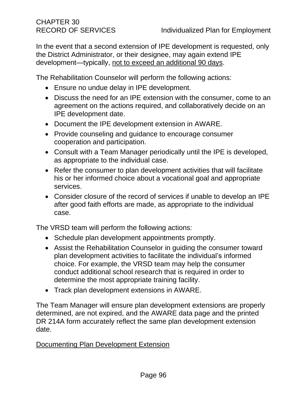In the event that a second extension of IPE development is requested, only the District Administrator, or their designee, may again extend IPE development-typically, not to exceed an additional 90 days.

The Rehabilitation Counselor will perform the following actions:

- Ensure no undue delay in IPE development.
- Discuss the need for an IPE extension with the consumer, come to an agreement on the actions required, and collaboratively decide on an IPE development date.
- Document the IPE development extension in AWARE.
- Provide counseling and guidance to encourage consumer cooperation and participation.
- Consult with a Team Manager periodically until the IPE is developed, as appropriate to the individual case.
- Refer the consumer to plan development activities that will facilitate his or her informed choice about a vocational goal and appropriate services.
- Consider closure of the record of services if unable to develop an IPE after good faith efforts are made, as appropriate to the individual case.

The VRSD team will perform the following actions:

- Schedule plan development appointments promptly.
- Assist the Rehabilitation Counselor in guiding the consumer toward plan development activities to facilitate the individual's informed choice. For example, the VRSD team may help the consumer conduct additional school research that is required in order to determine the most appropriate training facility.
- Track plan development extensions in AWARE.

The Team Manager will ensure plan development extensions are properly determined, are not expired, and the AWARE data page and the printed DR 214A form accurately reflect the same plan development extension date.

## Documenting Plan Development Extension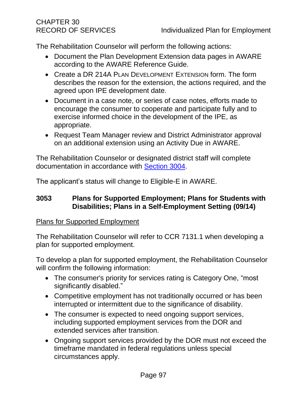The Rehabilitation Counselor will perform the following actions:

- Document the Plan Development Extension data pages in AWARE according to the AWARE Reference Guide.
- Create a DR 214A PLAN DEVELOPMENT EXTENSION form. The form describes the reason for the extension, the actions required, and the agreed upon IPE development date.
- Document in a case note, or series of case notes, efforts made to encourage the consumer to cooperate and participate fully and to exercise informed choice in the development of the IPE, as appropriate.
- Request Team Manager review and District Administrator approval on an additional extension using an Activity Due in AWARE.

The Rehabilitation Counselor or designated district staff will complete documentation in accordance with [Section 3004.](#page-13-0)

The applicant's status will change to Eligible-E in AWARE.

## <span id="page-101-0"></span>**3053 Plans for Supported Employment; Plans for Students with Disabilities; Plans in a Self-Employment Setting (09/14)**

## Plans for Supported Employment

The Rehabilitation Counselor will refer to CCR 7131.1 when developing a plan for supported employment.

To develop a plan for supported employment, the Rehabilitation Counselor will confirm the following information:

- The consumer's priority for services rating is Category One, "most significantly disabled."
- Competitive employment has not traditionally occurred or has been interrupted or intermittent due to the significance of disability.
- The consumer is expected to need ongoing support services, including supported employment services from the DOR and extended services after transition.
- Ongoing support services provided by the DOR must not exceed the timeframe mandated in federal regulations unless special circumstances apply.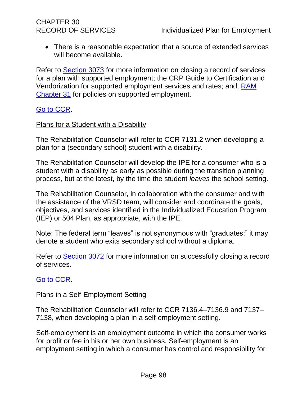• There is a reasonable expectation that a source of extended services will become available.

Refer to [Section 3073](#page-119-0) for more information on closing a record of services for a plan with supported employment; the CRP Guide to Certification and Vendorization for supported employment services and rates; and, [RAM](http://drdomino/ram/index.html)  [Chapter 31](http://drdomino/ram/index.html) for policies on supported employment.

## [Go to CCR.](file:///G:/Public%20Folder/InDOR%20Documents/VRPRD/PPI/CCR%20DOR%20-%20Effective%201-16-18.docx)

#### Plans for a Student with a Disability

The Rehabilitation Counselor will refer to CCR 7131.2 when developing a plan for a (secondary school) student with a disability.

The Rehabilitation Counselor will develop the IPE for a consumer who is a student with a disability as early as possible during the transition planning process, but at the latest, by the time the student *leaves* the school setting.

The Rehabilitation Counselor, in collaboration with the consumer and with the assistance of the VRSD team, will consider and coordinate the goals, objectives, and services identified in the Individualized Education Program (IEP) or 504 Plan, as appropriate, with the IPE.

Note: The federal term "leaves" is not synonymous with "graduates;" it may denote a student who exits secondary school without a diploma.

Refer to [Section 3072](#page-119-1) for more information on successfully closing a record of services.

## [Go to CCR.](file:///G:/Public%20Folder/InDOR%20Documents/VRPRD/PPI/CCR%20DOR%20-%20Effective%201-16-18.docx)

#### Plans in a Self-Employment Setting

The Rehabilitation Counselor will refer to CCR 7136.4–7136.9 and 7137– 7138, when developing a plan in a self-employment setting.

Self-employment is an employment outcome in which the consumer works for profit or fee in his or her own business. Self-employment is an employment setting in which a consumer has control and responsibility for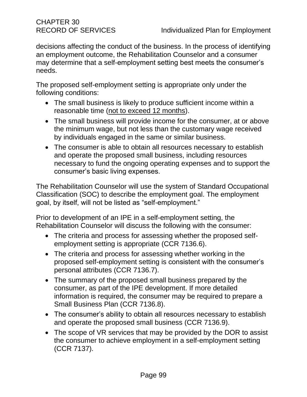decisions affecting the conduct of the business. In the process of identifying an employment outcome, the Rehabilitation Counselor and a consumer may determine that a self-employment setting best meets the consumer's needs.

The proposed self-employment setting is appropriate only under the following conditions:

- The small business is likely to produce sufficient income within a reasonable time (not to exceed 12 months).
- The small business will provide income for the consumer, at or above the minimum wage, but not less than the customary wage received by individuals engaged in the same or similar business.
- The consumer is able to obtain all resources necessary to establish and operate the proposed small business, including resources necessary to fund the ongoing operating expenses and to support the consumer's basic living expenses.

The Rehabilitation Counselor will use the system of Standard Occupational Classification (SOC) to describe the employment goal. The employment goal, by itself, will not be listed as "self-employment."

Prior to development of an IPE in a self-employment setting, the Rehabilitation Counselor will discuss the following with the consumer:

- The criteria and process for assessing whether the proposed selfemployment setting is appropriate (CCR 7136.6).
- The criteria and process for assessing whether working in the proposed self-employment setting is consistent with the consumer's personal attributes (CCR 7136.7).
- The summary of the proposed small business prepared by the consumer, as part of the IPE development. If more detailed information is required, the consumer may be required to prepare a Small Business Plan (CCR 7136.8).
- The consumer's ability to obtain all resources necessary to establish and operate the proposed small business (CCR 7136.9).
- The scope of VR services that may be provided by the DOR to assist the consumer to achieve employment in a self-employment setting (CCR 7137).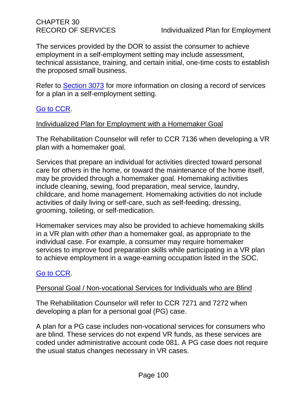CHAPTER 30

The services provided by the DOR to assist the consumer to achieve employment in a self-employment setting may include assessment, technical assistance, training, and certain initial, one-time costs to establish the proposed small business.

Refer to [Section 3073](#page-119-0) for more information on closing a record of services for a plan in a self-employment setting.

# [Go to CCR.](file:///G:/Public%20Folder/InDOR%20Documents/VRPRD/PPI/CCR%20DOR%20-%20Effective%201-16-18.docx)

## Individualized Plan for Employment with a Homemaker Goal

The Rehabilitation Counselor will refer to CCR 7136 when developing a VR plan with a homemaker goal.

Services that prepare an individual for activities directed toward personal care for others in the home, or toward the maintenance of the home itself, may be provided through a homemaker goal. Homemaking activities include cleaning, sewing, food preparation, meal service, laundry, childcare, and home management. Homemaking activities do not include activities of daily living or self-care, such as self-feeding, dressing, grooming, toileting, or self-medication.

Homemaker services may also be provided to achieve homemaking skills in a VR plan with *other than* a homemaker goal, as appropriate to the individual case. For example, a consumer may require homemaker services to improve food preparation skills while participating in a VR plan to achieve employment in a wage-earning occupation listed in the SOC.

## [Go to CCR.](file:///G:/Public%20Folder/InDOR%20Documents/VRPRD/PPI/CCR%20DOR%20-%20Effective%201-16-18.docx)

# Personal Goal / Non-vocational Services for Individuals who are Blind

The Rehabilitation Counselor will refer to CCR 7271 and 7272 when developing a plan for a personal goal (PG) case.

A plan for a PG case includes non-vocational services for consumers who are blind. These services do not expend VR funds, as these services are coded under administrative account code 081. A PG case does not require the usual status changes necessary in VR cases.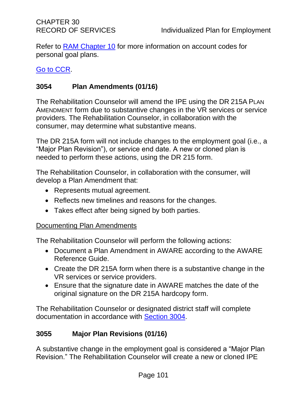Refer to **RAM Chapter 10** for more information on account codes for personal goal plans.

## [Go to CCR.](file:///G:/Public%20Folder/InDOR%20Documents/VRPRD/PPI/CCR%20DOR%20-%20Effective%201-16-18.docx)

# <span id="page-105-0"></span>**3054 Plan Amendments (01/16)**

The Rehabilitation Counselor will amend the IPE using the DR 215A PLAN AMENDMENT form due to substantive changes in the VR services or service providers. The Rehabilitation Counselor, in collaboration with the consumer, may determine what substantive means.

The DR 215A form will not include changes to the employment goal (i.e., a "Major Plan Revision"), or service end date. A new or cloned plan is needed to perform these actions, using the DR 215 form.

The Rehabilitation Counselor, in collaboration with the consumer, will develop a Plan Amendment that:

- Represents mutual agreement.
- Reflects new timelines and reasons for the changes.
- Takes effect after being signed by both parties.

## Documenting Plan Amendments

The Rehabilitation Counselor will perform the following actions:

- Document a Plan Amendment in AWARE according to the AWARE Reference Guide.
- Create the DR 215A form when there is a substantive change in the VR services or service providers.
- Ensure that the signature date in AWARE matches the date of the original signature on the DR 215A hardcopy form.

The Rehabilitation Counselor or designated district staff will complete documentation in accordance with [Section 3004.](#page-13-0)

## <span id="page-105-1"></span>**3055 Major Plan Revisions (01/16)**

A substantive change in the employment goal is considered a "Major Plan Revision." The Rehabilitation Counselor will create a new or cloned IPE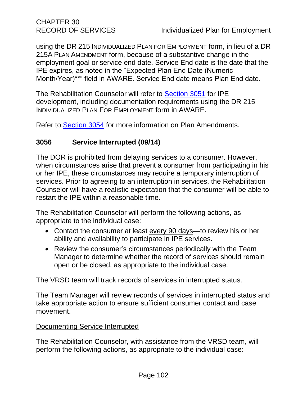CHAPTER 30

using the DR 215 INDIVIDUALIZED PLAN FOR EMPLOYMENT form, in lieu of a DR 215A PLAN AMENDMENT form, because of a substantive change in the employment goal or service end date. Service End date is the date that the IPE expires, as noted in the "Expected Plan End Date (Numeric Month/Year)\*\*" field in AWARE. Service End date means Plan End date.

The Rehabilitation Counselor will refer to [Section 3051](#page-94-0) for IPE development, including documentation requirements using the DR 215 INDIVIDUALIZED PLAN FOR EMPLOYMENT form in AWARE.

Refer to [Section 3054](#page-105-0) for more information on Plan Amendments.

# **3056 Service Interrupted (09/14)**

The DOR is prohibited from delaying services to a consumer. However, when circumstances arise that prevent a consumer from participating in his or her IPE, these circumstances may require a temporary interruption of services. Prior to agreeing to an interruption in services, the Rehabilitation Counselor will have a realistic expectation that the consumer will be able to restart the IPE within a reasonable time.

The Rehabilitation Counselor will perform the following actions, as appropriate to the individual case:

- Contact the consumer at least every 90 days—to review his or her ability and availability to participate in IPE services.
- Review the consumer's circumstances periodically with the Team Manager to determine whether the record of services should remain open or be closed, as appropriate to the individual case.

The VRSD team will track records of services in interrupted status.

The Team Manager will review records of services in interrupted status and take appropriate action to ensure sufficient consumer contact and case movement.

#### Documenting Service Interrupted

The Rehabilitation Counselor, with assistance from the VRSD team, will perform the following actions, as appropriate to the individual case: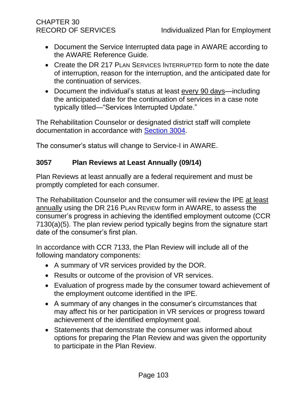# CHAPTER 30

- Document the Service Interrupted data page in AWARE according to the AWARE Reference Guide.
- Create the DR 217 PLAN SERVICES INTERRUPTED form to note the date of interruption, reason for the interruption, and the anticipated date for the continuation of services.
- Document the individual's status at least every 90 days—including the anticipated date for the continuation of services in a case note typically titled—"Services Interrupted Update."

The Rehabilitation Counselor or designated district staff will complete documentation in accordance with [Section 3004.](#page-13-0)

The consumer's status will change to Service-I in AWARE.

## <span id="page-107-0"></span>**3057 Plan Reviews at Least Annually (09/14)**

Plan Reviews at least annually are a federal requirement and must be promptly completed for each consumer.

The Rehabilitation Counselor and the consumer will review the IPE at least annually using the DR 216 PLAN REVIEW form in AWARE, to assess the consumer's progress in achieving the identified employment outcome (CCR 7130(a)(5). The plan review period typically begins from the signature start date of the consumer's first plan.

In accordance with CCR 7133, the Plan Review will include all of the following mandatory components:

- A summary of VR services provided by the DOR.
- Results or outcome of the provision of VR services.
- Evaluation of progress made by the consumer toward achievement of the employment outcome identified in the IPE.
- A summary of any changes in the consumer's circumstances that may affect his or her participation in VR services or progress toward achievement of the identified employment goal.
- Statements that demonstrate the consumer was informed about options for preparing the Plan Review and was given the opportunity to participate in the Plan Review.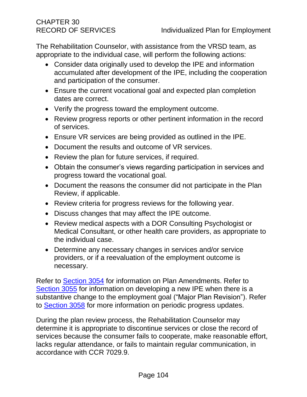The Rehabilitation Counselor, with assistance from the VRSD team, as appropriate to the individual case, will perform the following actions:

- Consider data originally used to develop the IPE and information accumulated after development of the IPE, including the cooperation and participation of the consumer.
- Ensure the current vocational goal and expected plan completion dates are correct.
- Verify the progress toward the employment outcome.
- Review progress reports or other pertinent information in the record of services.
- Ensure VR services are being provided as outlined in the IPE.
- Document the results and outcome of VR services.
- Review the plan for future services, if required.
- Obtain the consumer's views regarding participation in services and progress toward the vocational goal.
- Document the reasons the consumer did not participate in the Plan Review, if applicable.
- Review criteria for progress reviews for the following year.
- Discuss changes that may affect the IPE outcome.
- Review medical aspects with a DOR Consulting Psychologist or Medical Consultant, or other health care providers, as appropriate to the individual case.
- Determine any necessary changes in services and/or service providers, or if a reevaluation of the employment outcome is necessary.

Refer to [Section 3054](#page-105-0) for information on Plan Amendments. Refer to [Section 3055](#page-105-1) for information on developing a new IPE when there is a substantive change to the employment goal ("Major Plan Revision"). Refer to [Section 3058](#page-109-0) for more information on periodic progress updates.

During the plan review process, the Rehabilitation Counselor may determine it is appropriate to discontinue services or close the record of services because the consumer fails to cooperate, make reasonable effort, lacks regular attendance, or fails to maintain regular communication, in accordance with CCR 7029.9.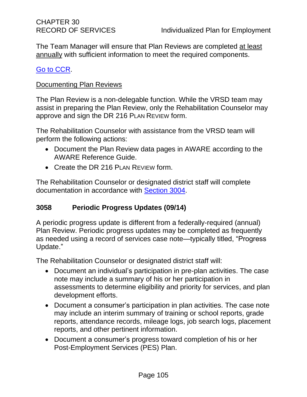The Team Manager will ensure that Plan Reviews are completed at least annually with sufficient information to meet the required components.

#### [Go to CCR.](file:///G:/Public%20Folder/InDOR%20Documents/VRPRD/PPI/CCR%20DOR%20-%20Effective%201-16-18.docx)

#### Documenting Plan Reviews

The Plan Review is a non-delegable function. While the VRSD team may assist in preparing the Plan Review, only the Rehabilitation Counselor may approve and sign the DR 216 PLAN REVIEW form.

The Rehabilitation Counselor with assistance from the VRSD team will perform the following actions:

- Document the Plan Review data pages in AWARE according to the AWARE Reference Guide.
- Create the DR 216 PLAN REVIEW form.

The Rehabilitation Counselor or designated district staff will complete documentation in accordance with [Section 3004.](#page-13-0)

#### <span id="page-109-0"></span>**3058 Periodic Progress Updates (09/14)**

A periodic progress update is different from a federally-required (annual) Plan Review. Periodic progress updates may be completed as frequently as needed using a record of services case note—typically titled, "Progress Update."

The Rehabilitation Counselor or designated district staff will:

- Document an individual's participation in pre-plan activities. The case note may include a summary of his or her participation in assessments to determine eligibility and priority for services, and plan development efforts.
- Document a consumer's participation in plan activities. The case note may include an interim summary of training or school reports, grade reports, attendance records, mileage logs, job search logs, placement reports, and other pertinent information.
- Document a consumer's progress toward completion of his or her Post-Employment Services (PES) Plan.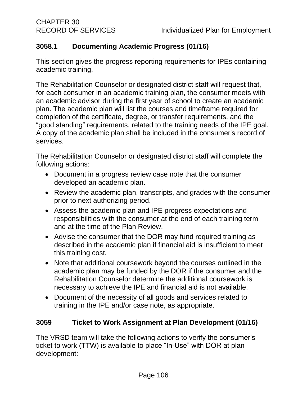# **3058.1 Documenting Academic Progress (01/16)**

This section gives the progress reporting requirements for IPEs containing academic training.

The Rehabilitation Counselor or designated district staff will request that, for each consumer in an academic training plan, the consumer meets with an academic advisor during the first year of school to create an academic plan. The academic plan will list the courses and timeframe required for completion of the certificate, degree, or transfer requirements, and the "good standing" requirements, related to the training needs of the IPE goal. A copy of the academic plan shall be included in the consumer's record of services.

The Rehabilitation Counselor or designated district staff will complete the following actions:

- Document in a progress review case note that the consumer developed an academic plan.
- Review the academic plan, transcripts, and grades with the consumer prior to next authorizing period.
- Assess the academic plan and IPE progress expectations and responsibilities with the consumer at the end of each training term and at the time of the Plan Review.
- Advise the consumer that the DOR may fund required training as described in the academic plan if financial aid is insufficient to meet this training cost.
- Note that additional coursework beyond the courses outlined in the academic plan may be funded by the DOR if the consumer and the Rehabilitation Counselor determine the additional coursework is necessary to achieve the IPE and financial aid is not available.
- Document of the necessity of all goods and services related to training in the IPE and/or case note, as appropriate.

## <span id="page-110-0"></span>**3059 Ticket to Work Assignment at Plan Development (01/16)**

The VRSD team will take the following actions to verify the consumer's ticket to work (TTW) is available to place "In-Use" with DOR at plan development: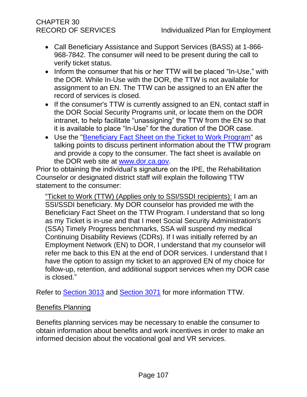# CHAPTER 30

- Call Beneficiary Assistance and Support Services (BASS) at 1-866- 968-7842. The consumer will need to be present during the call to verify ticket status.
- Inform the consumer that his or her TTW will be placed "In-Use," with the DOR. While In-Use with the DOR, the TTW is not available for assignment to an EN. The TTW can be assigned to an EN after the record of services is closed.
- If the consumer's TTW is currently assigned to an EN, contact staff in the DOR Social Security Programs unit, or locate them on the DOR intranet, to help facilitate "unassigning" the TTW from the EN so that it is available to place "In-Use" for the duration of the DOR case.
- Use the ["Beneficiary Fact Sheet on the Ticket to Work Program"](http://www.dor.ca.gov/VRED/TTW-Docs/TTW-Beneficiary-Fact-Sheet-03-2013.rtf) as talking points to discuss pertinent information about the TTW program and provide a copy to the consumer. The fact sheet is available on the DOR web site at [www.dor.ca.gov.](http://www.dor.ca.gov/)

Prior to obtaining the individual's signature on the IPE, the Rehabilitation Counselor or designated district staff will explain the following TTW statement to the consumer:

"Ticket to Work (TTW) (Applies only to SSI/SSDI recipients): I am an SSI/SSDI beneficiary. My DOR counselor has provided me with the Beneficiary Fact Sheet on the TTW Program. I understand that so long as my Ticket is in-use and that I meet Social Security Administration's (SSA) Timely Progress benchmarks, SSA will suspend my medical Continuing Disability Reviews (CDRs). If I was initially referred by an Employment Network (EN) to DOR, I understand that my counselor will refer me back to this EN at the end of DOR services. I understand that I have the option to assign my ticket to an approved EN of my choice for follow-up, retention, and additional support services when my DOR case is closed."

Refer to [Section 3013](#page-22-0) and [Section 3071](#page-116-0) for more information TTW.

#### **Benefits Planning**

Benefits planning services may be necessary to enable the consumer to obtain information about benefits and work incentives in order to make an informed decision about the vocational goal and VR services.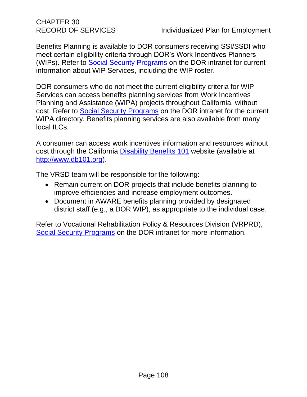CHAPTER 30

Benefits Planning is available to DOR consumers receiving SSI/SSDI who meet certain eligibility criteria through DOR's Work Incentives Planners (WIPs). Refer to **Social Security Programs** on the DOR intranet for current information about WIP Services, including the WIP roster.

DOR consumers who do not meet the current eligibility criteria for WIP Services can access benefits planning services from Work Incentives Planning and Assistance (WIPA) projects throughout California, without cost. Refer to [Social Security Programs](http://drdomino/vrp-rd/collaborative-services-section/social-security-programs/index.html) on the DOR intranet for the current WIPA directory. Benefits planning services are also available from many local ILCs.

A consumer can access work incentives information and resources without cost through the California [Disability Benefits 101](http://www.db101.org/) website (available at [http://www.db101.org\)](http://www.db101.org/).

The VRSD team will be responsible for the following:

- Remain current on DOR projects that include benefits planning to improve efficiencies and increase employment outcomes.
- Document in AWARE benefits planning provided by designated district staff (e.g., a DOR WIP), as appropriate to the individual case.

Refer to Vocational Rehabilitation Policy & Resources Division (VRPRD), [Social Security Programs](http://drdomino/vrp-rd/collaborative-services-section/social-security-programs/index.html) on the DOR intranet for more information.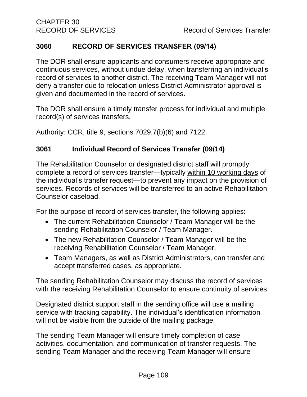#### **3060 RECORD OF SERVICES TRANSFER (09/14)**

The DOR shall ensure applicants and consumers receive appropriate and continuous services, without undue delay, when transferring an individual's record of services to another district. The receiving Team Manager will not deny a transfer due to relocation unless District Administrator approval is given and documented in the record of services.

The DOR shall ensure a timely transfer process for individual and multiple record(s) of services transfers.

Authority: CCR, title 9, sections 7029.7(b)(6) and 7122.

#### **3061 Individual Record of Services Transfer (09/14)**

The Rehabilitation Counselor or designated district staff will promptly complete a record of services transfer—typically within 10 working days of the individual's transfer request—to prevent any impact on the provision of services. Records of services will be transferred to an active Rehabilitation Counselor caseload.

For the purpose of record of services transfer, the following applies:

- The current Rehabilitation Counselor / Team Manager will be the sending Rehabilitation Counselor / Team Manager.
- The new Rehabilitation Counselor / Team Manager will be the receiving Rehabilitation Counselor / Team Manager.
- Team Managers, as well as District Administrators, can transfer and accept transferred cases, as appropriate.

The sending Rehabilitation Counselor may discuss the record of services with the receiving Rehabilitation Counselor to ensure continuity of services.

Designated district support staff in the sending office will use a mailing service with tracking capability. The individual's identification information will not be visible from the outside of the mailing package.

The sending Team Manager will ensure timely completion of case activities, documentation, and communication of transfer requests. The sending Team Manager and the receiving Team Manager will ensure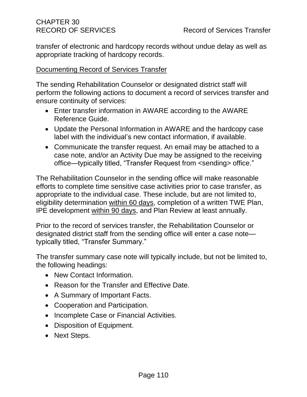transfer of electronic and hardcopy records without undue delay as well as appropriate tracking of hardcopy records.

#### Documenting Record of Services Transfer

The sending Rehabilitation Counselor or designated district staff will perform the following actions to document a record of services transfer and ensure continuity of services:

- Enter transfer information in AWARE according to the AWARE Reference Guide.
- Update the Personal Information in AWARE and the hardcopy case label with the individual's new contact information, if available.
- Communicate the transfer request. An email may be attached to a case note, and/or an Activity Due may be assigned to the receiving office—typically titled, "Transfer Request from <sending> office."

The Rehabilitation Counselor in the sending office will make reasonable efforts to complete time sensitive case activities prior to case transfer, as appropriate to the individual case. These include, but are not limited to, eligibility determination within 60 days, completion of a written TWE Plan, IPE development within 90 days, and Plan Review at least annually.

Prior to the record of services transfer, the Rehabilitation Counselor or designated district staff from the sending office will enter a case note typically titled, "Transfer Summary."

The transfer summary case note will typically include, but not be limited to, the following headings:

- New Contact Information.
- Reason for the Transfer and Effective Date.
- A Summary of Important Facts.
- Cooperation and Participation.
- Incomplete Case or Financial Activities.
- Disposition of Equipment.
- Next Steps.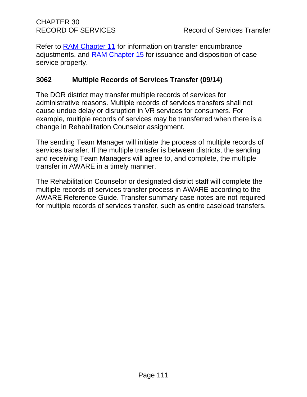Refer to **RAM Chapter 11** for information on transfer encumbrance adjustments, and [RAM Chapter 15](http://drdomino/ram/index.html) for issuance and disposition of case service property.

#### **3062 Multiple Records of Services Transfer (09/14)**

The DOR district may transfer multiple records of services for administrative reasons. Multiple records of services transfers shall not cause undue delay or disruption in VR services for consumers. For example, multiple records of services may be transferred when there is a change in Rehabilitation Counselor assignment.

The sending Team Manager will initiate the process of multiple records of services transfer. If the multiple transfer is between districts, the sending and receiving Team Managers will agree to, and complete, the multiple transfer in AWARE in a timely manner.

The Rehabilitation Counselor or designated district staff will complete the multiple records of services transfer process in AWARE according to the AWARE Reference Guide. Transfer summary case notes are not required for multiple records of services transfer, such as entire caseload transfers.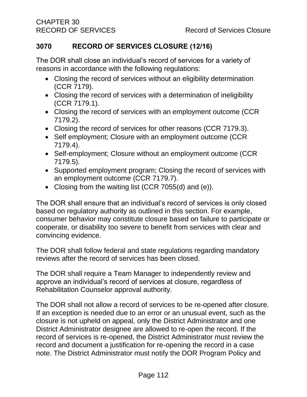#### <span id="page-116-1"></span>**3070 RECORD OF SERVICES CLOSURE (12/16)**

<span id="page-116-0"></span>The DOR shall close an individual's record of services for a variety of reasons in accordance with the following regulations:

- Closing the record of services without an eligibility determination (CCR 7179).
- Closing the record of services with a determination of ineligibility (CCR 7179.1).
- Closing the record of services with an employment outcome (CCR 7179.2).
- Closing the record of services for other reasons (CCR 7179.3).
- Self employment; Closure with an employment outcome (CCR 7179.4).
- Self-employment; Closure without an employment outcome (CCR 7179.5).
- Supported employment program; Closing the record of services with an employment outcome (CCR 7179.7).
- Closing from the waiting list (CCR 7055(d) and (e)).

The DOR shall ensure that an individual's record of services is only closed based on regulatory authority as outlined in this section. For example, consumer behavior may constitute closure based on failure to participate or cooperate, or disability too severe to benefit from services with clear and convincing evidence.

The DOR shall follow federal and state regulations regarding mandatory reviews after the record of services has been closed.

The DOR shall require a Team Manager to independently review and approve an individual's record of services at closure, regardless of Rehabilitation Counselor approval authority.

The DOR shall not allow a record of services to be re-opened after closure. If an exception is needed due to an error or an unusual event, such as the closure is not upheld on appeal, only the District Administrator and one District Administrator designee are allowed to re-open the record. If the record of services is re-opened, the District Administrator must review the record and document a justification for re-opening the record in a case note. The District Administrator must notify the DOR Program Policy and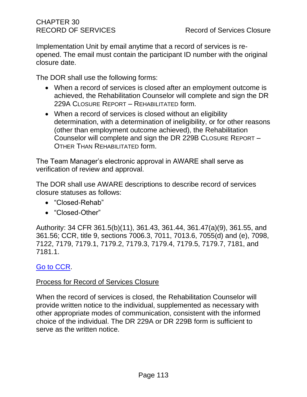Implementation Unit by email anytime that a record of services is reopened. The email must contain the participant ID number with the original closure date.

The DOR shall use the following forms:

- When a record of services is closed after an employment outcome is achieved, the Rehabilitation Counselor will complete and sign the DR 229A CLOSURE REPORT – REHABILITATED form.
- When a record of services is closed without an eligibility determination, with a determination of ineligibility, or for other reasons (other than employment outcome achieved), the Rehabilitation Counselor will complete and sign the DR 229B CLOSURE REPORT – OTHER THAN REHABILITATED form.

The Team Manager's electronic approval in AWARE shall serve as verification of review and approval.

The DOR shall use AWARE descriptions to describe record of services closure statuses as follows:

- "Closed-Rehab"
- "Closed-Other"

Authority: 34 CFR 361.5(b)(11), 361.43, 361.44, 361.47(a)(9), 361.55, and 361.56; CCR, title 9, sections 7006.3, 7011, 7013.6, 7055(d) and (e), 7098, 7122, 7179, 7179.1, 7179.2, 7179.3, 7179.4, 7179.5, 7179.7, 7181, and 7181.1.

#### [Go to CCR.](file:///G:/Public%20Folder/InDOR%20Documents/VRPRD/PPI/CCR%20DOR%20-%20Effective%201-16-18.docx)

#### Process for Record of Services Closure

When the record of services is closed, the Rehabilitation Counselor will provide written notice to the individual, supplemented as necessary with other appropriate modes of communication, consistent with the informed choice of the individual. The DR 229A or DR 229B form is sufficient to serve as the written notice.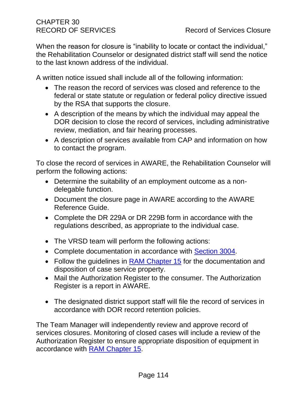When the reason for closure is "inability to locate or contact the individual," the Rehabilitation Counselor or designated district staff will send the notice to the last known address of the individual.

A written notice issued shall include all of the following information:

- The reason the record of services was closed and reference to the federal or state statute or regulation or federal policy directive issued by the RSA that supports the closure.
- A description of the means by which the individual may appeal the DOR decision to close the record of services, including administrative review, mediation, and fair hearing processes.
- A description of services available from CAP and information on how to contact the program.

To close the record of services in AWARE, the Rehabilitation Counselor will perform the following actions:

- Determine the suitability of an employment outcome as a nondelegable function.
- Document the closure page in AWARE according to the AWARE Reference Guide.
- Complete the DR 229A or DR 229B form in accordance with the regulations described, as appropriate to the individual case.
- The VRSD team will perform the following actions:
- Complete documentation in accordance with [Section 3004.](#page-13-0)
- Follow the guidelines in **RAM Chapter 15** for the documentation and disposition of case service property.
- Mail the Authorization Register to the consumer. The Authorization Register is a report in AWARE.
- The designated district support staff will file the record of services in accordance with DOR record retention policies.

The Team Manager will independently review and approve record of services closures. Monitoring of closed cases will include a review of the Authorization Register to ensure appropriate disposition of equipment in accordance with [RAM Chapter 15.](http://drdomino/ram/index.html)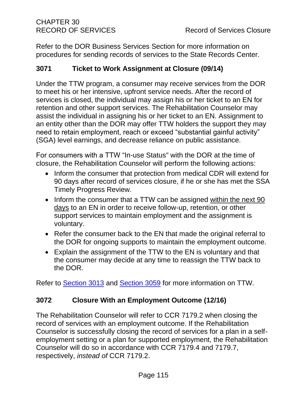Refer to the DOR Business Services Section for more information on procedures for sending records of services to the State Records Center.

## **3071 Ticket to Work Assignment at Closure (09/14)**

Under the TTW program, a consumer may receive services from the DOR to meet his or her intensive, upfront service needs. After the record of services is closed, the individual may assign his or her ticket to an EN for retention and other support services. The Rehabilitation Counselor may assist the individual in assigning his or her ticket to an EN. Assignment to an entity other than the DOR may offer TTW holders the support they may need to retain employment, reach or exceed "substantial gainful activity" (SGA) level earnings, and decrease reliance on public assistance.

For consumers with a TTW "In-use Status" with the DOR at the time of closure, the Rehabilitation Counselor will perform the following actions:

- Inform the consumer that protection from medical CDR will extend for 90 days after record of services closure, if he or she has met the SSA Timely Progress Review.
- Inform the consumer that a TTW can be assigned within the next 90 days to an EN in order to receive follow-up, retention, or other support services to maintain employment and the assignment is voluntary.
- Refer the consumer back to the EN that made the original referral to the DOR for ongoing supports to maintain the employment outcome.
- Explain the assignment of the TTW to the EN is voluntary and that the consumer may decide at any time to reassign the TTW back to the DOR.

Refer to [Section 3013](#page-22-0) and [Section 3059](#page-110-0) for more information on TTW.

## **3072 Closure With an Employment Outcome (12/16)**

<span id="page-119-0"></span>The Rehabilitation Counselor will refer to CCR 7179.2 when closing the record of services with an employment outcome. If the Rehabilitation Counselor is successfully closing the record of services for a plan in a selfemployment setting or a plan for supported employment, the Rehabilitation Counselor will do so in accordance with CCR 7179.4 and 7179.7, respectively, *instead of* CCR 7179.2.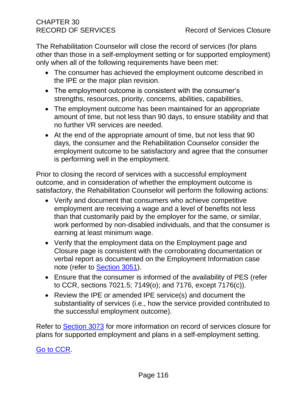The Rehabilitation Counselor will close the record of services (for plans other than those in a self-employment setting or for supported employment) only when all of the following requirements have been met:

- The consumer has achieved the employment outcome described in the IPE or the major plan revision.
- The employment outcome is consistent with the consumer's strengths, resources, priority, concerns, abilities, capabilities,
- The employment outcome has been maintained for an appropriate amount of time, but not less than 90 days, to ensure stability and that no further VR services are needed.
- At the end of the appropriate amount of time, but not less that 90 days, the consumer and the Rehabilitation Counselor consider the employment outcome to be satisfactory and agree that the consumer is performing well in the employment.

Prior to closing the record of services with a successful employment outcome, and in consideration of whether the employment outcome is satisfactory, the Rehabilitation Counselor will perform the following actions:

- Verify and document that consumers who achieve competitive employment are receiving a wage and a level of benefits not less than that customarily paid by the employer for the same, or similar, work performed by non-disabled individuals, and that the consumer is earning at least minimum wage.
- Verify that the employment data on the Employment page and Closure page is consistent with the corroborating documentation or verbal report as documented on the Employment Information case note (refer to [Section 3051\)](#page-94-0).
- Ensure that the consumer is informed of the availability of PES (refer to CCR, sections 7021.5; 7149(o); and 7176, except 7176(c)).
- Review the IPE or amended IPE service(s) and document the substantiality of services (i.e., how the service provided contributed to the successful employment outcome).

Refer to [Section 3073](#page-119-0) for more information on record of services closure for plans for supported employment and plans in a self-employment setting.

## [Go to CCR.](file:///G:/Public%20Folder/InDOR%20Documents/VRPRD/PPI/CCR%20DOR%20-%20Effective%201-16-18.docx)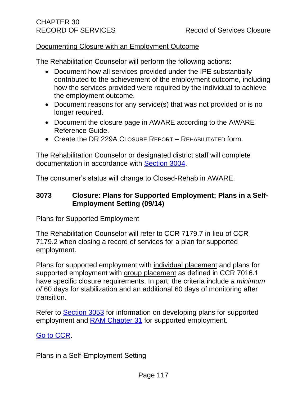#### Documenting Closure with an Employment Outcome

The Rehabilitation Counselor will perform the following actions:

- Document how all services provided under the IPE substantially contributed to the achievement of the employment outcome, including how the services provided were required by the individual to achieve the employment outcome.
- Document reasons for any service(s) that was not provided or is no longer required.
- Document the closure page in AWARE according to the AWARE Reference Guide.
- Create the DR 229A CLOSURE REPORT REHABILITATED form.

The Rehabilitation Counselor or designated district staff will complete documentation in accordance with [Section 3004.](#page-13-0)

The consumer's status will change to Closed-Rehab in AWARE.

#### **3073 Closure: Plans for Supported Employment; Plans in a Self-Employment Setting (09/14)**

#### Plans for Supported Employment

The Rehabilitation Counselor will refer to CCR 7179.7 in lieu of CCR 7179.2 when closing a record of services for a plan for supported employment.

Plans for supported employment with individual placement and plans for supported employment with group placement as defined in CCR 7016.1 have specific closure requirements. In part, the criteria include *a minimum of* 60 days for stabilization and an additional 60 days of monitoring after transition.

Refer to [Section 3053](#page-101-0) for information on developing plans for supported employment and [RAM Chapter 31](http://drdomino/ram/index.html) for supported employment.

#### [Go to CCR.](file:///G:/Public%20Folder/InDOR%20Documents/VRPRD/PPI/CCR%20DOR%20-%20Effective%201-16-18.docx)

#### Plans in a Self-Employment Setting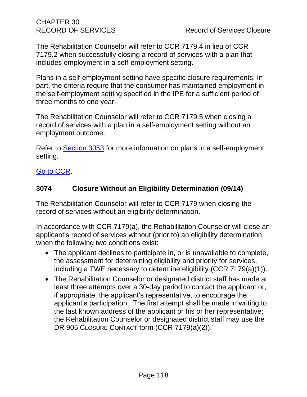The Rehabilitation Counselor will refer to CCR 7179.4 in lieu of CCR 7179.2 when successfully closing a record of services with a plan that includes employment in a self-employment setting.

Plans in a self-employment setting have specific closure requirements. In part, the criteria require that the consumer has maintained employment in the self-employment setting specified in the IPE for a sufficient period of three months to one year.

The Rehabilitation Counselor will refer to CCR 7179.5 when closing a record of services with a plan in a self-employment setting without an employment outcome.

Refer to [Section 3053](#page-101-0) for more information on plans in a self-employment setting.

# [Go to CCR.](file:///G:/Public%20Folder/InDOR%20Documents/VRPRD/PPI/CCR%20DOR%20-%20Effective%201-16-18.docx)

# **3074 Closure Without an Eligibility Determination (09/14)**

The Rehabilitation Counselor will refer to CCR 7179 when closing the record of services without an eligibility determination.

In accordance with CCR 7179(a), the Rehabilitation Counselor will close an applicant's record of services without (prior to) an eligibility determination when the following two conditions exist:

- The applicant declines to participate in, or is unavailable to complete, the assessment for determining eligibility and priority for services, including a TWE necessary to determine eligibility (CCR 7179(a)(1)).
- The Rehabilitation Counselor or designated district staff has made at least three attempts over a 30-day period to contact the applicant or, if appropriate, the applicant's representative, to encourage the applicant's participation. The first attempt shall be made in writing to the last known address of the applicant or his or her representative; the Rehabilitation Counselor or designated district staff may use the DR 905 CLOSURE CONTACT form (CCR 7179(a)(2)).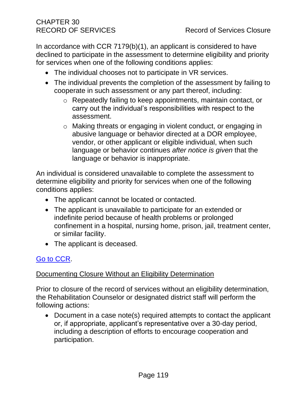In accordance with CCR 7179(b)(1), an applicant is considered to have declined to participate in the assessment to determine eligibility and priority for services when one of the following conditions applies:

- The individual chooses not to participate in VR services.
- The individual prevents the completion of the assessment by failing to cooperate in such assessment or any part thereof, including:
	- o Repeatedly failing to keep appointments, maintain contact, or carry out the individual's responsibilities with respect to the assessment.
	- o Making threats or engaging in violent conduct, or engaging in abusive language or behavior directed at a DOR employee, vendor, or other applicant or eligible individual, when such language or behavior continues *after notice is given* that the language or behavior is inappropriate.

An individual is considered unavailable to complete the assessment to determine eligibility and priority for services when one of the following conditions applies:

- The applicant cannot be located or contacted.
- The applicant is unavailable to participate for an extended or indefinite period because of health problems or prolonged confinement in a hospital, nursing home, prison, jail, treatment center, or similar facility.
- The applicant is deceased.

## [Go to CCR.](file:///G:/Public%20Folder/InDOR%20Documents/VRPRD/PPI/CCR%20DOR%20-%20Effective%201-16-18.docx)

#### Documenting Closure Without an Eligibility Determination

Prior to closure of the record of services without an eligibility determination, the Rehabilitation Counselor or designated district staff will perform the following actions:

• Document in a case note(s) required attempts to contact the applicant or, if appropriate, applicant's representative over a 30-day period, including a description of efforts to encourage cooperation and participation.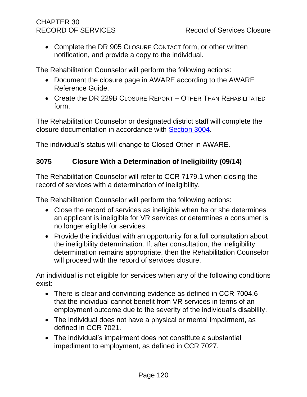• Complete the DR 905 CLOSURE CONTACT form, or other written notification, and provide a copy to the individual.

The Rehabilitation Counselor will perform the following actions:

- Document the closure page in AWARE according to the AWARE Reference Guide.
- Create the DR 229B CLOSURE REPORT OTHER THAN REHABILITATED form.

The Rehabilitation Counselor or designated district staff will complete the closure documentation in accordance with [Section 3004.](#page-13-0)

The individual's status will change to Closed-Other in AWARE.

#### **3075 Closure With a Determination of Ineligibility (09/14)**

The Rehabilitation Counselor will refer to CCR 7179.1 when closing the record of services with a determination of ineligibility.

The Rehabilitation Counselor will perform the following actions:

- Close the record of services as ineligible when he or she determines an applicant is ineligible for VR services or determines a consumer is no longer eligible for services.
- Provide the individual with an opportunity for a full consultation about the ineligibility determination. If, after consultation, the ineligibility determination remains appropriate, then the Rehabilitation Counselor will proceed with the record of services closure.

An individual is not eligible for services when any of the following conditions exist:

- There is clear and convincing evidence as defined in CCR 7004.6 that the individual cannot benefit from VR services in terms of an employment outcome due to the severity of the individual's disability.
- The individual does not have a physical or mental impairment, as defined in CCR 7021.
- The individual's impairment does not constitute a substantial impediment to employment, as defined in CCR 7027.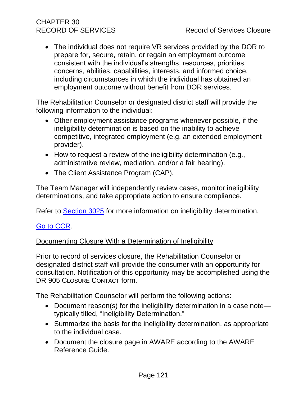# CHAPTER 30

• The individual does not require VR services provided by the DOR to prepare for, secure, retain, or regain an employment outcome consistent with the individual's strengths, resources, priorities, concerns, abilities, capabilities, interests, and informed choice, including circumstances in which the individual has obtained an employment outcome without benefit from DOR services.

The Rehabilitation Counselor or designated district staff will provide the following information to the individual:

- Other employment assistance programs whenever possible, if the ineligibility determination is based on the inability to achieve competitive, integrated employment (e.g. an extended employment provider).
- How to request a review of the ineligibility determination (e.g., administrative review, mediation, and/or a fair hearing).
- The Client Assistance Program (CAP).

The Team Manager will independently review cases, monitor ineligibility determinations, and take appropriate action to ensure compliance.

Refer to [Section 3025](#page-36-0) for more information on ineligibility determination.

#### [Go to CCR.](file:///G:/Public%20Folder/InDOR%20Documents/VRPRD/PPI/CCR%20DOR%20-%20Effective%201-16-18.docx)

#### Documenting Closure With a Determination of Ineligibility

Prior to record of services closure, the Rehabilitation Counselor or designated district staff will provide the consumer with an opportunity for consultation. Notification of this opportunity may be accomplished using the DR 905 CLOSURE CONTACT form.

The Rehabilitation Counselor will perform the following actions:

- Document reason(s) for the ineligibility determination in a case note typically titled, "Ineligibility Determination."
- Summarize the basis for the ineligibility determination, as appropriate to the individual case.
- Document the closure page in AWARE according to the AWARE Reference Guide.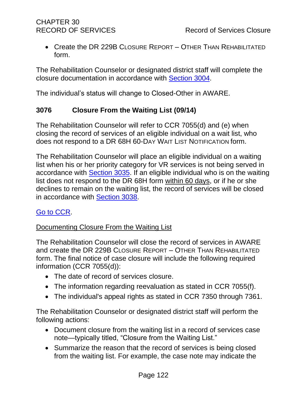• Create the DR 229B CLOSURE REPORT - OTHER THAN REHABILITATED form.

The Rehabilitation Counselor or designated district staff will complete the closure documentation in accordance with [Section 3004.](#page-13-0)

The individual's status will change to Closed-Other in AWARE.

#### **3076 Closure From the Waiting List (09/14)**

The Rehabilitation Counselor will refer to CCR 7055(d) and (e) when closing the record of services of an eligible individual on a wait list, who does not respond to a DR 68H 60-DAY WAIT LIST NOTIFICATION form.

The Rehabilitation Counselor will place an eligible individual on a waiting list when his or her priority category for VR services is not being served in accordance with [Section 3035.](#page-49-0) If an eligible individual who is on the waiting list does not respond to the DR 68H form within 60 days, or if he or she declines to remain on the waiting list, the record of services will be closed in accordance with [Section 3038.](#page-52-0)

## [Go to CCR.](file:///G:/Public%20Folder/InDOR%20Documents/VRPRD/PPI/CCR%20DOR%20-%20Effective%201-16-18.docx)

#### Documenting Closure From the Waiting List

The Rehabilitation Counselor will close the record of services in AWARE and create the DR 229B CLOSURE REPORT – OTHER THAN REHABILITATED form. The final notice of case closure will include the following required information (CCR 7055(d)):

- The date of record of services closure.
- The information regarding reevaluation as stated in CCR 7055(f).
- The individual's appeal rights as stated in CCR 7350 through 7361.

The Rehabilitation Counselor or designated district staff will perform the following actions:

- Document closure from the waiting list in a record of services case note—typically titled, "Closure from the Waiting List."
- Summarize the reason that the record of services is being closed from the waiting list. For example, the case note may indicate the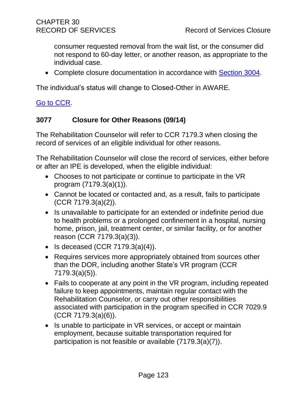consumer requested removal from the wait list, or the consumer did not respond to 60-day letter, or another reason, as appropriate to the individual case.

• Complete closure documentation in accordance with [Section 3004.](#page-13-0)

The individual's status will change to Closed-Other in AWARE.

# [Go to CCR.](file:///G:/Public%20Folder/InDOR%20Documents/VRPRD/PPI/CCR%20DOR%20-%20Effective%201-16-18.docx)

#### **3077 Closure for Other Reasons (09/14)**

The Rehabilitation Counselor will refer to CCR 7179.3 when closing the record of services of an eligible individual for other reasons.

The Rehabilitation Counselor will close the record of services, either before or after an IPE is developed, when the eligible individual:

- Chooses to not participate or continue to participate in the VR program (7179.3(a)(1)).
- Cannot be located or contacted and, as a result, fails to participate (CCR 7179.3(a)(2)).
- Is unavailable to participate for an extended or indefinite period due to health problems or a prolonged confinement in a hospital, nursing home, prison, jail, treatment center, or similar facility, or for another reason (CCR 7179.3(a)(3)).
- Is deceased  $(CCR 7179.3(a)(4))$ .
- Requires services more appropriately obtained from sources other than the DOR, including another State's VR program (CCR 7179.3(a)(5)).
- Fails to cooperate at any point in the VR program, including repeated failure to keep appointments, maintain regular contact with the Rehabilitation Counselor, or carry out other responsibilities associated with participation in the program specified in CCR 7029.9 (CCR 7179.3(a)(6)).
- Is unable to participate in VR services, or accept or maintain employment, because suitable transportation required for participation is not feasible or available (7179.3(a)(7)).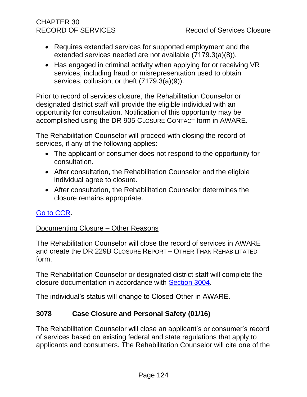# CHAPTER 30

- Requires extended services for supported employment and the extended services needed are not available (7179.3(a)(8)).
- Has engaged in criminal activity when applying for or receiving VR services, including fraud or misrepresentation used to obtain services, collusion, or theft (7179.3(a)(9)).

Prior to record of services closure, the Rehabilitation Counselor or designated district staff will provide the eligible individual with an opportunity for consultation. Notification of this opportunity may be accomplished using the DR 905 CLOSURE CONTACT form in AWARE.

The Rehabilitation Counselor will proceed with closing the record of services, if any of the following applies:

- The applicant or consumer does not respond to the opportunity for consultation.
- After consultation, the Rehabilitation Counselor and the eligible individual agree to closure.
- After consultation, the Rehabilitation Counselor determines the closure remains appropriate.

# [Go to CCR.](file:///G:/Public%20Folder/InDOR%20Documents/VRPRD/PPI/CCR%20DOR%20-%20Effective%201-16-18.docx)

#### Documenting Closure – Other Reasons

The Rehabilitation Counselor will close the record of services in AWARE and create the DR 229B CLOSURE REPORT – OTHER THAN REHABILITATED form.

The Rehabilitation Counselor or designated district staff will complete the closure documentation in accordance with [Section 3004.](#page-13-0)

The individual's status will change to Closed-Other in AWARE.

## **3078 Case Closure and Personal Safety (01/16)**

The Rehabilitation Counselor will close an applicant's or consumer's record of services based on existing federal and state regulations that apply to applicants and consumers. The Rehabilitation Counselor will cite one of the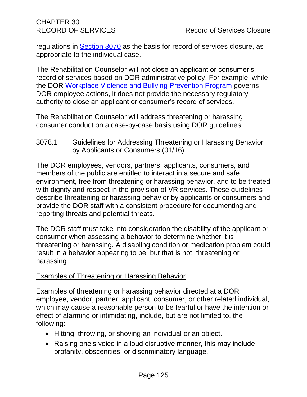regulations in [Section 3070](#page-116-1) as the basis for record of services closure, as appropriate to the individual case.

The Rehabilitation Counselor will not close an applicant or consumer's record of services based on DOR administrative policy. For example, while the DOR [Workplace Violence and Bullying Prevention Program](file://///dorgroup/group/User%20Resources/Health%20and%20Safety/HEALTH%20AND%20SAFETY%20HANDBOOK/Workplace-Violence-Prevention-Program/) governs DOR employee actions, it does not provide the necessary regulatory authority to close an applicant or consumer's record of services.

The Rehabilitation Counselor will address threatening or harassing consumer conduct on a case-by-case basis using DOR guidelines.

3078.1 Guidelines for Addressing Threatening or Harassing Behavior by Applicants or Consumers (01/16)

The DOR employees, vendors, partners, applicants, consumers, and members of the public are entitled to interact in a secure and safe environment, free from threatening or harassing behavior, and to be treated with dignity and respect in the provision of VR services. These guidelines describe threatening or harassing behavior by applicants or consumers and provide the DOR staff with a consistent procedure for documenting and reporting threats and potential threats.

The DOR staff must take into consideration the disability of the applicant or consumer when assessing a behavior to determine whether it is threatening or harassing. A disabling condition or medication problem could result in a behavior appearing to be, but that is not, threatening or harassing.

#### Examples of Threatening or Harassing Behavior

Examples of threatening or harassing behavior directed at a DOR employee, vendor, partner, applicant, consumer, or other related individual, which may cause a reasonable person to be fearful or have the intention or effect of alarming or intimidating, include, but are not limited to, the following:

- Hitting, throwing, or shoving an individual or an object.
- Raising one's voice in a loud disruptive manner, this may include profanity, obscenities, or discriminatory language.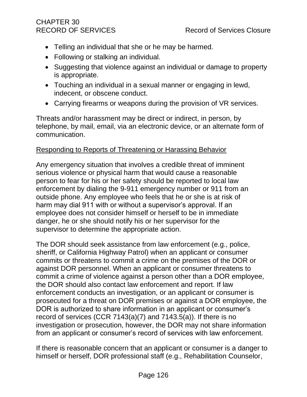# CHAPTER 30

- Telling an individual that she or he may be harmed.
- Following or stalking an individual.
- Suggesting that violence against an individual or damage to property is appropriate.
- Touching an individual in a sexual manner or engaging in lewd, indecent, or obscene conduct.
- Carrying firearms or weapons during the provision of VR services.

Threats and/or harassment may be direct or indirect, in person, by telephone, by mail, email, via an electronic device, or an alternate form of communication.

#### Responding to Reports of Threatening or Harassing Behavior

Any emergency situation that involves a credible threat of imminent serious violence or physical harm that would cause a reasonable person to fear for his or her safety should be reported to local law enforcement by dialing the 9-911 emergency number or 911 from an outside phone. Any employee who feels that he or she is at risk of harm may dial 911 with or without a supervisor's approval. If an employee does not consider himself or herself to be in immediate danger, he or she should notify his or her supervisor for the supervisor to determine the appropriate action.

The DOR should seek assistance from law enforcement (e.g., police, sheriff, or California Highway Patrol) when an applicant or consumer commits or threatens to commit a crime on the premises of the DOR or against DOR personnel. When an applicant or consumer threatens to commit a crime of violence against a person other than a DOR employee, the DOR should also contact law enforcement and report. If law enforcement conducts an investigation, or an applicant or consumer is prosecuted for a threat on DOR premises or against a DOR employee, the DOR is authorized to share information in an applicant or consumer's record of services (CCR 7143(a)(7) and 7143.5(a)). If there is no investigation or prosecution, however, the DOR may not share information from an applicant or consumer's record of services with law enforcement.

If there is reasonable concern that an applicant or consumer is a danger to himself or herself, DOR professional staff (e.g., Rehabilitation Counselor,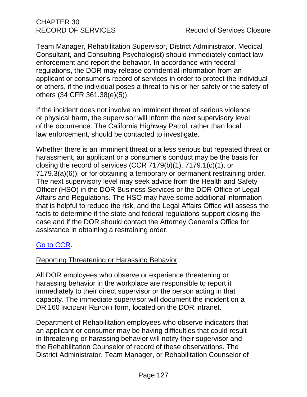Team Manager, Rehabilitation Supervisor, District Administrator, Medical Consultant, and Consulting Psychologist) should immediately contact law enforcement and report the behavior. In accordance with federal regulations, the DOR may release confidential information from an applicant or consumer's record of services in order to protect the individual or others, if the individual poses a threat to his or her safety or the safety of others (34 CFR 361.38(e)(5)).

If the incident does not involve an imminent threat of serious violence or physical harm, the supervisor will inform the next supervisory level of the occurrence. The California Highway Patrol, rather than local law enforcement, should be contacted to investigate.

Whether there is an imminent threat or a less serious but repeated threat or harassment, an applicant or a consumer's conduct may be the basis for closing the record of services (CCR 7179(b)(1), 7179.1(c)(1), or 7179.3(a)(6)), or for obtaining a temporary or permanent restraining order. The next supervisory level may seek advice from the Health and Safety Officer (HSO) in the DOR Business Services or the DOR Office of Legal Affairs and Regulations. The HSO may have some additional information that is helpful to reduce the risk, and the Legal Affairs Office will assess the facts to determine if the state and federal regulations support closing the case and if the DOR should contact the Attorney General's Office for assistance in obtaining a restraining order.

# [Go to CCR.](file:///G:/Public%20Folder/InDOR%20Documents/VRPRD/PPI/CCR%20DOR%20-%20Effective%201-16-18.docx)

#### Reporting Threatening or Harassing Behavior

All DOR employees who observe or experience threatening or harassing behavior in the workplace are responsible to report it immediately to their direct supervisor or the person acting in that capacity. The immediate supervisor will document the incident on a DR 160 INCIDENT REPORT form, located on the DOR intranet.

Department of Rehabilitation employees who observe indicators that an applicant or consumer may be having difficulties that could result in threatening or harassing behavior will notify their supervisor and the Rehabilitation Counselor of record of these observations. The District Administrator, Team Manager, or Rehabilitation Counselor of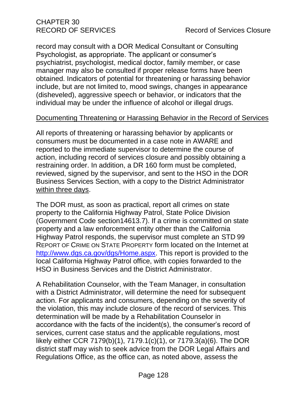record may consult with a DOR Medical Consultant or Consulting Psychologist, as appropriate. The applicant or consumer's psychiatrist, psychologist, medical doctor, family member, or case manager may also be consulted if proper release forms have been obtained. Indicators of potential for threatening or harassing behavior include, but are not limited to, mood swings, changes in appearance (disheveled), aggressive speech or behavior, or indicators that the individual may be under the influence of alcohol or illegal drugs.

#### Documenting Threatening or Harassing Behavior in the Record of Services

All reports of threatening or harassing behavior by applicants or consumers must be documented in a case note in AWARE and reported to the immediate supervisor to determine the course of action, including record of services closure and possibly obtaining a restraining order. In addition, a DR 160 form must be completed, reviewed, signed by the supervisor, and sent to the HSO in the DOR Business Services Section, with a copy to the District Administrator within three days.

The DOR must, as soon as practical, report all crimes on state property to the California Highway Patrol, State Police Division (Government Code section14613.7). If a crime is committed on state property and a law enforcement entity other than the California Highway Patrol responds, the supervisor must complete an STD 99 REPORT OF CRIME ON STATE PROPERTY form located on the Internet at [http://www.dgs.ca.gov/dgs/Home.aspx.](http://www.dgs.ca.gov/dgs/Home.aspx) This report is provided to the local California Highway Patrol office, with copies forwarded to the HSO in Business Services and the District Administrator.

A Rehabilitation Counselor, with the Team Manager, in consultation with a District Administrator, will determine the need for subsequent action. For applicants and consumers, depending on the severity of the violation, this may include closure of the record of services. This determination will be made by a Rehabilitation Counselor in accordance with the facts of the incident(s), the consumer's record of services, current case status and the applicable regulations, most likely either CCR 7179(b)(1), 7179.1(c)(1), or 7179.3(a)(6). The DOR district staff may wish to seek advice from the DOR Legal Affairs and Regulations Office, as the office can, as noted above, assess the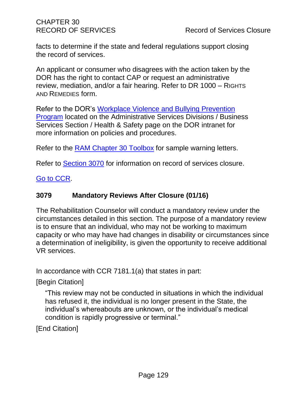CHAPTER 30

facts to determine if the state and federal regulations support closing the record of services.

An applicant or consumer who disagrees with the action taken by the DOR has the right to contact CAP or request an administrative review, mediation, and/or a fair hearing. Refer to DR 1000 – RIGHTS AND REMEDIES form.

Refer to the DOR's [Workplace Violence and Bullying Prevention](file://///dorgroup/group/User%20Resources/Health%20and%20Safety/HEALTH%20AND%20SAFETY%20HANDBOOK/Workplace-Violence-Prevention-Program/)  [Program](file://///dorgroup/group/User%20Resources/Health%20and%20Safety/HEALTH%20AND%20SAFETY%20HANDBOOK/Workplace-Violence-Prevention-Program/) located on the Administrative Services Divisions / Business Services Section / Health & Safety page on the DOR intranet for more information on policies and procedures.

Refer to the **RAM Chapter 30 Toolbox** for sample warning letters.

Refer to [Section 3070](#page-116-1) for information on record of services closure.

[Go to CCR.](file:///G:/Public%20Folder/InDOR%20Documents/VRPRD/PPI/CCR%20DOR%20-%20Effective%201-16-18.docx)

#### **3079 Mandatory Reviews After Closure (01/16)**

The Rehabilitation Counselor will conduct a mandatory review under the circumstances detailed in this section. The purpose of a mandatory review is to ensure that an individual, who may not be working to maximum capacity or who may have had changes in disability or circumstances since a determination of ineligibility, is given the opportunity to receive additional VR services.

In accordance with CCR 7181.1(a) that states in part:

[Begin Citation]

"This review may not be conducted in situations in which the individual has refused it, the individual is no longer present in the State, the individual's whereabouts are unknown, or the individual's medical condition is rapidly progressive or terminal."

[End Citation]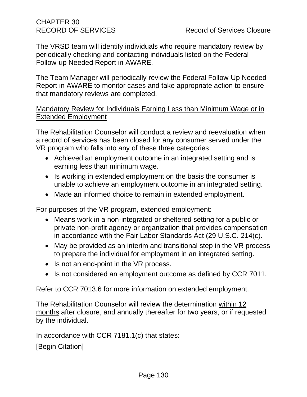The VRSD team will identify individuals who require mandatory review by periodically checking and contacting individuals listed on the Federal Follow-up Needed Report in AWARE.

The Team Manager will periodically review the Federal Follow-Up Needed Report in AWARE to monitor cases and take appropriate action to ensure that mandatory reviews are completed.

#### Mandatory Review for Individuals Earning Less than Minimum Wage or in Extended Employment

The Rehabilitation Counselor will conduct a review and reevaluation when a record of services has been closed for any consumer served under the VR program who falls into any of these three categories:

- Achieved an employment outcome in an integrated setting and is earning less than minimum wage.
- Is working in extended employment on the basis the consumer is unable to achieve an employment outcome in an integrated setting.
- Made an informed choice to remain in extended employment.

For purposes of the VR program, extended employment:

- Means work in a non-integrated or sheltered setting for a public or private non-profit agency or organization that provides compensation in accordance with the Fair Labor Standards Act (29 U.S.C. 214(c).
- May be provided as an interim and transitional step in the VR process to prepare the individual for employment in an integrated setting.
- Is not an end-point in the VR process.
- Is not considered an employment outcome as defined by CCR 7011.

Refer to CCR 7013.6 for more information on extended employment.

The Rehabilitation Counselor will review the determination within 12 months after closure, and annually thereafter for two years, or if requested by the individual.

In accordance with CCR 7181.1(c) that states:

[Begin Citation]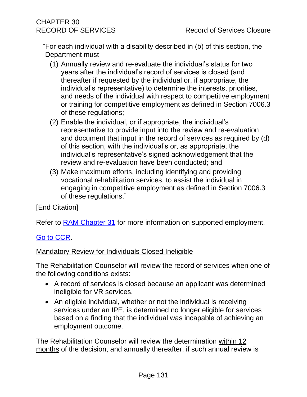"For each individual with a disability described in (b) of this section, the Department must ---

- (1) Annually review and re-evaluate the individual's status for two years after the individual's record of services is closed (and thereafter if requested by the individual or, if appropriate, the individual's representative) to determine the interests, priorities, and needs of the individual with respect to competitive employment or training for competitive employment as defined in Section 7006.3 of these regulations;
- (2) Enable the individual, or if appropriate, the individual's representative to provide input into the review and re-evaluation and document that input in the record of services as required by (d) of this section, with the individual's or, as appropriate, the individual's representative's signed acknowledgement that the review and re-evaluation have been conducted; and
- (3) Make maximum efforts, including identifying and providing vocational rehabilitation services, to assist the individual in engaging in competitive employment as defined in Section 7006.3 of these regulations."

[End Citation]

Refer to **RAM Chapter 31** for more information on supported employment.

## [Go to CCR.](file:///G:/Public%20Folder/InDOR%20Documents/VRPRD/PPI/CCR%20DOR%20-%20Effective%201-16-18.docx)

#### Mandatory Review for Individuals Closed Ineligible

The Rehabilitation Counselor will review the record of services when one of the following conditions exists:

- A record of services is closed because an applicant was determined ineligible for VR services.
- An eligible individual, whether or not the individual is receiving services under an IPE, is determined no longer eligible for services based on a finding that the individual was incapable of achieving an employment outcome.

The Rehabilitation Counselor will review the determination within 12 months of the decision, and annually thereafter, if such annual review is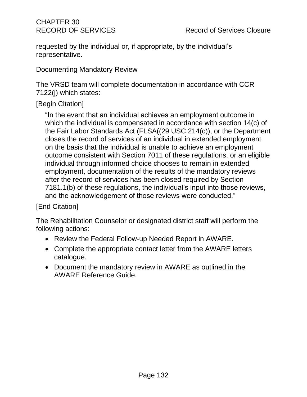requested by the individual or, if appropriate, by the individual's representative.

#### Documenting Mandatory Review

The VRSD team will complete documentation in accordance with CCR 7122(j) which states:

# [Begin Citation]

"In the event that an individual achieves an employment outcome in which the individual is compensated in accordance with section 14(c) of the Fair Labor Standards Act (FLSA((29 USC 214(c)), or the Department closes the record of services of an individual in extended employment on the basis that the individual is unable to achieve an employment outcome consistent with Section 7011 of these regulations, or an eligible individual through informed choice chooses to remain in extended employment, documentation of the results of the mandatory reviews after the record of services has been closed required by Section 7181.1(b) of these regulations, the individual's input into those reviews, and the acknowledgement of those reviews were conducted."

## [End Citation]

The Rehabilitation Counselor or designated district staff will perform the following actions:

- Review the Federal Follow-up Needed Report in AWARE.
- Complete the appropriate contact letter from the AWARE letters catalogue.
- Document the mandatory review in AWARE as outlined in the AWARE Reference Guide.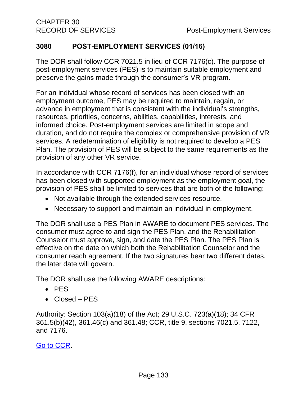#### **3080 POST-EMPLOYMENT SERVICES (01/16)**

The DOR shall follow CCR 7021.5 in lieu of CCR 7176(c). The purpose of post-employment services (PES) is to maintain suitable employment and preserve the gains made through the consumer's VR program.

For an individual whose record of services has been closed with an employment outcome, PES may be required to maintain, regain, or advance in employment that is consistent with the individual's strengths, resources, priorities, concerns, abilities, capabilities, interests, and informed choice. Post-employment services are limited in scope and duration, and do not require the complex or comprehensive provision of VR services. A redetermination of eligibility is not required to develop a PES Plan. The provision of PES will be subject to the same requirements as the provision of any other VR service.

In accordance with CCR 7176(f), for an individual whose record of services has been closed with supported employment as the employment goal, the provision of PES shall be limited to services that are both of the following:

- Not available through the extended services resource.
- Necessary to support and maintain an individual in employment.

The DOR shall use a PES Plan in AWARE to document PES services. The consumer must agree to and sign the PES Plan, and the Rehabilitation Counselor must approve, sign, and date the PES Plan. The PES Plan is effective on the date on which both the Rehabilitation Counselor and the consumer reach agreement. If the two signatures bear two different dates, the later date will govern.

The DOR shall use the following AWARE descriptions:

- PES
- Closed PES

Authority: Section 103(a)(18) of the Act; 29 U.S.C. 723(a)(18); 34 CFR 361.5(b)(42), 361.46(c) and 361.48; CCR, title 9, sections 7021.5, 7122, and 7176.

[Go to CCR.](file:///G:/Public%20Folder/InDOR%20Documents/VRPRD/PPI/CCR%20DOR%20-%20Effective%201-16-18.docx)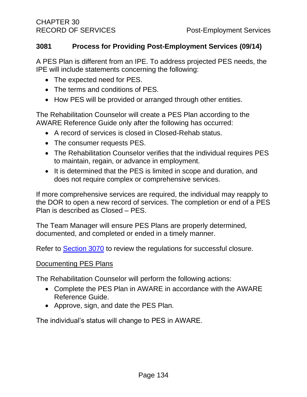#### **3081 Process for Providing Post-Employment Services (09/14)**

A PES Plan is different from an IPE. To address projected PES needs, the IPE will include statements concerning the following:

- The expected need for PES.
- The terms and conditions of PES.
- How PES will be provided or arranged through other entities.

The Rehabilitation Counselor will create a PES Plan according to the AWARE Reference Guide only after the following has occurred:

- A record of services is closed in Closed-Rehab status.
- The consumer requests PES.
- The Rehabilitation Counselor verifies that the individual requires PES to maintain, regain, or advance in employment.
- It is determined that the PES is limited in scope and duration, and does not require complex or comprehensive services.

If more comprehensive services are required, the individual may reapply to the DOR to open a new record of services. The completion or end of a PES Plan is described as Closed – PES.

The Team Manager will ensure PES Plans are properly determined, documented, and completed or ended in a timely manner.

Refer to [Section 3070](#page-116-1) to review the regulations for successful closure.

#### Documenting PES Plans

The Rehabilitation Counselor will perform the following actions:

- Complete the PES Plan in AWARE in accordance with the AWARE Reference Guide.
- Approve, sign, and date the PES Plan.

The individual's status will change to PES in AWARE.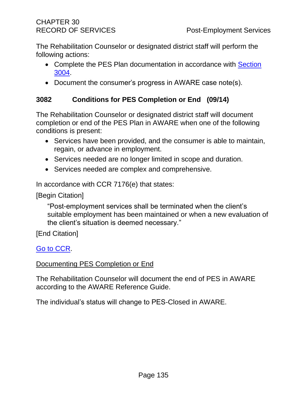The Rehabilitation Counselor or designated district staff will perform the following actions:

- Complete the PES Plan documentation in accordance with Section [3004.](#page-13-0)
- Document the consumer's progress in AWARE case note(s).

# **3082 Conditions for PES Completion or End (09/14)**

The Rehabilitation Counselor or designated district staff will document completion or end of the PES Plan in AWARE when one of the following conditions is present:

- Services have been provided, and the consumer is able to maintain, regain, or advance in employment.
- Services needed are no longer limited in scope and duration.
- Services needed are complex and comprehensive.

In accordance with CCR 7176(e) that states:

[Begin Citation]

"Post-employment services shall be terminated when the client's suitable employment has been maintained or when a new evaluation of the client's situation is deemed necessary."

[End Citation]

## [Go to CCR.](file:///G:/Public%20Folder/InDOR%20Documents/VRPRD/PPI/CCR%20DOR%20-%20Effective%201-16-18.docx)

#### Documenting PES Completion or End

The Rehabilitation Counselor will document the end of PES in AWARE according to the AWARE Reference Guide.

The individual's status will change to PES-Closed in AWARE.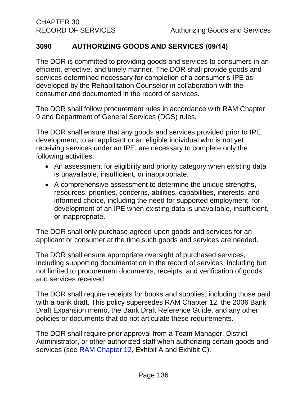## **3090 AUTHORIZING GOODS AND SERVICES (09/14)**

The DOR is committed to providing goods and services to consumers in an efficient, effective, and timely manner. The DOR shall provide goods and services determined necessary for completion of a consumer's IPE as developed by the Rehabilitation Counselor in collaboration with the consumer and documented in the record of services.

The DOR shall follow procurement rules in accordance with RAM Chapter 9 and Department of General Services (DGS) rules.

The DOR shall ensure that any goods and services provided prior to IPE development, to an applicant or an eligible individual who is not yet receiving services under an IPE, are necessary to complete only the following activities:

- An assessment for eligibility and priority category when existing data is unavailable, insufficient, or inappropriate.
- A comprehensive assessment to determine the unique strengths, resources, priorities, concerns, abilities, capabilities, interests, and informed choice, including the need for supported employment, for development of an IPE when existing data is unavailable, insufficient, or inappropriate.

The DOR shall only purchase agreed-upon goods and services for an applicant or consumer at the time such goods and services are needed.

The DOR shall ensure appropriate oversight of purchased services, including supporting documentation in the record of services, including but not limited to procurement documents, receipts, and verification of goods and services received.

The DOR shall require receipts for books and supplies, including those paid with a bank draft. This policy supersedes RAM Chapter 12, the 2006 Bank Draft Expansion memo, the Bank Draft Reference Guide, and any other policies or documents that do not articulate these requirements.

The DOR shall require prior approval from a Team Manager, District Administrator, or other authorized staff when authorizing certain goods and services (see [RAM Chapter 12,](http://drdomino/ram/index.html) Exhibit A and Exhibit C).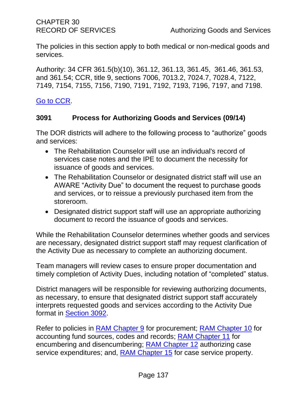The policies in this section apply to both medical or non-medical goods and services.

Authority: 34 CFR 361.5(b)(10), 361.12, 361.13, 361.45, 361.46, 361.53, and 361.54; CCR, title 9, sections 7006, 7013.2, 7024.7, 7028.4, 7122, 7149, 7154, 7155, 7156, 7190, 7191, 7192, 7193, 7196, 7197, and 7198.

[Go to CCR.](file:///G:/Public%20Folder/InDOR%20Documents/VRPRD/PPI/CCR%20DOR%20-%20Effective%201-16-18.docx)

#### **3091 Process for Authorizing Goods and Services (09/14)**

The DOR districts will adhere to the following process to "authorize" goods and services:

- The Rehabilitation Counselor will use an individual's record of services case notes and the IPE to document the necessity for issuance of goods and services.
- The Rehabilitation Counselor or designated district staff will use an AWARE "Activity Due" to document the request to purchase goods and services, or to reissue a previously purchased item from the storeroom.
- Designated district support staff will use an appropriate authorizing document to record the issuance of goods and services.

While the Rehabilitation Counselor determines whether goods and services are necessary, designated district support staff may request clarification of the Activity Due as necessary to complete an authorizing document.

Team managers will review cases to ensure proper documentation and timely completion of Activity Dues, including notation of "completed" status.

District managers will be responsible for reviewing authorizing documents, as necessary, to ensure that designated district support staff accurately interprets requested goods and services according to the Activity Due format in [Section 3092.](#page-142-0)

Refer to policies in [RAM Chapter 9](http://drdomino/ram/index.html) for procurement; [RAM Chapter 10](http://drdomino/ram/index.html) for accounting fund sources, codes and records; [RAM Chapter 11](http://drdomino/ram/index.html) for encumbering and disencumbering; [RAM Chapter 12](http://drdomino/ram/index.html) authorizing case service expenditures; and, [RAM Chapter 15](http://drdomino/ram/index.html) for case service property.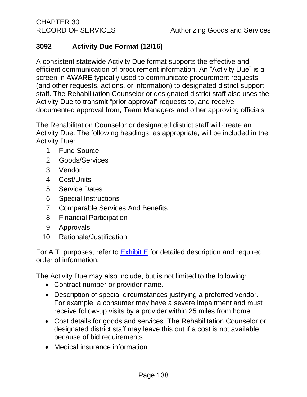# <span id="page-142-0"></span>**3092 Activity Due Format (12/16)**

A consistent statewide Activity Due format supports the effective and efficient communication of procurement information. An "Activity Due" is a screen in AWARE typically used to communicate procurement requests (and other requests, actions, or information) to designated district support staff. The Rehabilitation Counselor or designated district staff also uses the Activity Due to transmit "prior approval" requests to, and receive documented approval from, Team Managers and other approving officials.

The Rehabilitation Counselor or designated district staff will create an Activity Due. The following headings, as appropriate, will be included in the Activity Due:

- 1. Fund Source
- 2. Goods/Services
- 3. Vendor
- 4. Cost/Units
- 5. Service Dates
- 6. Special Instructions
- 7. Comparable Services And Benefits
- 8. Financial Participation
- 9. Approvals
- 10. Rationale/Justification

For A.T. purposes, refer to  $Exhibit E$  for detailed description and required order of information.

The Activity Due may also include, but is not limited to the following:

- Contract number or provider name.
- Description of special circumstances justifying a preferred vendor. For example, a consumer may have a severe impairment and must receive follow-up visits by a provider within 25 miles from home.
- Cost details for goods and services. The Rehabilitation Counselor or designated district staff may leave this out if a cost is not available because of bid requirements.
- Medical insurance information.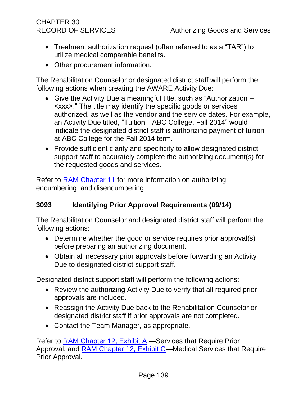# CHAPTER 30

- Treatment authorization request (often referred to as a "TAR") to utilize medical comparable benefits.
- Other procurement information.

The Rehabilitation Counselor or designated district staff will perform the following actions when creating the AWARE Activity Due:

- Give the Activity Due a meaningful title, such as "Authorization <xxx>." The title may identify the specific goods or services authorized, as well as the vendor and the service dates. For example, an Activity Due titled, "Tuition—ABC College, Fall 2014" would indicate the designated district staff is authorizing payment of tuition at ABC College for the Fall 2014 term.
- Provide sufficient clarity and specificity to allow designated district support staff to accurately complete the authorizing document(s) for the requested goods and services.

Refer to [RAM Chapter 11](http://drdomino/ram/index.html) for more information on authorizing, encumbering, and disencumbering.

## **3093 Identifying Prior Approval Requirements (09/14)**

The Rehabilitation Counselor and designated district staff will perform the following actions:

- Determine whether the good or service requires prior approval(s) before preparing an authorizing document.
- Obtain all necessary prior approvals before forwarding an Activity Due to designated district support staff.

Designated district support staff will perform the following actions:

- Review the authorizing Activity Due to verify that all required prior approvals are included.
- Reassign the Activity Due back to the Rehabilitation Counselor or designated district staff if prior approvals are not completed.
- Contact the Team Manager, as appropriate.

Refer to [RAM Chapter 12, Exhibit A](http://drdomino/ram/index.html) —Services that Require Prior Approval, and **RAM Chapter 12, Exhibit C—Medical Services that Require** Prior Approval.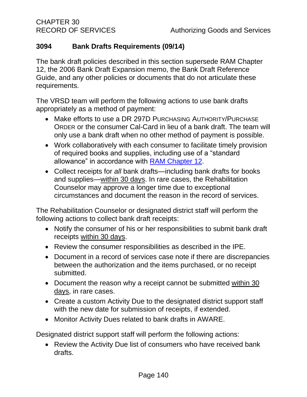## **3094 Bank Drafts Requirements (09/14)**

The bank draft policies described in this section supersede RAM Chapter 12, the 2006 Bank Draft Expansion memo, the Bank Draft Reference Guide, and any other policies or documents that do not articulate these requirements.

The VRSD team will perform the following actions to use bank drafts appropriately as a method of payment:

- Make efforts to use a DR 297D PURCHASING AUTHORITY/PURCHASE ORDER or the consumer Cal-Card in lieu of a bank draft. The team will only use a bank draft when no other method of payment is possible.
- Work collaboratively with each consumer to facilitate timely provision of required books and supplies, including use of a "standard allowance" in accordance with [RAM Chapter](http://drdomino/ram/index.html) 12.
- Collect receipts for *all* bank drafts—including bank drafts for books and supplies—within 30 days. In rare cases, the Rehabilitation Counselor may approve a longer time due to exceptional circumstances and document the reason in the record of services.

The Rehabilitation Counselor or designated district staff will perform the following actions to collect bank draft receipts:

- Notify the consumer of his or her responsibilities to submit bank draft receipts within 30 days.
- Review the consumer responsibilities as described in the IPE.
- Document in a record of services case note if there are discrepancies between the authorization and the items purchased, or no receipt submitted.
- Document the reason why a receipt cannot be submitted within 30 days, in rare cases.
- Create a custom Activity Due to the designated district support staff with the new date for submission of receipts, if extended.
- Monitor Activity Dues related to bank drafts in AWARE.

Designated district support staff will perform the following actions:

• Review the Activity Due list of consumers who have received bank drafts.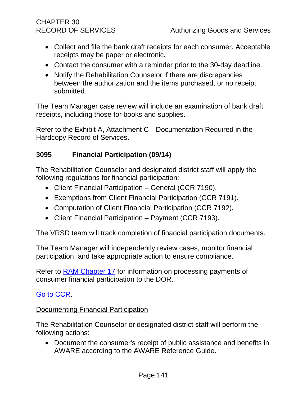# CHAPTER 30

- Collect and file the bank draft receipts for each consumer. Acceptable receipts may be paper or electronic.
- Contact the consumer with a reminder prior to the 30-day deadline.
- Notify the Rehabilitation Counselor if there are discrepancies between the authorization and the items purchased, or no receipt submitted.

The Team Manager case review will include an examination of bank draft receipts, including those for books and supplies.

Refer to the Exhibit A, Attachment C—Documentation Required in the Hardcopy Record of Services.

#### **3095 Financial Participation (09/14)**

The Rehabilitation Counselor and designated district staff will apply the following regulations for financial participation:

- Client Financial Participation General (CCR 7190).
- Exemptions from Client Financial Participation (CCR 7191).
- Computation of Client Financial Participation (CCR 7192).
- Client Financial Participation Payment (CCR 7193).

The VRSD team will track completion of financial participation documents.

The Team Manager will independently review cases, monitor financial participation, and take appropriate action to ensure compliance.

Refer to [RAM Chapter 17](http://drdomino/ram/index.html) for information on processing payments of consumer financial participation to the DOR.

## [Go to CCR.](file:///G:/Public%20Folder/InDOR%20Documents/VRPRD/PPI/CCR%20DOR%20-%20Effective%201-16-18.docx)

#### Documenting Financial Participation

The Rehabilitation Counselor or designated district staff will perform the following actions:

• Document the consumer's receipt of public assistance and benefits in AWARE according to the AWARE Reference Guide.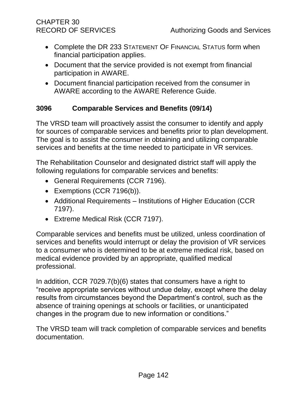- Complete the DR 233 STATEMENT OF FINANCIAL STATUS form when financial participation applies.
- Document that the service provided is not exempt from financial participation in AWARE.
- Document financial participation received from the consumer in AWARE according to the AWARE Reference Guide.

## **3096 Comparable Services and Benefits (09/14)**

The VRSD team will proactively assist the consumer to identify and apply for sources of comparable services and benefits prior to plan development. The goal is to assist the consumer in obtaining and utilizing comparable services and benefits at the time needed to participate in VR services.

The Rehabilitation Counselor and designated district staff will apply the following regulations for comparable services and benefits:

- General Requirements (CCR 7196).
- Exemptions (CCR 7196(b)).
- Additional Requirements Institutions of Higher Education (CCR 7197).
- Extreme Medical Risk (CCR 7197).

Comparable services and benefits must be utilized, unless coordination of services and benefits would interrupt or delay the provision of VR services to a consumer who is determined to be at extreme medical risk, based on medical evidence provided by an appropriate, qualified medical professional.

In addition, CCR 7029.7(b)(6) states that consumers have a right to "receive appropriate services without undue delay, except where the delay results from circumstances beyond the Department's control, such as the absence of training openings at schools or facilities, or unanticipated changes in the program due to new information or conditions."

The VRSD team will track completion of comparable services and benefits documentation.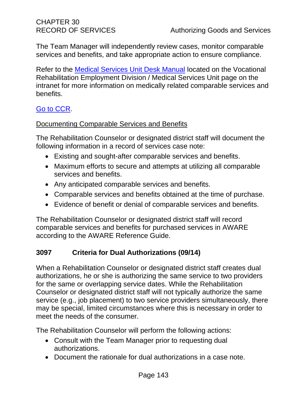The Team Manager will independently review cases, monitor comparable services and benefits, and take appropriate action to ensure compliance.

Refer to the [Medical Services Unit Desk Manual](http://drdomino/vred/Vocational-Rehabilitation-Support-Branch/medical-services/index.html) located on the Vocational Rehabilitation Employment Division / Medical Services Unit page on the intranet for more information on medically related comparable services and benefits.

## [Go to CCR.](file:///G:/Public%20Folder/InDOR%20Documents/VRPRD/PPI/CCR%20DOR%20-%20Effective%201-16-18.docx)

#### Documenting Comparable Services and Benefits

The Rehabilitation Counselor or designated district staff will document the following information in a record of services case note:

- Existing and sought-after comparable services and benefits.
- Maximum efforts to secure and attempts at utilizing all comparable services and benefits.
- Any anticipated comparable services and benefits.
- Comparable services and benefits obtained at the time of purchase.
- Evidence of benefit or denial of comparable services and benefits.

The Rehabilitation Counselor or designated district staff will record comparable services and benefits for purchased services in AWARE according to the AWARE Reference Guide.

## **3097 Criteria for Dual Authorizations (09/14)**

When a Rehabilitation Counselor or designated district staff creates dual authorizations, he or she is authorizing the same service to two providers for the same or overlapping service dates. While the Rehabilitation Counselor or designated district staff will not typically authorize the same service (e.g., job placement) to two service providers simultaneously, there may be special, limited circumstances where this is necessary in order to meet the needs of the consumer.

The Rehabilitation Counselor will perform the following actions:

- Consult with the Team Manager prior to requesting dual authorizations.
- Document the rationale for dual authorizations in a case note.